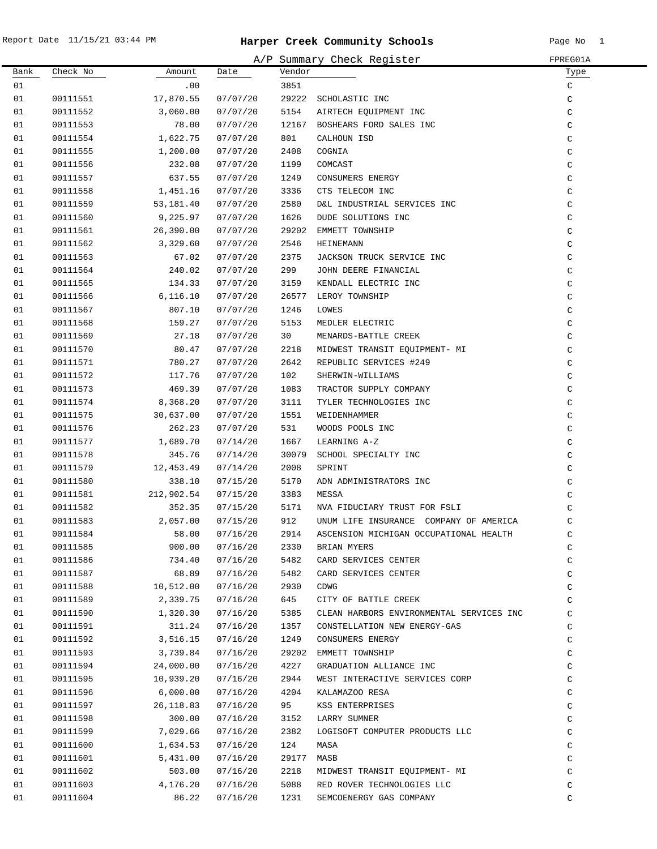|      |          |            |          |        | A/P Summary Check Register               | FPREG01A      |
|------|----------|------------|----------|--------|------------------------------------------|---------------|
| Bank | Check No | Amount     | Date     | Vendor |                                          | Type          |
| 01   |          | .00        |          | 3851   |                                          | C             |
| 01   | 00111551 | 17,870.55  | 07/07/20 | 29222  | SCHOLASTIC INC                           | C             |
| 01   | 00111552 | 3,060.00   | 07/07/20 | 5154   | AIRTECH EQUIPMENT INC                    | $\mathtt{C}$  |
| 01   | 00111553 | 78.00      | 07/07/20 | 12167  | BOSHEARS FORD SALES INC                  | C             |
| 01   | 00111554 | 1,622.75   | 07/07/20 | 801    | CALHOUN ISD                              | C             |
| 01   | 00111555 | 1,200.00   | 07/07/20 | 2408   | COGNIA                                   | $\rm{C}$      |
| 01   | 00111556 | 232.08     | 07/07/20 | 1199   | COMCAST                                  | $\rm{C}$      |
| 01   | 00111557 | 637.55     | 07/07/20 | 1249   | CONSUMERS ENERGY                         | C             |
| 01   | 00111558 | 1,451.16   | 07/07/20 | 3336   | CTS TELECOM INC                          | $\mathtt{C}$  |
| 01   | 00111559 | 53,181.40  | 07/07/20 | 2580   | D&L INDUSTRIAL SERVICES INC              | $\mathtt{C}$  |
| 01   | 00111560 | 9,225.97   | 07/07/20 | 1626   | DUDE SOLUTIONS INC                       | $\mathtt{C}$  |
| 01   | 00111561 | 26,390.00  | 07/07/20 | 29202  | EMMETT TOWNSHIP                          | C             |
| 01   | 00111562 | 3,329.60   | 07/07/20 | 2546   | HEINEMANN                                | C             |
| 01   | 00111563 | 67.02      | 07/07/20 | 2375   | JACKSON TRUCK SERVICE INC                | $\mathsf C$   |
| 01   | 00111564 | 240.02     | 07/07/20 | 299    | JOHN DEERE FINANCIAL                     | C             |
| 01   | 00111565 | 134.33     | 07/07/20 | 3159   | KENDALL ELECTRIC INC                     | C             |
| 01   | 00111566 | 6,116.10   | 07/07/20 | 26577  | LEROY TOWNSHIP                           | C             |
| 01   | 00111567 | 807.10     | 07/07/20 | 1246   | LOWES                                    | C             |
| 01   | 00111568 | 159.27     | 07/07/20 | 5153   | MEDLER ELECTRIC                          | C             |
| 01   | 00111569 | 27.18      | 07/07/20 | 30     | MENARDS-BATTLE CREEK                     | C             |
| 01   | 00111570 | 80.47      | 07/07/20 | 2218   | MIDWEST TRANSIT EQUIPMENT- MI            | C             |
| 01   | 00111571 | 780.27     | 07/07/20 | 2642   | REPUBLIC SERVICES #249                   | C             |
| 01   | 00111572 | 117.76     | 07/07/20 | 102    | SHERWIN-WILLIAMS                         | C             |
| 01   | 00111573 | 469.39     | 07/07/20 | 1083   | TRACTOR SUPPLY COMPANY                   | $\rm{C}$      |
| 01   | 00111574 | 8,368.20   | 07/07/20 | 3111   | TYLER TECHNOLOGIES INC                   | C             |
| 01   | 00111575 | 30,637.00  | 07/07/20 | 1551   | WEIDENHAMMER                             | $\rm{C}$      |
| 01   | 00111576 | 262.23     | 07/07/20 | 531    | WOODS POOLS INC                          | $\rm{C}$      |
| 01   | 00111577 | 1,689.70   | 07/14/20 | 1667   | LEARNING A-Z                             | C             |
| 01   | 00111578 | 345.76     | 07/14/20 | 30079  | SCHOOL SPECIALTY INC                     | C             |
| 01   | 00111579 | 12,453.49  | 07/14/20 | 2008   | SPRINT                                   | C             |
| 01   | 00111580 | 338.10     | 07/15/20 | 5170   | ADN ADMINISTRATORS INC                   | C             |
| 01   | 00111581 | 212,902.54 | 07/15/20 | 3383   | MESSA                                    | C             |
| 01   | 00111582 | 352.35     | 07/15/20 | 5171   | NVA FIDUCIARY TRUST FOR FSLI             | C             |
| 01   | 00111583 | 2,057.00   | 07/15/20 | 912    | UNUM LIFE INSURANCE COMPANY OF AMERICA   | $\mathcal{C}$ |
| 01   | 00111584 | 58.00      | 07/16/20 | 2914   | ASCENSION MICHIGAN OCCUPATIONAL HEALTH   | C             |
| 01   | 00111585 | 900.00     | 07/16/20 | 2330   | BRIAN MYERS                              | C             |
| 01   | 00111586 | 734.40     | 07/16/20 | 5482   | CARD SERVICES CENTER                     | C             |
| 01   | 00111587 | 68.89      | 07/16/20 | 5482   | CARD SERVICES CENTER                     | C             |
| 01   | 00111588 | 10,512.00  | 07/16/20 | 2930   | CDWG                                     | C             |
| 01   | 00111589 | 2,339.75   | 07/16/20 | 645    | CITY OF BATTLE CREEK                     | C             |
| 01   | 00111590 | 1,320.30   | 07/16/20 | 5385   | CLEAN HARBORS ENVIRONMENTAL SERVICES INC | C             |
| 01   | 00111591 | 311.24     | 07/16/20 | 1357   | CONSTELLATION NEW ENERGY-GAS             | C             |
| 01   | 00111592 | 3,516.15   | 07/16/20 | 1249   | CONSUMERS ENERGY                         | C             |
| 01   | 00111593 | 3,739.84   | 07/16/20 | 29202  | EMMETT TOWNSHIP                          | C             |
| 01   | 00111594 | 24,000.00  | 07/16/20 | 4227   | GRADUATION ALLIANCE INC                  | $\mathtt{C}$  |
| 01   | 00111595 | 10,939.20  | 07/16/20 | 2944   | WEST INTERACTIVE SERVICES CORP           | $\mathtt{C}$  |
| 01   | 00111596 | 6,000.00   | 07/16/20 | 4204   | KALAMAZOO RESA                           | C             |
| 01   | 00111597 | 26, 118.83 | 07/16/20 | 95     | KSS ENTERPRISES                          | C             |
| 01   | 00111598 | 300.00     | 07/16/20 | 3152   | LARRY SUMNER                             | C             |
| 01   | 00111599 | 7,029.66   | 07/16/20 | 2382   | LOGISOFT COMPUTER PRODUCTS LLC           | $\mathtt{C}$  |
| 01   | 00111600 | 1,634.53   | 07/16/20 | 124    | MASA                                     | C             |
| 01   | 00111601 | 5,431.00   | 07/16/20 | 29177  | MASB                                     | C             |
| 01   | 00111602 | 503.00     | 07/16/20 | 2218   | MIDWEST TRANSIT EQUIPMENT- MI            | C             |
| 01   | 00111603 | 4,176.20   | 07/16/20 | 5088   | RED ROVER TECHNOLOGIES LLC               | C             |
| 01   | 00111604 | 86.22      | 07/16/20 | 1231   | SEMCOENERGY GAS COMPANY                  | C             |
|      |          |            |          |        |                                          |               |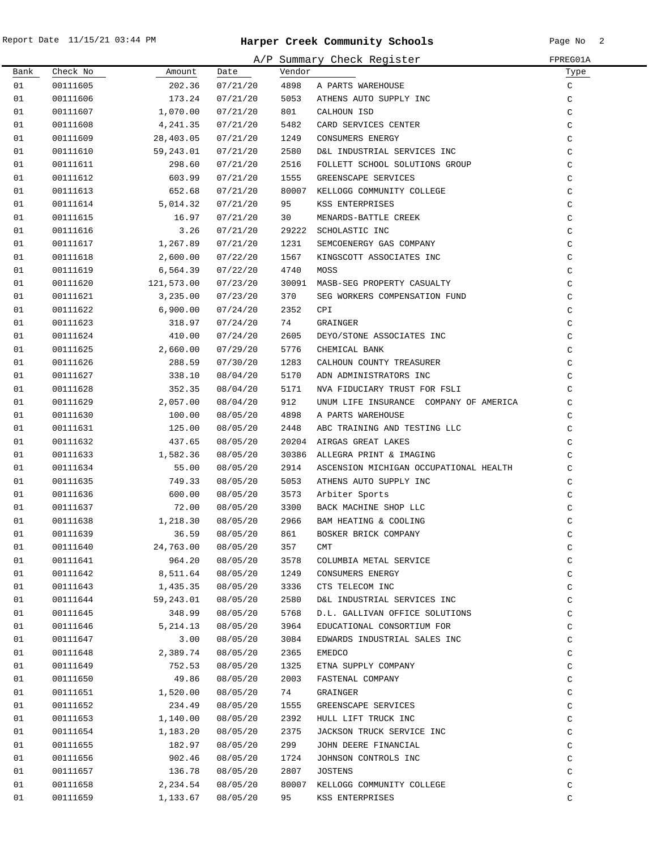|      |          |            |          |        | A/P Summary Check Register             | FPREG01A     |
|------|----------|------------|----------|--------|----------------------------------------|--------------|
| Bank | Check No | Amount     | Date     | Vendor |                                        | Type         |
| 01   | 00111605 | 202.36     | 07/21/20 | 4898   | A PARTS WAREHOUSE                      | C            |
| 01   | 00111606 | 173.24     | 07/21/20 | 5053   | ATHENS AUTO SUPPLY INC                 | C            |
| 01   | 00111607 | 1,070.00   | 07/21/20 | 801    | CALHOUN ISD                            | C            |
| 01   | 00111608 | 4,241.35   | 07/21/20 | 5482   | CARD SERVICES CENTER                   | C            |
| 01   | 00111609 | 28,403.05  | 07/21/20 | 1249   | CONSUMERS ENERGY                       | $\mathtt{C}$ |
| 01   | 00111610 | 59,243.01  | 07/21/20 | 2580   | D&L INDUSTRIAL SERVICES INC            | $\mathtt{C}$ |
| 01   | 00111611 | 298.60     | 07/21/20 | 2516   | FOLLETT SCHOOL SOLUTIONS GROUP         | $\mathsf C$  |
| 01   | 00111612 | 603.99     | 07/21/20 | 1555   | GREENSCAPE SERVICES                    | $\mathsf C$  |
| 01   | 00111613 | 652.68     | 07/21/20 |        | 80007 KELLOGG COMMUNITY COLLEGE        | $\mathtt{C}$ |
| 01   | 00111614 | 5,014.32   | 07/21/20 | 95     | KSS ENTERPRISES                        | $\mathsf C$  |
| 01   | 00111615 | 16.97      | 07/21/20 | 30     | MENARDS-BATTLE CREEK                   | C            |
| 01   | 00111616 | 3.26       | 07/21/20 | 29222  | SCHOLASTIC INC                         | C            |
| 01   | 00111617 | 1,267.89   | 07/21/20 | 1231   | SEMCOENERGY GAS COMPANY                | C            |
| 01   | 00111618 | 2,600.00   | 07/22/20 | 1567   | KINGSCOTT ASSOCIATES INC               | C            |
| 01   | 00111619 | 6,564.39   | 07/22/20 | 4740   | MOSS                                   | C            |
| 01   | 00111620 | 121,573.00 | 07/23/20 | 30091  | MASB-SEG PROPERTY CASUALTY             | C            |
| 01   | 00111621 | 3,235.00   | 07/23/20 | 370    | SEG WORKERS COMPENSATION FUND          | C            |
| 01   | 00111622 | 6,900.00   | 07/24/20 | 2352   | CPI                                    | C            |
| 01   | 00111623 | 318.97     | 07/24/20 | 74     | GRAINGER                               | C            |
| 01   | 00111624 | 410.00     | 07/24/20 | 2605   | DEYO/STONE ASSOCIATES INC              | C            |
| 01   |          |            |          | 5776   |                                        |              |
|      | 00111625 | 2,660.00   | 07/29/20 |        | CHEMICAL BANK                          | C            |
| 01   | 00111626 | 288.59     | 07/30/20 | 1283   | CALHOUN COUNTY TREASURER               | C            |
| 01   | 00111627 | 338.10     | 08/04/20 | 5170   | ADN ADMINISTRATORS INC                 | C            |
| 01   | 00111628 | 352.35     | 08/04/20 | 5171   | NVA FIDUCIARY TRUST FOR FSLI           | C            |
| 01   | 00111629 | 2,057.00   | 08/04/20 | 912    | UNUM LIFE INSURANCE COMPANY OF AMERICA | C            |
| 01   | 00111630 | 100.00     | 08/05/20 | 4898   | A PARTS WAREHOUSE                      | C            |
| 01   | 00111631 | 125.00     | 08/05/20 | 2448   | ABC TRAINING AND TESTING LLC           | C            |
| 01   | 00111632 | 437.65     | 08/05/20 | 20204  | AIRGAS GREAT LAKES                     | $\mathsf C$  |
| 01   | 00111633 | 1,582.36   | 08/05/20 | 30386  | ALLEGRA PRINT & IMAGING                | C            |
| 01   | 00111634 | 55.00      | 08/05/20 | 2914   | ASCENSION MICHIGAN OCCUPATIONAL HEALTH | C            |
| 01   | 00111635 | 749.33     | 08/05/20 | 5053   | ATHENS AUTO SUPPLY INC                 | C            |
| 01   | 00111636 | 600.00     | 08/05/20 | 3573   | Arbiter Sports                         | C            |
| 01   | 00111637 | 72.00      | 08/05/20 | 3300   | BACK MACHINE SHOP LLC                  | C            |
| 01   | 00111638 | 1,218.30   | 08/05/20 | 2966   | BAM HEATING & COOLING                  | $\mathsf C$  |
| 01   | 00111639 | 36.59      | 08/05/20 | 861    | BOSKER BRICK COMPANY                   | С            |
| 01   | 00111640 | 24,763.00  | 08/05/20 | 357    | CMT                                    | C            |
| 01   | 00111641 | 964.20     | 08/05/20 | 3578   | COLUMBIA METAL SERVICE                 | C            |
| 01   | 00111642 | 8,511.64   | 08/05/20 | 1249   | CONSUMERS ENERGY                       | $\mathtt{C}$ |
| 01   | 00111643 | 1,435.35   | 08/05/20 | 3336   | CTS TELECOM INC                        | $\mathtt{C}$ |
| 01   | 00111644 | 59,243.01  | 08/05/20 | 2580   | D&L INDUSTRIAL SERVICES INC            | C            |
| 01   | 00111645 | 348.99     | 08/05/20 | 5768   | D.L. GALLIVAN OFFICE SOLUTIONS         | C            |
| 01   | 00111646 | 5,214.13   | 08/05/20 | 3964   | EDUCATIONAL CONSORTIUM FOR             | C            |
| 01   | 00111647 | 3.00       | 08/05/20 | 3084   | EDWARDS INDUSTRIAL SALES INC           | C            |
| 01   | 00111648 | 2,389.74   | 08/05/20 | 2365   | <b>EMEDCO</b>                          | C            |
| 01   | 00111649 | 752.53     | 08/05/20 | 1325   | ETNA SUPPLY COMPANY                    | C            |
| 01   | 00111650 | 49.86      | 08/05/20 | 2003   | FASTENAL COMPANY                       | $\mathsf C$  |
| 01   | 00111651 | 1,520.00   | 08/05/20 | 74     | GRAINGER                               | C            |
| 01   | 00111652 | 234.49     | 08/05/20 | 1555   | GREENSCAPE SERVICES                    | $\mathtt{C}$ |
| 01   | 00111653 | 1,140.00   | 08/05/20 | 2392   | HULL LIFT TRUCK INC                    | C            |
| 01   | 00111654 | 1,183.20   | 08/05/20 | 2375   | JACKSON TRUCK SERVICE INC              | C            |
| 01   | 00111655 | 182.97     | 08/05/20 | 299    | JOHN DEERE FINANCIAL                   | C            |
| 01   | 00111656 | 902.46     | 08/05/20 | 1724   | JOHNSON CONTROLS INC                   | C            |
| 01   | 00111657 | 136.78     | 08/05/20 | 2807   | <b>JOSTENS</b>                         | C            |
| 01   | 00111658 | 2,234.54   | 08/05/20 |        | 80007 KELLOGG COMMUNITY COLLEGE        | C            |
| 01   | 00111659 | 1,133.67   | 08/05/20 | 95     | KSS ENTERPRISES                        | C            |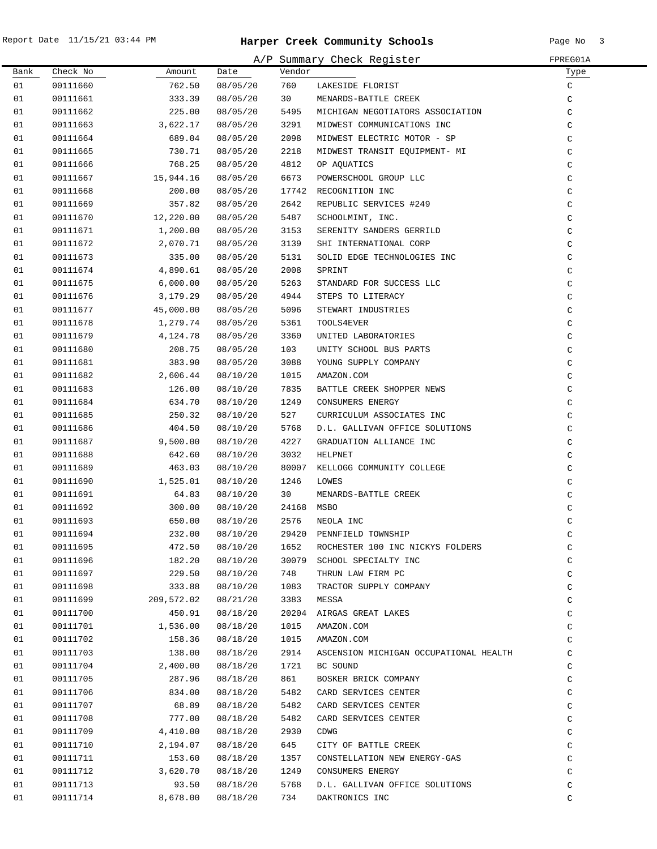| A/P Summary Check Register<br>FPREG01A |          |            |                 |            |                                        |               |  |
|----------------------------------------|----------|------------|-----------------|------------|----------------------------------------|---------------|--|
| Bank                                   | Check No | Amount     | Date            | Vendor     |                                        | Type          |  |
| 01                                     | 00111660 | 762.50     | 08/05/20        | 760        | LAKESIDE FLORIST                       | C             |  |
| 01                                     | 00111661 | 333.39     | 08/05/20        | 30         | MENARDS-BATTLE CREEK                   | C             |  |
| 01                                     | 00111662 | 225.00     | 08/05/20        | 5495       | MICHIGAN NEGOTIATORS ASSOCIATION       | C             |  |
| 01                                     | 00111663 | 3,622.17   | 08/05/20        | 3291       | MIDWEST COMMUNICATIONS INC             | $\mathcal{C}$ |  |
| 01                                     | 00111664 | 689.04     | 08/05/20        | 2098       | MIDWEST ELECTRIC MOTOR - SP            | C             |  |
| 01                                     | 00111665 | 730.71     | 08/05/20        | 2218       | MIDWEST TRANSIT EQUIPMENT- MI          | C             |  |
| 01                                     | 00111666 | 768.25     | 08/05/20        | 4812       | OP AQUATICS                            | C             |  |
| 01                                     | 00111667 | 15,944.16  | 08/05/20        | 6673       | POWERSCHOOL GROUP LLC                  | C             |  |
| 01                                     | 00111668 | 200.00     | 08/05/20        | 17742      | RECOGNITION INC                        | $\mathtt{C}$  |  |
| 01                                     | 00111669 | 357.82     | 08/05/20        | 2642       | REPUBLIC SERVICES #249                 | $\mathtt{C}$  |  |
| 01                                     | 00111670 | 12,220.00  | 08/05/20        | 5487       | SCHOOLMINT, INC.                       | $\mathtt{C}$  |  |
| 01                                     | 00111671 | 1,200.00   | 08/05/20        | 3153       | SERENITY SANDERS GERRILD               | $\mathtt{C}$  |  |
| 01                                     | 00111672 | 2,070.71   | 08/05/20        | 3139       | SHI INTERNATIONAL CORP                 | C             |  |
| 01                                     | 00111673 | 335.00     | 08/05/20        | 5131       | SOLID EDGE TECHNOLOGIES INC            | C             |  |
| 01                                     | 00111674 | 4,890.61   | 08/05/20        | 2008       | SPRINT                                 | $\mathtt{C}$  |  |
| 01                                     | 00111675 | 6,000.00   | 08/05/20        | 5263       | STANDARD FOR SUCCESS LLC               | C             |  |
| 01                                     | 00111676 | 3,179.29   | 08/05/20        | 4944       | STEPS TO LITERACY                      | C             |  |
| 01                                     | 00111677 | 45,000.00  | 08/05/20        | 5096       | STEWART INDUSTRIES                     | C             |  |
| 01                                     | 00111678 | 1,279.74   | 08/05/20        | 5361       | TOOLS4EVER                             | C             |  |
| 01                                     | 00111679 | 4,124.78   | 08/05/20        | 3360       | UNITED LABORATORIES                    | C             |  |
| 01                                     | 00111680 | 208.75     | 08/05/20        | 103        | UNITY SCHOOL BUS PARTS                 | C             |  |
| 01                                     | 00111681 | 383.90     | 08/05/20        | 3088       | YOUNG SUPPLY COMPANY                   | C             |  |
| 01                                     | 00111682 | 2,606.44   | 08/10/20        | 1015       | AMAZON.COM                             | C             |  |
| 01                                     | 00111683 | 126.00     | 08/10/20        | 7835       | BATTLE CREEK SHOPPER NEWS              | C             |  |
| 01                                     | 00111684 | 634.70     | 08/10/20        | 1249       | CONSUMERS ENERGY                       | C             |  |
| 01                                     | 00111685 | 250.32     | 08/10/20        | 527        | CURRICULUM ASSOCIATES INC              | C             |  |
| 01                                     | 00111686 | 404.50     | 08/10/20        | 5768       | D.L. GALLIVAN OFFICE SOLUTIONS         | C             |  |
| 01                                     | 00111687 | 9,500.00   | 08/10/20        | 4227       | GRADUATION ALLIANCE INC                | C             |  |
| 01                                     | 00111688 | 642.60     | 08/10/20        | 3032       | HELPNET                                | $\mathtt{C}$  |  |
| 01                                     | 00111689 | 463.03     | 08/10/20        | 80007      | KELLOGG COMMUNITY COLLEGE              | $\mathtt{C}$  |  |
| 01                                     | 00111690 | 1,525.01   | 08/10/20        | 1246       | LOWES                                  | C             |  |
| 01                                     | 00111691 | 64.83      | 08/10/20        | 30         | MENARDS-BATTLE CREEK                   | C             |  |
| 01                                     | 00111692 | 300.00     | 08/10/20        | 24168 MSBO |                                        | C             |  |
| 01                                     | 00111693 | 650.00     | 08/10/20        |            | 2576 NEOLA INC                         | C             |  |
| 01                                     | 00111694 |            | 232.00 08/10/20 |            | 29420 PENNFIELD TOWNSHIP               | C             |  |
| 01                                     | 00111695 | 472.50     | 08/10/20        | 1652       | ROCHESTER 100 INC NICKYS FOLDERS       | $\rm{C}$      |  |
| 01                                     | 00111696 | 182.20     | 08/10/20        |            | 30079 SCHOOL SPECIALTY INC             | $\mathsf C$   |  |
| 01                                     | 00111697 | 229.50     | 08/10/20        | 748        | THRUN LAW FIRM PC                      | C             |  |
| 01                                     | 00111698 | 333.88     | 08/10/20        | 1083       | TRACTOR SUPPLY COMPANY                 | C             |  |
| 01                                     | 00111699 | 209,572.02 | 08/21/20        | 3383       | MESSA                                  | C             |  |
| 01                                     | 00111700 | 450.91     | 08/18/20        | 20204      | AIRGAS GREAT LAKES                     | C             |  |
| 01                                     | 00111701 | 1,536.00   | 08/18/20        | 1015       | AMAZON.COM                             | C             |  |
| 01                                     | 00111702 | 158.36     | 08/18/20        | 1015       | AMAZON.COM                             | C             |  |
| 01                                     | 00111703 | 138.00     | 08/18/20        | 2914       | ASCENSION MICHIGAN OCCUPATIONAL HEALTH | C             |  |
| 01                                     | 00111704 | 2,400.00   | 08/18/20        | 1721       | BC SOUND                               | C             |  |
| 01                                     | 00111705 | 287.96     | 08/18/20        | 861        | BOSKER BRICK COMPANY                   | C             |  |
| 01                                     | 00111706 | 834.00     | 08/18/20        | 5482       | CARD SERVICES CENTER                   | C             |  |
| 01                                     | 00111707 | 68.89      | 08/18/20        | 5482       | CARD SERVICES CENTER                   | C             |  |
| 01                                     | 00111708 | 777.00     | 08/18/20        | 5482       | CARD SERVICES CENTER                   | C             |  |
| 01                                     | 00111709 | 4,410.00   | 08/18/20        | 2930       | CDWG                                   | C             |  |
| 01                                     | 00111710 | 2,194.07   | 08/18/20        | 645        | CITY OF BATTLE CREEK                   | C             |  |
| 01                                     | 00111711 | 153.60     | 08/18/20        | 1357       | CONSTELLATION NEW ENERGY-GAS           | C             |  |
| 01                                     | 00111712 | 3,620.70   | 08/18/20        | 1249       | CONSUMERS ENERGY                       | C             |  |
| 01                                     | 00111713 | 93.50      | 08/18/20        | 5768       | D.L. GALLIVAN OFFICE SOLUTIONS         | C             |  |
| 01                                     | 00111714 | 8,678.00   | 08/18/20        | 734        | DAKTRONICS INC                         | C             |  |
|                                        |          |            |                 |            |                                        |               |  |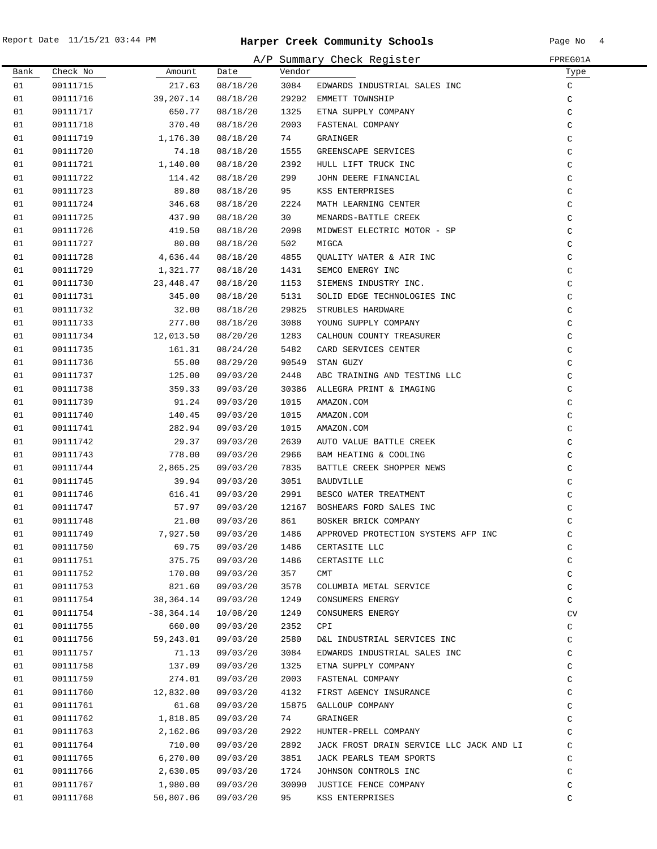|      | A/P Summary Check Register<br>FPREG01A |                         |          |        |                                                                                                                           |              |  |  |  |
|------|----------------------------------------|-------------------------|----------|--------|---------------------------------------------------------------------------------------------------------------------------|--------------|--|--|--|
| Bank | Check No                               | Amount                  | Date     | Vendor |                                                                                                                           | Туре         |  |  |  |
| 01   | 00111715                               | 217.63                  | 08/18/20 | 3084   | EDWARDS INDUSTRIAL SALES INC                                                                                              | $\mathsf{C}$ |  |  |  |
| 01   | 00111716                               | 39,207.14               | 08/18/20 |        | 29202 EMMETT TOWNSHIP                                                                                                     | C            |  |  |  |
| 01   | 00111717                               | 650.77                  | 08/18/20 | 1325   |                                                                                                                           | $\mathsf C$  |  |  |  |
| 01   | 00111718                               | 370.40                  | 08/18/20 | 2003   |                                                                                                                           | $\mathsf C$  |  |  |  |
| 01   | 00111719                               | 1,176.30                | 08/18/20 | 74     |                                                                                                                           | $\mathsf C$  |  |  |  |
| 01   | 00111720                               | 74.18                   | 08/18/20 | 1555   |                                                                                                                           | $\mathsf C$  |  |  |  |
| 01   | 00111721                               | 1,140.00                | 08/18/20 | 2392   |                                                                                                                           | $\mathsf C$  |  |  |  |
| 01   | 00111722                               | 114.42                  | 08/18/20 | 299    | ETNA SUPPLY COMPANY<br>FASTENAL COMPANY<br>GRAINGER<br>GREENSCAPE SERVICES<br>HULL LIFT TRUCK INC<br>JOHN DEERE FINANCIAL | C            |  |  |  |
| 01   | 00111723                               | 89.80                   | 08/18/20 | 95     | KSS ENTERPRISES                                                                                                           | $\mathsf C$  |  |  |  |
| 01   | 00111724                               | 346.68                  | 08/18/20 | 2224   | MATH LEARNING CENTER                                                                                                      | $\mathrm{C}$ |  |  |  |
| 01   | 00111725                               | 437.90                  | 08/18/20 | 30     | MENARDS-BATTLE CREEK                                                                                                      | $\mathsf C$  |  |  |  |
| 01   | 00111726                               | 419.50                  | 08/18/20 | 2098   | MIDWEST ELECTRIC MOTOR - SP                                                                                               | $\mathrm{C}$ |  |  |  |
| 01   | 00111727                               | 80.00                   | 08/18/20 | 502    | MIGCA                                                                                                                     | $\mathsf C$  |  |  |  |
| 01   | 00111728                               | 4,636.44                | 08/18/20 | 4855   | QUALITY WATER & AIR INC                                                                                                   | $\mathsf{C}$ |  |  |  |
| 01   | 00111729                               | 1,321.77                | 08/18/20 | 1431   | SEMCO ENERGY INC                                                                                                          | $\mathsf{C}$ |  |  |  |
| 01   | 00111730                               | 23,448.47               | 08/18/20 | 1153   | SIEMENS INDUSTRY INC.                                                                                                     | $\mathsf C$  |  |  |  |
| 01   | 00111731                               | 345.00                  | 08/18/20 | 5131   | SOLID EDGE TECHNOLOGIES INC                                                                                               | $\mathsf C$  |  |  |  |
| 01   | 00111732                               | 32.00                   | 08/18/20 |        | 29825 STRUBLES HARDWARE                                                                                                   | C            |  |  |  |
| 01   | 00111733                               | 277.00                  | 08/18/20 | 3088   | YOUNG SUPPLY COMPANY                                                                                                      | $\mathsf C$  |  |  |  |
| 01   | 00111734                               | 12,013.50               | 08/20/20 | 1283   | CALHOUN COUNTY TREASURER                                                                                                  | $\mathsf C$  |  |  |  |
| 01   | 00111735                               | 161.31                  | 08/24/20 | 5482   | CARD SERVICES CENTER                                                                                                      | $\mathsf C$  |  |  |  |
| 01   | 00111736                               | 55.00                   | 08/29/20 |        | 90549 STAN GUZY                                                                                                           | $\mathsf C$  |  |  |  |
| 01   | 00111737                               | 125.00                  | 09/03/20 | 2448   | ABC TRAINING AND TESTING LLC                                                                                              | C            |  |  |  |
| 01   | 00111738                               | 359.33                  | 09/03/20 |        | 30386 ALLEGRA PRINT & IMAGING                                                                                             | $\mathsf C$  |  |  |  |
| 01   | 00111739                               | 91.24                   | 09/03/20 | 1015   | AMAZON.COM                                                                                                                | $\mathsf C$  |  |  |  |
| 01   | 00111740                               | 140.45                  | 09/03/20 | 1015   | AMAZON.COM                                                                                                                | $\mathsf C$  |  |  |  |
| 01   | 00111741                               | 282.94                  | 09/03/20 | 1015   | AMAZON.COM                                                                                                                | C            |  |  |  |
| 01   | 00111742                               | 29.37                   | 09/03/20 | 2639   | AUTO VALUE BATTLE CREEK                                                                                                   | C            |  |  |  |
| 01   | 00111743                               | 778.00                  | 09/03/20 | 2966   | BAM HEATING & COOLING                                                                                                     | C            |  |  |  |
| 01   | 00111744                               | 2,865.25                | 09/03/20 | 7835   | BATTLE CREEK SHOPPER NEWS                                                                                                 | $\mathsf C$  |  |  |  |
| 01   | 00111745                               | 39.94                   | 09/03/20 | 3051   | BAUDVILLE                                                                                                                 | $\rm{C}$     |  |  |  |
| 01   | 00111746                               | 616.41                  | 09/03/20 | 2991   | BESCO WATER TREATMENT                                                                                                     | $\rm{C}$     |  |  |  |
| 01   | 00111747                               | 57.97                   | 09/03/20 |        | 12167 BOSHEARS FORD SALES INC                                                                                             | $\rm{C}$     |  |  |  |
| 01   | 00111748                               | 21.00                   | 09/03/20 | 861    | BOSKER BRICK COMPANY                                                                                                      | $\rm{C}$     |  |  |  |
| 01   | 00111749                               | 7,927.50 09/03/20       |          |        | 1486 APPROVED PROTECTION SYSTEMS AFP INC                                                                                  | C            |  |  |  |
| 01   | 00111750                               | 69.75                   | 09/03/20 | 1486   | CERTASITE LLC                                                                                                             | C            |  |  |  |
| 01   | 00111751                               | 375.75                  | 09/03/20 | 1486   | CERTASITE LLC                                                                                                             | C            |  |  |  |
| 01   | 00111752                               | 170.00                  | 09/03/20 | 357    | CMT                                                                                                                       | C            |  |  |  |
| 01   | 00111753                               | 821.60                  | 09/03/20 | 3578   | COLUMBIA METAL SERVICE                                                                                                    | C            |  |  |  |
| 01   | 00111754                               | 38,364.14               | 09/03/20 | 1249   | CONSUMERS ENERGY                                                                                                          | C            |  |  |  |
| 01   |                                        | $00111754$ $-38,364.14$ | 10/08/20 | 1249   | CONSUMERS ENERGY                                                                                                          | CV           |  |  |  |
| 01   | 00111755                               | 660.00                  | 09/03/20 | 2352   | CPI                                                                                                                       | C            |  |  |  |
| 01   | 00111756                               | 59,243.01               | 09/03/20 | 2580   | D&L INDUSTRIAL SERVICES INC                                                                                               | C            |  |  |  |
| 01   | 00111757                               | 71.13                   | 09/03/20 | 3084   | EDWARDS INDUSTRIAL SALES INC                                                                                              | C            |  |  |  |
| 01   | 00111758                               | 137.09                  | 09/03/20 | 1325   | ETNA SUPPLY COMPANY                                                                                                       | C            |  |  |  |
| 01   | 00111759                               | 274.01                  | 09/03/20 | 2003   | FASTENAL COMPANY                                                                                                          | C            |  |  |  |
| 01   | 00111760                               | 12,832.00               | 09/03/20 | 4132   | FIRST AGENCY INSURANCE                                                                                                    | C            |  |  |  |
| 01   | 00111761                               | 61.68                   | 09/03/20 |        | 15875 GALLOUP COMPANY                                                                                                     | C            |  |  |  |
| 01   | 00111762                               | 1,818.85                | 09/03/20 | 74     | GRAINGER                                                                                                                  | C            |  |  |  |
| 01   | 00111763                               | 2,162.06                | 09/03/20 | 2922   | HUNTER-PRELL COMPANY                                                                                                      | $\mathsf C$  |  |  |  |
| 01   | 00111764                               | 710.00                  | 09/03/20 | 2892   | JACK FROST DRAIN SERVICE LLC JACK AND LI                                                                                  | C            |  |  |  |
| 01   | 00111765                               | 6, 270.00               | 09/03/20 | 3851   | JACK PEARLS TEAM SPORTS                                                                                                   | C            |  |  |  |
| 01   | 00111766                               | 2,630.05                | 09/03/20 | 1724   | JOHNSON CONTROLS INC                                                                                                      | C            |  |  |  |
| 01   | 00111767                               | 1,980.00                | 09/03/20 | 95     | 30090 JUSTICE FENCE COMPANY                                                                                               | C            |  |  |  |
| 01   | 00111768                               | 50,807.06               | 09/03/20 |        | KSS ENTERPRISES                                                                                                           | C            |  |  |  |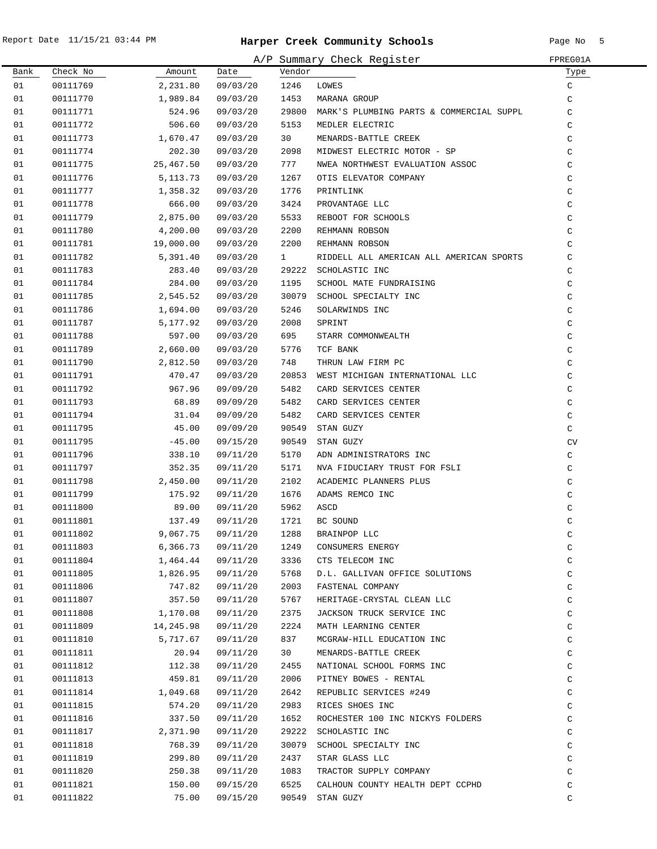|          |                      |                    |                      |               | A/P Summary Check Register                     | FPREG01A     |
|----------|----------------------|--------------------|----------------------|---------------|------------------------------------------------|--------------|
| Bank     | Check No             | Amount             | Date                 | Vendor        |                                                | Туре         |
| 01       | 00111769             | 2,231.80           | 09/03/20             | 1246          | LOWES                                          | C            |
| 01       | 00111770             | 1,989.84           | 09/03/20             | 1453          | MARANA GROUP                                   | C            |
| 01       | 00111771             | 524.96             | 09/03/20             |               | 29800 MARK'S PLUMBING PARTS & COMMERCIAL SUPPL | C            |
| 01       | 00111772             | 506.60             | 09/03/20             | 5153          | MEDLER ELECTRIC                                | C            |
| 01       | 00111773             | 1,670.47           | 09/03/20             | 30            | MENARDS-BATTLE CREEK                           | C            |
| 01       | 00111774             | 202.30             | 09/03/20             | 2098          | MIDWEST ELECTRIC MOTOR - SP                    | C            |
| 01       | 00111775             | 25,467.50          | 09/03/20             | 777           | NWEA NORTHWEST EVALUATION ASSOC                | C            |
| 01       | 00111776             | 5, 113. 73         | 09/03/20             | 1267          | OTIS ELEVATOR COMPANY                          | C            |
| 01       | 00111777             | 1,358.32           | 09/03/20             | 1776          | PRINTLINK                                      | C            |
| 01       | 00111778             | 666.00             | 09/03/20             | 3424          | PROVANTAGE LLC                                 | C            |
| 01       | 00111779             | 2,875.00           | 09/03/20             | 5533          | REBOOT FOR SCHOOLS                             | C            |
| 01       | 00111780             | 4,200.00           | 09/03/20             | 2200          | REHMANN ROBSON                                 | C            |
| 01       | 00111781             | 19,000.00          | 09/03/20             | 2200          | REHMANN ROBSON                                 | C            |
| 01       | 00111782             | 5,391.40           | 09/03/20             | $\mathbf{1}$  | RIDDELL ALL AMERICAN ALL AMERICAN SPORTS       | C            |
| 01       | 00111783             | 283.40             | 09/03/20             | 29222         | SCHOLASTIC INC                                 | C            |
| 01       | 00111784             | 284.00             | 09/03/20             | 1195          | SCHOOL MATE FUNDRAISING                        | C            |
| 01       | 00111785             | 2,545.52           | 09/03/20             | 30079         | SCHOOL SPECIALTY INC                           | C            |
| 01       | 00111786             | 1,694.00           | 09/03/20             | 5246          | SOLARWINDS INC                                 | C            |
| 01       | 00111787             | 5,177.92           | 09/03/20             | 2008          | SPRINT                                         | C            |
| 01       | 00111788             | 597.00             | 09/03/20             | 695           | STARR COMMONWEALTH                             | C            |
| 01       | 00111789             | 2,660.00           | 09/03/20             | 5776          | TCF BANK                                       | C            |
| 01       | 00111790             | 2,812.50           | 09/03/20             | 748           | THRUN LAW FIRM PC                              | C            |
| 01       | 00111791             | 470.47             | 09/03/20             | 20853         | WEST MICHIGAN INTERNATIONAL LLC                | C            |
| 01       | 00111792             | 967.96             | 09/09/20             | 5482          | CARD SERVICES CENTER                           | C            |
| 01       | 00111793             | 68.89              | 09/09/20             | 5482          | CARD SERVICES CENTER                           | C            |
| 01       | 00111794             | 31.04              | 09/09/20             | 5482          | CARD SERVICES CENTER                           | C            |
| 01       | 00111795             | 45.00              | 09/09/20             | 90549         | STAN GUZY                                      | C            |
| 01<br>01 | 00111795<br>00111796 | $-45.00$<br>338.10 | 09/15/20<br>09/11/20 | 90549<br>5170 | STAN GUZY<br>ADN ADMINISTRATORS INC            | CV           |
| 01       | 00111797             | 352.35             | 09/11/20             | 5171          | NVA FIDUCIARY TRUST FOR FSLI                   | C<br>C       |
| 01       | 00111798             | 2,450.00           | 09/11/20             | 2102          | ACADEMIC PLANNERS PLUS                         | C            |
| 01       | 00111799             | 175.92             | 09/11/20             | 1676          | ADAMS REMCO INC                                | C            |
| 01       | 00111800             | 89.00              | 09/11/20             | 5962          | ASCD                                           | C            |
| 01       | 00111801             | 137.49             | 09/11/20             | 1721          | BC SOUND                                       | C            |
| 01       | 00111802             | 9,067.75           | 09/11/20             | 1288          | BRAINPOP LLC                                   | С            |
| 01       | 00111803             | 6,366.73           | 09/11/20             | 1249          | CONSUMERS ENERGY                               | C            |
| 01       | 00111804             | 1,464.44           | 09/11/20             | 3336          | CTS TELECOM INC                                | C            |
| 01       | 00111805             | 1,826.95           | 09/11/20             | 5768          | D.L. GALLIVAN OFFICE SOLUTIONS                 | $\mathtt{C}$ |
| 01       | 00111806             | 747.82             | 09/11/20             | 2003          | FASTENAL COMPANY                               | C            |
| 01       | 00111807             | 357.50             | 09/11/20             | 5767          | HERITAGE-CRYSTAL CLEAN LLC                     | $\mathtt{C}$ |
| 01       | 00111808             | 1,170.08           | 09/11/20             | 2375          | JACKSON TRUCK SERVICE INC                      | C            |
| 01       | 00111809             | 14,245.98          | 09/11/20             | 2224          | MATH LEARNING CENTER                           | C            |
| 01       | 00111810             | 5,717.67           | 09/11/20             | 837           | MCGRAW-HILL EDUCATION INC                      | C            |
| 01       | 00111811             | 20.94              | 09/11/20             | 30            | MENARDS-BATTLE CREEK                           | C            |
| 01       | 00111812             | 112.38             | 09/11/20             | 2455          | NATIONAL SCHOOL FORMS INC                      | $\mathtt{C}$ |
| 01       | 00111813             | 459.81             | 09/11/20             | 2006          | PITNEY BOWES - RENTAL                          | $\mathtt{C}$ |
| 01       | 00111814             | 1,049.68           | 09/11/20             | 2642          | REPUBLIC SERVICES #249                         | C            |
| 01       | 00111815             | 574.20             | 09/11/20             | 2983          | RICES SHOES INC                                | C            |
| 01       | 00111816             | 337.50             | 09/11/20             | 1652          | ROCHESTER 100 INC NICKYS FOLDERS               | C            |
| 01       | 00111817             | 2,371.90           | 09/11/20             | 29222         | SCHOLASTIC INC                                 | C            |
| 01       | 00111818             | 768.39             | 09/11/20             | 30079         | SCHOOL SPECIALTY INC                           | $\mathtt{C}$ |
| 01       | 00111819             | 299.80             | 09/11/20             | 2437          | STAR GLASS LLC                                 | C            |
| 01       | 00111820             | 250.38             | 09/11/20             | 1083          | TRACTOR SUPPLY COMPANY                         | C            |
| 01       | 00111821             | 150.00             | 09/15/20             | 6525          | CALHOUN COUNTY HEALTH DEPT CCPHD               | C            |
| 01       | 00111822             | 75.00              | 09/15/20             | 90549         | STAN GUZY                                      | C            |
|          |                      |                    |                      |               |                                                |              |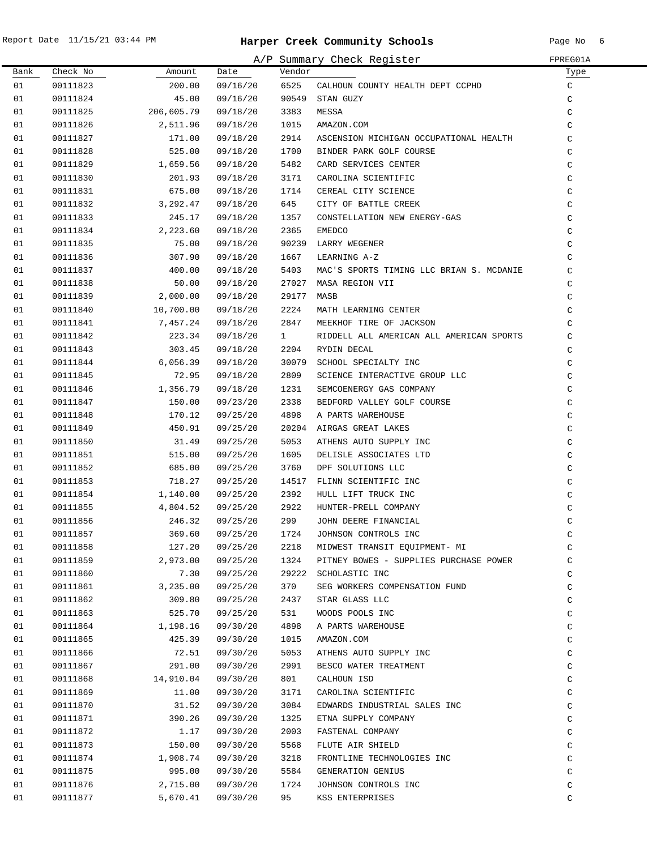|      |          |            |                      |              | A/P Summary Check Register               | FPREG01A     |
|------|----------|------------|----------------------|--------------|------------------------------------------|--------------|
| Bank | Check No | Amount     | Date                 | Vendor       |                                          | Type         |
| 01   | 00111823 | 200.00     | 09/16/20             | 6525         | CALHOUN COUNTY HEALTH DEPT CCPHD         | $\mathtt{C}$ |
| 01   | 00111824 | 45.00      | 09/16/20             |              | 90549 STAN GUZY                          | $\mathsf C$  |
| 01   | 00111825 | 206,605.79 | 09/18/20             | 3383         | MESSA                                    | $\mathsf C$  |
| 01   | 00111826 | 2,511.96   | 09/18/20             | 1015         | AMAZON.COM                               | C            |
| 01   | 00111827 | 171.00     | 09/18/20             | 2914         | ASCENSION MICHIGAN OCCUPATIONAL HEALTH   | C            |
| 01   | 00111828 | 525.00     | 09/18/20             | 1700         | BINDER PARK GOLF COURSE                  | $\mathsf C$  |
| 01   | 00111829 | 1,659.56   | 09/18/20             | 5482         | CARD SERVICES CENTER                     | C            |
| 01   | 00111830 | 201.93     | 09/18/20             | 3171         | CAROLINA SCIENTIFIC                      | $\mathsf C$  |
| 01   | 00111831 | 675.00     | 09/18/20             | 1714         | CEREAL CITY SCIENCE                      | $\mathsf C$  |
| 01   | 00111832 | 3,292.47   | 09/18/20             | 645          | CITY OF BATTLE CREEK                     | $\mathsf C$  |
| 01   | 00111833 | 245.17     | 09/18/20             | 1357         | CONSTELLATION NEW ENERGY-GAS             | $\mathsf C$  |
| 01   | 00111834 | 2,223.60   | 09/18/20             | 2365         | <b>EMEDCO</b>                            | $\mathsf C$  |
| 01   | 00111835 | 75.00      | 09/18/20             | 90239        | LARRY WEGENER                            | $\mathsf C$  |
| 01   | 00111836 | 307.90     | 09/18/20             | 1667         | LEARNING A-Z                             | $\mathsf C$  |
| 01   | 00111837 | 400.00     | 09/18/20             | 5403         | MAC'S SPORTS TIMING LLC BRIAN S. MCDANIE | $\mathsf C$  |
| 01   | 00111838 | 50.00      | 09/18/20             | 27027        | MASA REGION VII                          | $\mathsf C$  |
| 01   | 00111839 | 2,000.00   | 09/18/20             | 29177        | MASB                                     | $\mathsf C$  |
| 01   | 00111840 | 10,700.00  | 09/18/20             | 2224         | MATH LEARNING CENTER                     | $\mathsf C$  |
| 01   | 00111841 | 7,457.24   | 09/18/20             | 2847         | MEEKHOF TIRE OF JACKSON                  | $\mathsf C$  |
| 01   | 00111842 | 223.34     | 09/18/20             | $\mathbf{1}$ | RIDDELL ALL AMERICAN ALL AMERICAN SPORTS | $\mathsf C$  |
| 01   | 00111843 | 303.45     | 09/18/20             | 2204         | RYDIN DECAL                              | $\mathsf C$  |
| 01   | 00111844 | 6,056.39   | 09/18/20             |              | 30079 SCHOOL SPECIALTY INC               | $\mathtt{C}$ |
| 01   | 00111845 | 72.95      | 09/18/20             | 2809         | SCIENCE INTERACTIVE GROUP LLC            | $\mathsf C$  |
| 01   | 00111846 | 1,356.79   | 09/18/20             | 1231         | SEMCOENERGY GAS COMPANY                  | $\mathsf C$  |
| 01   | 00111847 | 150.00     | 09/23/20             | 2338         | BEDFORD VALLEY GOLF COURSE               | $\mathsf C$  |
| 01   | 00111848 | 170.12     | 09/25/20             | 4898         | A PARTS WAREHOUSE                        | $\mathsf C$  |
| 01   | 00111849 | 450.91     | 09/25/20             | 20204        | AIRGAS GREAT LAKES                       | $\mathtt{C}$ |
| 01   | 00111850 | 31.49      | 09/25/20             | 5053         | ATHENS AUTO SUPPLY INC                   | $\mathtt{C}$ |
| 01   | 00111851 | 515.00     | 09/25/20             | 1605         | DELISLE ASSOCIATES LTD                   | $\mathsf C$  |
| 01   | 00111852 | 685.00     | 09/25/20             | 3760         | DPF SOLUTIONS LLC                        | $\mathsf C$  |
| 01   | 00111853 | 718.27     | 09/25/20             | 14517        | FLINN SCIENTIFIC INC                     | $\mathsf C$  |
| 01   |          | 1,140.00   |                      | 2392         | HULL LIFT TRUCK INC                      | $\mathsf C$  |
| 01   | 00111854 |            | 09/25/20<br>09/25/20 | 2922         |                                          | $\mathsf C$  |
| 01   | 00111855 | 4,804.52   |                      | 299          | HUNTER-PRELL COMPANY                     |              |
|      | 00111856 | 246.32     | 09/25/20             |              | JOHN DEERE FINANCIAL                     | $\mathsf C$  |
| 01   | 00111857 | 369.60     | 09/25/20             | 1724         | JOHNSON CONTROLS INC                     | C            |
| 01   | 00111858 | 127.20     | 09/25/20             | 2218         | MIDWEST TRANSIT EQUIPMENT- MI            | $\mathsf C$  |
| 01   | 00111859 | 2,973.00   | 09/25/20             | 1324         | PITNEY BOWES - SUPPLIES PURCHASE POWER   | $\mathsf C$  |
| 01   | 00111860 | 7.30       | 09/25/20             | 29222        | SCHOLASTIC INC                           | $\mathsf C$  |
| 01   | 00111861 | 3,235.00   | 09/25/20             | 370          | SEG WORKERS COMPENSATION FUND            | $\mathtt{C}$ |
| 01   | 00111862 | 309.80     | 09/25/20             | 2437         | STAR GLASS LLC                           | $\mathtt{C}$ |
| 01   | 00111863 | 525.70     | 09/25/20             | 531          | WOODS POOLS INC                          | $\mathtt{C}$ |
| 01   | 00111864 | 1,198.16   | 09/30/20             | 4898         | A PARTS WAREHOUSE                        | $\mathtt{C}$ |
| 01   | 00111865 | 425.39     | 09/30/20             | 1015         | AMAZON.COM                               | $\mathtt{C}$ |
| 01   | 00111866 | 72.51      | 09/30/20             | 5053         | ATHENS AUTO SUPPLY INC                   | $\mathtt{C}$ |
| 01   | 00111867 | 291.00     | 09/30/20             | 2991         | BESCO WATER TREATMENT                    | $\mathtt{C}$ |
| 01   | 00111868 | 14,910.04  | 09/30/20             | 801          | CALHOUN ISD                              | $\mathtt{C}$ |
| 01   | 00111869 | 11.00      | 09/30/20             | 3171         | CAROLINA SCIENTIFIC                      | $\mathtt{C}$ |
| 01   | 00111870 | 31.52      | 09/30/20             | 3084         | EDWARDS INDUSTRIAL SALES INC             | $\mathtt{C}$ |
| 01   | 00111871 | 390.26     | 09/30/20             | 1325         | ETNA SUPPLY COMPANY                      | $\mathtt{C}$ |
| 01   | 00111872 | 1.17       | 09/30/20             | 2003         | FASTENAL COMPANY                         | $\mathsf C$  |
| 01   | 00111873 | 150.00     | 09/30/20             | 5568         | FLUTE AIR SHIELD                         | $\mathtt{C}$ |
| 01   | 00111874 | 1,908.74   | 09/30/20             | 3218         | FRONTLINE TECHNOLOGIES INC               | $\mathsf C$  |
| 01   | 00111875 | 995.00     | 09/30/20             | 5584         | GENERATION GENIUS                        | C            |
| 01   | 00111876 | 2,715.00   | 09/30/20             | 1724         | JOHNSON CONTROLS INC                     | C            |
| 01   | 00111877 | 5,670.41   | 09/30/20             | 95           | KSS ENTERPRISES                          | $\mathsf C$  |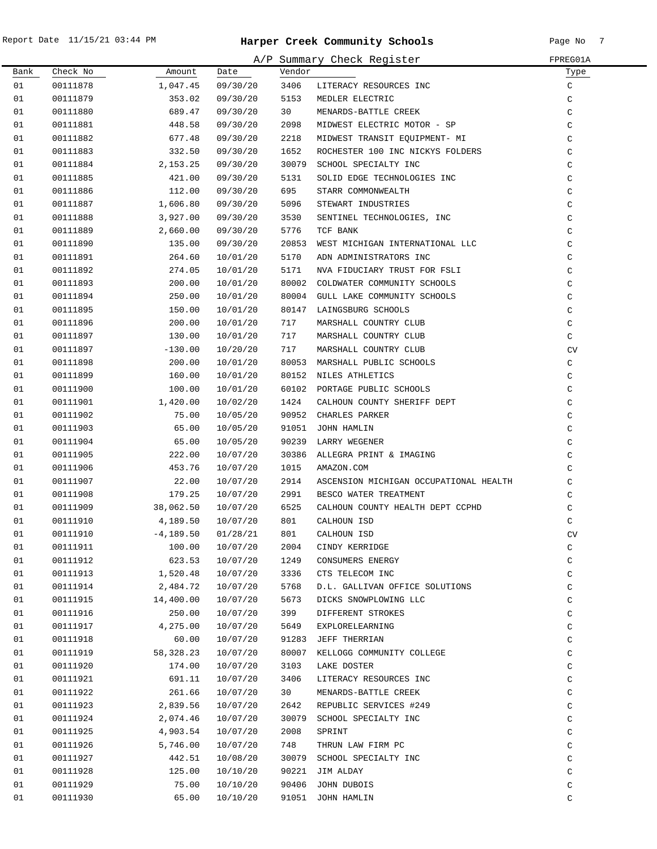|      |          |              |          |        | A/P Summary Check Register             | FPREG01A     |
|------|----------|--------------|----------|--------|----------------------------------------|--------------|
| Bank | Check No | Amount       | Date     | Vendor |                                        | Туре         |
| 01   | 00111878 | 1,047.45     | 09/30/20 | 3406   | LITERACY RESOURCES INC                 | C            |
| 01   | 00111879 | 353.02       | 09/30/20 | 5153   | MEDLER ELECTRIC                        | $\mathtt{C}$ |
| 01   | 00111880 | 689.47       | 09/30/20 | 30     | MENARDS-BATTLE CREEK                   | C            |
| 01   | 00111881 | 448.58       | 09/30/20 | 2098   | MIDWEST ELECTRIC MOTOR - SP            | C            |
| 01   | 00111882 | 677.48       | 09/30/20 | 2218   | MIDWEST TRANSIT EQUIPMENT- MI          | C            |
| 01   | 00111883 | 332.50       | 09/30/20 | 1652   | ROCHESTER 100 INC NICKYS FOLDERS       | C            |
| 01   | 00111884 | 2,153.25     | 09/30/20 | 30079  | SCHOOL SPECIALTY INC                   | C            |
| 01   | 00111885 | 421.00       | 09/30/20 | 5131   | SOLID EDGE TECHNOLOGIES INC            | C            |
| 01   | 00111886 | 112.00       | 09/30/20 | 695    | STARR COMMONWEALTH                     | $\mathsf C$  |
| 01   | 00111887 | 1,606.80     | 09/30/20 | 5096   | STEWART INDUSTRIES                     | $\mathsf C$  |
| 01   | 00111888 | 3,927.00     | 09/30/20 | 3530   | SENTINEL TECHNOLOGIES, INC             | C            |
| 01   | 00111889 | 2,660.00     | 09/30/20 | 5776   | TCF BANK                               | $\mathsf C$  |
| 01   | 00111890 | 135.00       | 09/30/20 | 20853  | WEST MICHIGAN INTERNATIONAL LLC        | $\mathsf C$  |
| 01   | 00111891 | 264.60       | 10/01/20 | 5170   | ADN ADMINISTRATORS INC                 | C            |
| 01   | 00111892 | 274.05       | 10/01/20 | 5171   | NVA FIDUCIARY TRUST FOR FSLI           | C            |
| 01   | 00111893 | 200.00       | 10/01/20 | 80002  | COLDWATER COMMUNITY SCHOOLS            | C            |
| 01   | 00111894 | 250.00       | 10/01/20 | 80004  | GULL LAKE COMMUNITY SCHOOLS            | C            |
| 01   | 00111895 | 150.00       | 10/01/20 | 80147  | LAINGSBURG SCHOOLS                     | C            |
| 01   | 00111896 | 200.00       | 10/01/20 | 717    | MARSHALL COUNTRY CLUB                  | C            |
| 01   | 00111897 | 130.00       | 10/01/20 | 717    | MARSHALL COUNTRY CLUB                  | C            |
| 01   | 00111897 | $-130.00$    | 10/20/20 | 717    | MARSHALL COUNTRY CLUB                  | CV           |
| 01   | 00111898 | 200.00       | 10/01/20 |        | 80053 MARSHALL PUBLIC SCHOOLS          | $\mathtt{C}$ |
| 01   | 00111899 | 160.00       | 10/01/20 |        | 80152 NILES ATHLETICS                  | C            |
| 01   | 00111900 | 100.00       | 10/01/20 |        | 60102 PORTAGE PUBLIC SCHOOLS           | C            |
| 01   | 00111901 | 1,420.00     | 10/02/20 | 1424   | CALHOUN COUNTY SHERIFF DEPT            | C            |
| 01   | 00111902 | 75.00        | 10/05/20 | 90952  | CHARLES PARKER                         | C            |
| 01   | 00111903 | 65.00        | 10/05/20 | 91051  | JOHN HAMLIN                            | C            |
| 01   | 00111904 | 65.00        | 10/05/20 | 90239  | LARRY WEGENER                          | C            |
| 01   | 00111905 | 222.00       | 10/07/20 | 30386  | ALLEGRA PRINT & IMAGING                | $\mathsf C$  |
| 01   | 00111906 | 453.76       | 10/07/20 | 1015   | AMAZON.COM                             | C            |
| 01   | 00111907 | 22.00        | 10/07/20 | 2914   | ASCENSION MICHIGAN OCCUPATIONAL HEALTH | C            |
| 01   | 00111908 | 179.25       | 10/07/20 | 2991   | BESCO WATER TREATMENT                  | C            |
| 01   | 00111909 | 38,062.50    | 10/07/20 | 6525   | CALHOUN COUNTY HEALTH DEPT CCPHD       | $\mathsf C$  |
| 01   | 00111910 | 4,189.50     | 10/07/20 | 801    | CALHOUN ISD                            | C            |
| 01   | 00111910 | $-4, 189.50$ | 01/28/21 | 801    | CALHOUN ISD                            | CV           |
| 01   | 00111911 | 100.00       | 10/07/20 | 2004   | CINDY KERRIDGE                         | C            |
| 01   | 00111912 | 623.53       | 10/07/20 | 1249   | CONSUMERS ENERGY                       | C            |
| 01   | 00111913 | 1,520.48     | 10/07/20 | 3336   | CTS TELECOM INC                        | C            |
| 01   | 00111914 | 2,484.72     | 10/07/20 | 5768   | D.L. GALLIVAN OFFICE SOLUTIONS         | C            |
| 01   | 00111915 | 14,400.00    | 10/07/20 | 5673   | DICKS SNOWPLOWING LLC                  | C            |
| 01   | 00111916 | 250.00       | 10/07/20 | 399    | DIFFERENT STROKES                      | C            |
| 01   | 00111917 | 4,275.00     | 10/07/20 | 5649   | EXPLORELEARNING                        | $\mathtt{C}$ |
| 01   | 00111918 | 60.00        | 10/07/20 | 91283  | JEFF THERRIAN                          | $\mathtt{C}$ |
| 01   | 00111919 | 58,328.23    | 10/07/20 | 80007  | KELLOGG COMMUNITY COLLEGE              | $\mathtt{C}$ |
| 01   | 00111920 | 174.00       | 10/07/20 | 3103   | LAKE DOSTER                            | C            |
| 01   | 00111921 | 691.11       | 10/07/20 | 3406   | LITERACY RESOURCES INC                 | C            |
| 01   | 00111922 | 261.66       | 10/07/20 | 30     | MENARDS-BATTLE CREEK                   | C            |
| 01   | 00111923 | 2,839.56     | 10/07/20 | 2642   | REPUBLIC SERVICES #249                 | C            |
| 01   | 00111924 | 2,074.46     | 10/07/20 | 30079  | SCHOOL SPECIALTY INC                   | C            |
| 01   | 00111925 | 4,903.54     | 10/07/20 | 2008   | SPRINT                                 | C            |
| 01   | 00111926 | 5,746.00     | 10/07/20 | 748    | THRUN LAW FIRM PC                      | $\mathtt{C}$ |
| 01   | 00111927 | 442.51       | 10/08/20 | 30079  | SCHOOL SPECIALTY INC                   | C            |
| 01   | 00111928 | 125.00       | 10/10/20 |        | 90221 JIM ALDAY                        | C            |
| 01   | 00111929 | 75.00        | 10/10/20 | 90406  | JOHN DUBOIS                            | C            |
| 01   | 00111930 | 65.00        | 10/10/20 | 91051  | JOHN HAMLIN                            | C            |
|      |          |              |          |        |                                        |              |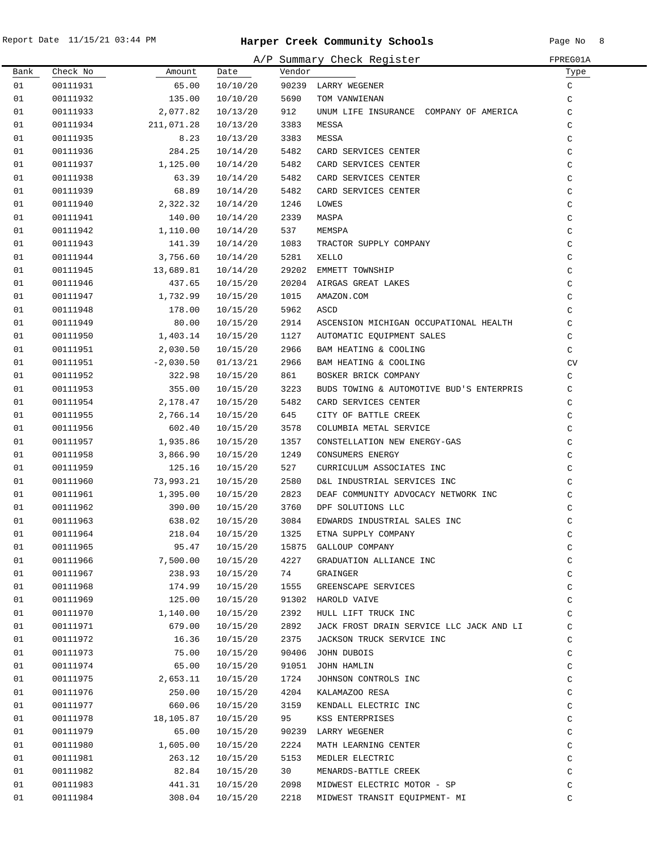|      |          |             |                      |        | A/P Summary Check Register               | FPREG01A      |
|------|----------|-------------|----------------------|--------|------------------------------------------|---------------|
| Bank | Check No | Amount      | Date                 | Vendor |                                          | Туре          |
| 01   | 00111931 | 65.00       | 10/10/20             |        | 90239 LARRY WEGENER                      | C             |
| 01   | 00111932 | 135.00      | 10/10/20             | 5690   | TOM VANWIENAN                            | C             |
| 01   | 00111933 | 2,077.82    | 10/13/20             | 912    | UNUM LIFE INSURANCE COMPANY OF AMERICA   | $\mathsf C$   |
| 01   | 00111934 | 211,071.28  | 10/13/20             | 3383   | MESSA                                    | C             |
| 01   | 00111935 | 8.23        | 10/13/20             | 3383   | MESSA                                    | C             |
| 01   | 00111936 | 284.25      | 10/14/20             | 5482   | CARD SERVICES CENTER                     | C             |
| 01   | 00111937 | 1,125.00    | 10/14/20             | 5482   | CARD SERVICES CENTER                     | $\mathsf C$   |
| 01   | 00111938 | 63.39       | 10/14/20             | 5482   | CARD SERVICES CENTER                     | $\mathsf C$   |
| 01   | 00111939 | 68.89       | 10/14/20             | 5482   | CARD SERVICES CENTER                     | $\mathsf C$   |
| 01   | 00111940 | 2,322.32    | 10/14/20             | 1246   | LOWES                                    | $\mathsf C$   |
| 01   | 00111941 | 140.00      | 10/14/20             | 2339   | MASPA                                    | $\mathsf C$   |
| 01   | 00111942 | 1,110.00    | 10/14/20             | 537    | MEMSPA                                   | $\mathsf C$   |
| 01   | 00111943 | 141.39      | 10/14/20             | 1083   | TRACTOR SUPPLY COMPANY                   | $\mathsf C$   |
| 01   | 00111944 | 3,756.60    | 10/14/20             | 5281   | XELLO                                    | $\mathsf C$   |
| 01   | 00111945 | 13,689.81   | 10/14/20             | 29202  | EMMETT TOWNSHIP                          | $\mathsf C$   |
| 01   | 00111946 | 437.65      | 10/15/20             | 20204  | AIRGAS GREAT LAKES                       | $\mathsf C$   |
| 01   | 00111947 | 1,732.99    | 10/15/20             | 1015   | AMAZON.COM                               | C             |
| 01   | 00111948 | 178.00      | 10/15/20             | 5962   | ASCD                                     | $\mathsf C$   |
| 01   | 00111949 | 80.00       | 10/15/20             | 2914   | ASCENSION MICHIGAN OCCUPATIONAL HEALTH   | $\mathsf C$   |
| 01   | 00111950 | 1,403.14    | 10/15/20             | 1127   | AUTOMATIC EQUIPMENT SALES                | C             |
| 01   | 00111951 | 2,030.50    | 10/15/20             | 2966   | BAM HEATING & COOLING                    | C             |
| 01   | 00111951 | $-2,030.50$ | 01/13/21             | 2966   | BAM HEATING & COOLING                    | CV            |
| 01   | 00111952 | 322.98      | 10/15/20             | 861    | BOSKER BRICK COMPANY                     | C             |
| 01   | 00111953 | 355.00      | 10/15/20             | 3223   | BUDS TOWING & AUTOMOTIVE BUD'S ENTERPRIS | C             |
| 01   | 00111954 | 2,178.47    | 10/15/20             | 5482   | CARD SERVICES CENTER                     | C             |
| 01   | 00111955 | 2,766.14    | 10/15/20             | 645    | CITY OF BATTLE CREEK                     | C             |
| 01   | 00111956 | 602.40      | 10/15/20             | 3578   | COLUMBIA METAL SERVICE                   | C             |
| 01   | 00111957 | 1,935.86    | 10/15/20             | 1357   | CONSTELLATION NEW ENERGY-GAS             | $\mathsf C$   |
| 01   | 00111958 | 3,866.90    | 10/15/20             | 1249   | CONSUMERS ENERGY                         | $\mathsf C$   |
| 01   | 00111959 | 125.16      | 10/15/20             | 527    | CURRICULUM ASSOCIATES INC                | $\mathcal{C}$ |
| 01   | 00111960 | 73,993.21   | 10/15/20             | 2580   | D&L INDUSTRIAL SERVICES INC              | $\mathcal{C}$ |
| 01   | 00111961 | 1,395.00    | 10/15/20             | 2823   | DEAF COMMUNITY ADVOCACY NETWORK INC      | C             |
| 01   | 00111962 | 390.00      | 10/15/20             | 3760   | DPF SOLUTIONS LLC                        | C             |
| 01   | 00111963 | 638.02      | 10/15/20             | 3084   | EDWARDS INDUSTRIAL SALES INC             | $\mathsf C$   |
| 01   | 00111964 | 218.04      | 10/15/20             | 1325   | ETNA SUPPLY COMPANY                      | C             |
| 01   | 00111965 | 95.47       | 10/15/20             | 15875  | GALLOUP COMPANY                          | $\rm{C}$      |
| 01   | 00111966 | 7,500.00    | 10/15/20             | 4227   | GRADUATION ALLIANCE INC                  | $\rm{C}$      |
| 01   | 00111967 | 238.93      | 10/15/20             | 74     | GRAINGER                                 | $\rm{C}$      |
| 01   | 00111968 | 174.99      | 10/15/20             | 1555   | GREENSCAPE SERVICES                      | $\rm{C}$      |
| 01   | 00111969 | 125.00      | 10/15/20             | 91302  | HAROLD VAIVE                             | $\rm{C}$      |
| 01   | 00111970 | 1,140.00    | 10/15/20             | 2392   | HULL LIFT TRUCK INC                      | C             |
| 01   | 00111971 | 679.00      | 10/15/20             | 2892   | JACK FROST DRAIN SERVICE LLC JACK AND LI | C             |
| 01   | 00111972 | 16.36       | 10/15/20             | 2375   | JACKSON TRUCK SERVICE INC                | C             |
| 01   | 00111973 | 75.00       | 10/15/20             | 90406  | JOHN DUBOIS                              | C             |
| 01   | 00111974 | 65.00       | 10/15/20             | 91051  | JOHN HAMLIN                              | C             |
| 01   | 00111975 | 2,653.11    |                      | 1724   | JOHNSON CONTROLS INC                     |               |
| 01   | 00111976 | 250.00      | 10/15/20<br>10/15/20 | 4204   | KALAMAZOO RESA                           | C<br>C        |
| 01   | 00111977 | 660.06      | 10/15/20             | 3159   |                                          | C             |
| 01   |          | 18,105.87   |                      | 95     | KENDALL ELECTRIC INC<br>KSS ENTERPRISES  | C             |
|      | 00111978 |             | 10/15/20             |        |                                          |               |
| 01   | 00111979 | 65.00       | 10/15/20             | 90239  | LARRY WEGENER                            | C             |
| 01   | 00111980 | 1,605.00    | 10/15/20             | 2224   | MATH LEARNING CENTER                     | C             |
| 01   | 00111981 | 263.12      | 10/15/20             | 5153   | MEDLER ELECTRIC                          | C             |
| 01   | 00111982 | 82.84       | 10/15/20             | 30     | MENARDS-BATTLE CREEK                     | C             |
| 01   | 00111983 | 441.31      | 10/15/20             | 2098   | MIDWEST ELECTRIC MOTOR - SP              | C             |
| 01   | 00111984 | 308.04      | 10/15/20             | 2218   | MIDWEST TRANSIT EQUIPMENT- MI            | C             |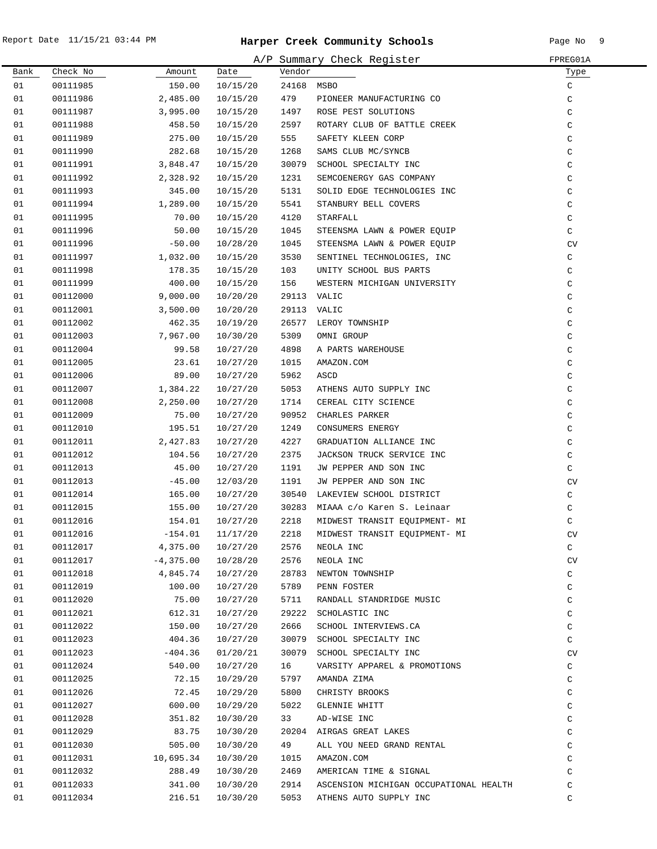.

|      |          |             |          |        | A/P Summary Check Register             | FPREG01A     |
|------|----------|-------------|----------|--------|----------------------------------------|--------------|
| Bank | Check No | Amount      | Date     | Vendor |                                        | Type         |
| 01   | 00111985 | 150.00      | 10/15/20 | 24168  | MSBO                                   | C            |
| 01   | 00111986 | 2,485.00    | 10/15/20 | 479    | PIONEER MANUFACTURING CO               | C            |
| 01   | 00111987 | 3,995.00    | 10/15/20 | 1497   | ROSE PEST SOLUTIONS                    | $\mathsf C$  |
| 01   | 00111988 | 458.50      | 10/15/20 | 2597   | ROTARY CLUB OF BATTLE CREEK            | C            |
| 01   | 00111989 | 275.00      | 10/15/20 | 555    | SAFETY KLEEN CORP                      | C            |
| 01   | 00111990 | 282.68      | 10/15/20 | 1268   | SAMS CLUB MC/SYNCB                     | $\mathsf C$  |
| 01   | 00111991 | 3,848.47    | 10/15/20 | 30079  | SCHOOL SPECIALTY INC                   | $\mathsf C$  |
| 01   | 00111992 | 2,328.92    | 10/15/20 | 1231   | SEMCOENERGY GAS COMPANY                | $\mathtt{C}$ |
| 01   | 00111993 | 345.00      | 10/15/20 | 5131   | SOLID EDGE TECHNOLOGIES INC            | $\mathsf C$  |
| 01   | 00111994 | 1,289.00    | 10/15/20 | 5541   | STANBURY BELL COVERS                   | $\mathsf C$  |
| 01   | 00111995 | 70.00       | 10/15/20 | 4120   | STARFALL                               | $\mathsf C$  |
| 01   | 00111996 | 50.00       | 10/15/20 | 1045   | STEENSMA LAWN & POWER EQUIP            | $\mathsf C$  |
| 01   | 00111996 | $-50.00$    | 10/28/20 | 1045   | STEENSMA LAWN & POWER EQUIP            | CV           |
| 01   | 00111997 | 1,032.00    | 10/15/20 | 3530   | SENTINEL TECHNOLOGIES, INC             | $\mathtt{C}$ |
| 01   | 00111998 | 178.35      | 10/15/20 | 103    | UNITY SCHOOL BUS PARTS                 | $\mathsf C$  |
| 01   | 00111999 | 400.00      | 10/15/20 | 156    | WESTERN MICHIGAN UNIVERSITY            | $\mathsf C$  |
| 01   | 00112000 | 9,000.00    | 10/20/20 |        | 29113 VALIC                            | $\mathsf C$  |
| 01   | 00112001 | 3,500.00    | 10/20/20 | 29113  | VALIC                                  | $\mathsf{C}$ |
| 01   | 00112002 | 462.35      | 10/19/20 | 26577  | LEROY TOWNSHIP                         | $\mathsf C$  |
| 01   | 00112003 | 7,967.00    | 10/30/20 | 5309   | OMNI GROUP                             | $\mathsf C$  |
| 01   | 00112004 | 99.58       | 10/27/20 | 4898   | A PARTS WAREHOUSE                      | $\mathsf{C}$ |
| 01   | 00112005 | 23.61       | 10/27/20 | 1015   | AMAZON.COM                             | $\mathsf C$  |
| 01   | 00112006 | 89.00       | 10/27/20 | 5962   | ASCD                                   | C            |
| 01   | 00112007 | 1,384.22    | 10/27/20 | 5053   | ATHENS AUTO SUPPLY INC                 | $\rm{C}$     |
| 01   | 00112008 | 2,250.00    | 10/27/20 | 1714   | CEREAL CITY SCIENCE                    | $\mathsf C$  |
| 01   | 00112009 | 75.00       | 10/27/20 | 90952  | CHARLES PARKER                         | $\mathtt{C}$ |
| 01   | 00112010 | 195.51      | 10/27/20 | 1249   | CONSUMERS ENERGY                       | $\rm{C}$     |
| 01   | 00112011 | 2,427.83    | 10/27/20 | 4227   | GRADUATION ALLIANCE INC                | $\mathtt{C}$ |
| 01   | 00112012 | 104.56      | 10/27/20 | 2375   | JACKSON TRUCK SERVICE INC              | $\rm{C}$     |
| 01   | 00112013 | 45.00       | 10/27/20 | 1191   | JW PEPPER AND SON INC                  | C            |
| 01   | 00112013 | $-45.00$    | 12/03/20 | 1191   | JW PEPPER AND SON INC                  | CV           |
| 01   | 00112014 | 165.00      | 10/27/20 | 30540  | LAKEVIEW SCHOOL DISTRICT               | $\mathtt{C}$ |
| 01   | 00112015 | 155.00      | 10/27/20 | 30283  | MIAAA c/o Karen S. Leinaar             | $\mathtt{C}$ |
| 01   | 00112016 | 154.01      | 10/27/20 | 2218   | MIDWEST TRANSIT EOUIPMENT- MI          | $\mathsf C$  |
| 01   | 00112016 | $-154.01$   | 11/17/20 | 2218   | MIDWEST TRANSIT EQUIPMENT- MI          | CV           |
| 01   | 00112017 | 4,375.00    | 10/27/20 | 2576   | NEOLA INC                              | C            |
| 01   | 00112017 | $-4,375.00$ | 10/28/20 | 2576   | NEOLA INC                              | ${\rm CV}$   |
| 01   | 00112018 | 4,845.74    | 10/27/20 | 28783  | NEWTON TOWNSHIP                        | $\mathtt{C}$ |
| 01   | 00112019 | 100.00      | 10/27/20 | 5789   | PENN FOSTER                            | $\mathsf C$  |
| 01   | 00112020 | 75.00       | 10/27/20 | 5711   | RANDALL STANDRIDGE MUSIC               | $\mathsf C$  |
| 01   | 00112021 | 612.31      | 10/27/20 | 29222  | SCHOLASTIC INC                         | $\mathsf C$  |
| 01   | 00112022 | 150.00      | 10/27/20 | 2666   | SCHOOL INTERVIEWS.CA                   | C            |
| 01   | 00112023 | 404.36      | 10/27/20 | 30079  | SCHOOL SPECIALTY INC                   | C            |
| 01   | 00112023 | $-404.36$   | 01/20/21 | 30079  | SCHOOL SPECIALTY INC                   | CV           |
| 01   | 00112024 | 540.00      | 10/27/20 | 16     | VARSITY APPAREL & PROMOTIONS           | $\mathtt{C}$ |
| 01   | 00112025 | 72.15       | 10/29/20 | 5797   | AMANDA ZIMA                            | $\rm{C}$     |
| 01   | 00112026 | 72.45       | 10/29/20 | 5800   | CHRISTY BROOKS                         | $\rm{C}$     |
| 01   | 00112027 | 600.00      | 10/29/20 | 5022   | <b>GLENNIE WHITT</b>                   | C            |
| 01   | 00112028 | 351.82      | 10/30/20 | 33     | AD-WISE INC                            | $\rm{C}$     |
| 01   | 00112029 | 83.75       | 10/30/20 |        | 20204 AIRGAS GREAT LAKES               | $\mathtt{C}$ |
| 01   | 00112030 | 505.00      | 10/30/20 | 49     | ALL YOU NEED GRAND RENTAL              | C            |
| 01   | 00112031 | 10,695.34   | 10/30/20 | 1015   | AMAZON.COM                             | C            |
| 01   | 00112032 | 288.49      | 10/30/20 | 2469   | AMERICAN TIME & SIGNAL                 | C            |
| 01   | 00112033 | 341.00      | 10/30/20 | 2914   | ASCENSION MICHIGAN OCCUPATIONAL HEALTH | C            |
| 01   | 00112034 | 216.51      | 10/30/20 | 5053   | ATHENS AUTO SUPPLY INC                 | C            |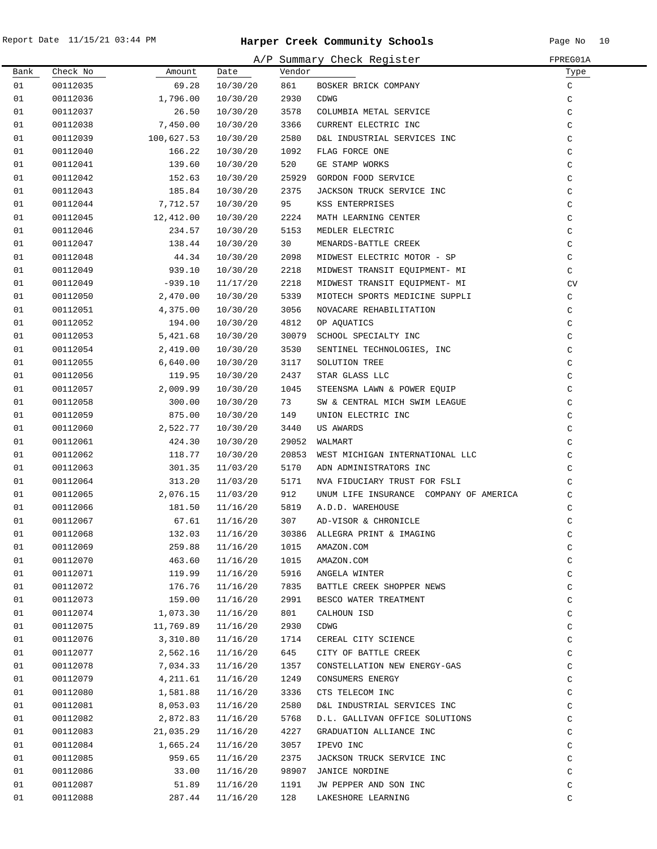|          |                      |                      |                      |              | A/P Summary Check Register             | FPREG01A             |
|----------|----------------------|----------------------|----------------------|--------------|----------------------------------------|----------------------|
| Bank     | Check No             | Amount               | Date                 | Vendor       |                                        | Туре                 |
| 01       | 00112035             | 69.28                | 10/30/20             | 861          | BOSKER BRICK COMPANY                   | $\rm{C}$             |
| 01       | 00112036             | 1,796.00             | 10/30/20             | 2930         | CDWG                                   | $\rm{C}$             |
| 01       | 00112037             | 26.50                | 10/30/20             | 3578         | COLUMBIA METAL SERVICE                 | $\rm{C}$             |
| 01       | 00112038             | 7,450.00             | 10/30/20             | 3366         | CURRENT ELECTRIC INC                   | $\rm{C}$             |
| 01       | 00112039             | 100,627.53           | 10/30/20             | 2580         | D&L INDUSTRIAL SERVICES INC            | $\rm{C}$             |
| 01       | 00112040             | 166.22               | 10/30/20             | 1092         | FLAG FORCE ONE                         | $\rm{C}$             |
| 01       | 00112041             | 139.60               | 10/30/20             | 520          | GE STAMP WORKS                         | $\rm{C}$             |
| 01       | 00112042             | 152.63               | 10/30/20             | 25929        | GORDON FOOD SERVICE                    | $\rm{C}$             |
| 01       | 00112043             | 185.84               | 10/30/20             | 2375         | JACKSON TRUCK SERVICE INC              | $\rm{C}$             |
| 01       | 00112044             | 7,712.57             | 10/30/20             | 95           | KSS ENTERPRISES                        | C                    |
| 01       | 00112045             | 12,412.00            | 10/30/20             | 2224         | MATH LEARNING CENTER                   | $\rm{C}$             |
| 01       | 00112046             | 234.57               | 10/30/20             | 5153         | MEDLER ELECTRIC                        | $\mathsf C$          |
| 01       | 00112047             | 138.44               | 10/30/20             | 30           | MENARDS-BATTLE CREEK                   | C                    |
| 01       | 00112048             | 44.34                | 10/30/20             | 2098         | MIDWEST ELECTRIC MOTOR - SP            | C                    |
| 01       | 00112049             | 939.10               | 10/30/20             | 2218         | MIDWEST TRANSIT EQUIPMENT- MI          | C                    |
| 01       | 00112049             | $-939.10$            | 11/17/20             | 2218         | MIDWEST TRANSIT EQUIPMENT- MI          | CV                   |
| 01       | 00112050             | 2,470.00             | 10/30/20             | 5339         | MIOTECH SPORTS MEDICINE SUPPLI         | C                    |
| 01       | 00112051             | 4,375.00             | 10/30/20             | 3056         | NOVACARE REHABILITATION                | C                    |
| 01       | 00112052             | 194.00               | 10/30/20             | 4812         | OP AQUATICS                            | C                    |
| 01       | 00112053             | 5,421.68             | 10/30/20             | 30079        | SCHOOL SPECIALTY INC                   | C                    |
| 01       | 00112054             | 2,419.00             | 10/30/20             | 3530         | SENTINEL TECHNOLOGIES, INC             | $\mathsf C$          |
| 01       | 00112055             | 6,640.00             | 10/30/20             | 3117         | SOLUTION TREE                          | $\mathsf C$          |
| 01       | 00112056             | 119.95               | 10/30/20             | 2437         | STAR GLASS LLC                         | $\rm{C}$             |
| 01       | 00112057             | 2,009.99             | 10/30/20             | 1045         | STEENSMA LAWN & POWER EQUIP            | $\rm{C}$             |
| 01       | 00112058             | 300.00               | 10/30/20             | 73           | SW & CENTRAL MICH SWIM LEAGUE          | C                    |
| 01       | 00112059             | 875.00               | 10/30/20             | 149          | UNION ELECTRIC INC                     | $\rm{C}$             |
| 01       | 00112060             | 2,522.77             | 10/30/20             | 3440         | US AWARDS                              | C                    |
| 01       | 00112061             | 424.30               | 10/30/20             | 29052        | WALMART                                | C                    |
| 01       | 00112062             | 118.77               | 10/30/20             | 20853        | WEST MICHIGAN INTERNATIONAL LLC        | C                    |
| 01       | 00112063             | 301.35               | 11/03/20             | 5170         | ADN ADMINISTRATORS INC                 | C                    |
| 01       | 00112064             | 313.20               | 11/03/20             | 5171         | NVA FIDUCIARY TRUST FOR FSLI           | $\mathsf C$          |
| 01       | 00112065             | 2,076.15             | 11/03/20             | 912          | UNUM LIFE INSURANCE COMPANY OF AMERICA | $\mathsf C$          |
| 01       | 00112066             | 181.50               | 11/16/20             | 5819         | A.D.D. WAREHOUSE                       | $\mathsf C$          |
| 01       | 00112067             | 67.61                | 11/16/20             | 307          | AD-VISOR & CHRONICLE                   | $\mathsf C$          |
| 01       | 00112068             | 132.03               | 11/16/20             | 30386        | ALLEGRA PRINT & IMAGING                | C                    |
| 01       | 00112069             | 259.88               | 11/16/20             | 1015         | AMAZON.COM                             | $\rm{C}$             |
| 01       | 00112070             | 463.60               | 11/16/20             | 1015         | AMAZON.COM                             | $\rm{C}$             |
| 01       | 00112071             | 119.99               | 11/16/20             | 5916         | ANGELA WINTER                          | $\rm{C}$             |
| 01       | 00112072             | 176.76               | 11/16/20             | 7835         | BATTLE CREEK SHOPPER NEWS              | C                    |
| 01       | 00112073             | 159.00               | 11/16/20             | 2991         | BESCO WATER TREATMENT                  | $\rm{C}$             |
| 01       | 00112074             | 1,073.30             | 11/16/20             | 801          | CALHOUN ISD                            | C                    |
| 01       | 00112075             | 11,769.89            | 11/16/20             | 2930         | CDWG                                   | $\rm{C}$             |
| 01       | 00112076             | 3,310.80             | 11/16/20             | 1714         | CEREAL CITY SCIENCE                    | $\rm{C}$             |
| 01       | 00112077             | 2,562.16             | 11/16/20             | 645          | CITY OF BATTLE CREEK                   | $\rm{C}$             |
| 01       | 00112078             | 7,034.33             | 11/16/20             | 1357         | CONSTELLATION NEW ENERGY-GAS           | $\rm{C}$             |
| 01       |                      |                      |                      |              |                                        |                      |
| 01       | 00112079<br>00112080 | 4,211.61<br>1,581.88 | 11/16/20<br>11/16/20 | 1249<br>3336 | CONSUMERS ENERGY<br>CTS TELECOM INC    | $\rm{C}$<br>$\rm{C}$ |
| 01       | 00112081             | 8,053.03             |                      | 2580         |                                        | $\rm{C}$             |
| 01       | 00112082             | 2,872.83             | 11/16/20             | 5768         | D&L INDUSTRIAL SERVICES INC            | $\rm{C}$             |
|          |                      |                      | 11/16/20             |              | D.L. GALLIVAN OFFICE SOLUTIONS         |                      |
| 01<br>01 | 00112083             | 21,035.29            | 11/16/20             | 4227         | GRADUATION ALLIANCE INC                | C                    |
|          | 00112084             | 1,665.24             | 11/16/20             | 3057         | IPEVO INC                              | $\rm{C}$             |
| 01       | 00112085             | 959.65               | 11/16/20             | 2375         | JACKSON TRUCK SERVICE INC              | C                    |
| 01       | 00112086             | 33.00                | 11/16/20             | 98907        | JANICE NORDINE                         | C                    |
| 01       | 00112087             | 51.89                | 11/16/20             | 1191         | JW PEPPER AND SON INC                  | C                    |
| 01       | 00112088             | 287.44               | 11/16/20             | 128          | LAKESHORE LEARNING                     | C                    |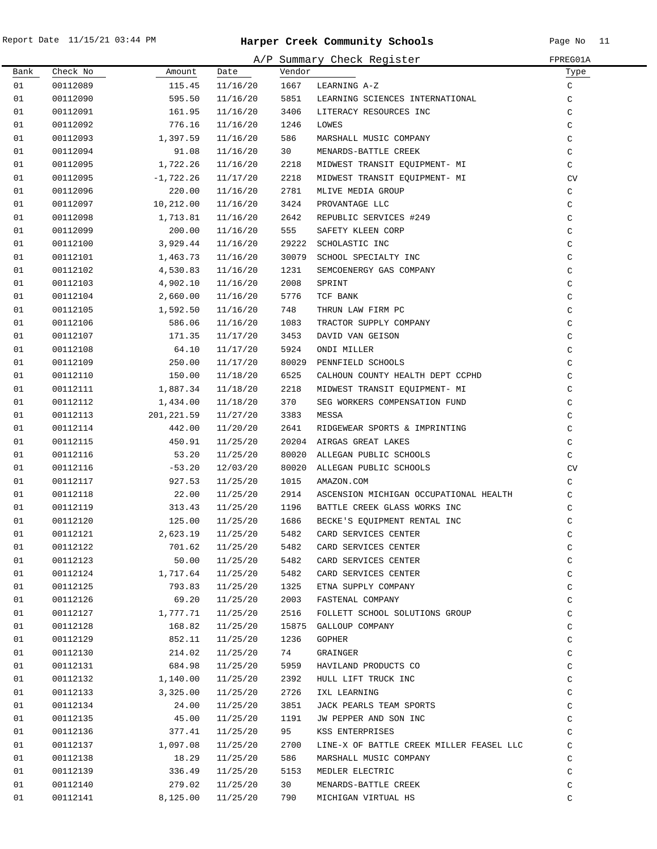| A/P Summary Check Register<br>FPREG01A |          |             |          |        |                                                                                                                                                                                                                                                             |               |
|----------------------------------------|----------|-------------|----------|--------|-------------------------------------------------------------------------------------------------------------------------------------------------------------------------------------------------------------------------------------------------------------|---------------|
| Bank                                   | Check No | Amount      | Date     | Vendor |                                                                                                                                                                                                                                                             | Туре          |
| 01                                     | 00112089 | 115.45      | 11/16/20 | 1667   | LEARNING A-Z                                                                                                                                                                                                                                                | $\mathtt{C}$  |
| 01                                     | 00112090 | 595.50      | 11/16/20 | 5851   | LEARNING SCIENCES INTERNATIONAL                                                                                                                                                                                                                             | C             |
| 01                                     | 00112091 | 161.95      | 11/16/20 | 3406   | LITERACY RESOURCES INC                                                                                                                                                                                                                                      | C             |
| 01                                     | 00112092 | 776.16      | 11/16/20 | 1246   | LOWES                                                                                                                                                                                                                                                       | $\mathsf C$   |
| 01                                     | 00112093 | 1,397.59    | 11/16/20 | 586    | MARSHALL MUSIC COMPANY                                                                                                                                                                                                                                      | $\mathsf C$   |
| 01                                     | 00112094 | 91.08       | 11/16/20 | 30     | MENARDS-BATTLE CREEK                                                                                                                                                                                                                                        | C             |
| 01                                     | 00112095 | 1,722.26    | 11/16/20 | 2218   | MIDWEST TRANSIT EQUIPMENT- MI                                                                                                                                                                                                                               | C             |
| 01                                     | 00112095 | $-1,722.26$ | 11/17/20 | 2218   | MIDWEST TRANSIT EQUIPMENT- MI                                                                                                                                                                                                                               | CV            |
| 01                                     | 00112096 | 220.00      | 11/16/20 | 2781   | MLIVE MEDIA GROUP                                                                                                                                                                                                                                           | C             |
| 01                                     | 00112097 | 10,212.00   | 11/16/20 | 3424   | PROVANTAGE LLC<br>PROVANTAGE LLC<br>REPUBLIC SERVICES #249<br>SAFETY KLEEN CORP<br>SCHOLASTIC INC<br>SCHOLASTIC INC<br>SEMCOENERGY GAS COMPANY<br>SPRINT<br>TCF BANK<br>THRUN LAW FIRM PC<br>TRACTOR SUPPLY COMPANY<br>DAVID VAN GEISON<br>NAVID VAN GEISON | C             |
| 01                                     | 00112098 | 1,713.81    | 11/16/20 | 2642   |                                                                                                                                                                                                                                                             | C             |
| 01                                     | 00112099 | 200.00      | 11/16/20 | 555    |                                                                                                                                                                                                                                                             | $\rm{C}$      |
| 01                                     | 00112100 | 3,929.44    | 11/16/20 |        | 29222 SCHOLASTIC INC                                                                                                                                                                                                                                        | $\rm{C}$      |
| 01                                     | 00112101 | 1,463.73    | 11/16/20 |        | 30079 SCHOOL SPECIALTY INC                                                                                                                                                                                                                                  | $\mathtt{C}$  |
| 01                                     | 00112102 | 4,530.83    | 11/16/20 | 1231   |                                                                                                                                                                                                                                                             | $\mathsf C$   |
| 01                                     | 00112103 | 4,902.10    | 11/16/20 | 2008   |                                                                                                                                                                                                                                                             | $\mathsf C$   |
| 01                                     | 00112104 | 2,660.00    | 11/16/20 | 5776   |                                                                                                                                                                                                                                                             | $\rm{C}$      |
| 01                                     | 00112105 | 1,592.50    | 11/16/20 | 748    |                                                                                                                                                                                                                                                             | $\mathtt{C}$  |
| 01                                     | 00112106 | 586.06      | 11/16/20 | 1083   |                                                                                                                                                                                                                                                             | $\mathsf C$   |
| 01                                     | 00112107 | 171.35      | 11/17/20 | 3453   |                                                                                                                                                                                                                                                             | $\mathsf C$   |
| 01                                     | 00112108 | 64.10       | 11/17/20 | 5924   | ONDI MILLER                                                                                                                                                                                                                                                 | $\mathsf C$   |
| 01                                     | 00112109 | 250.00      | 11/17/20 |        | 80029 PENNFIELD SCHOOLS                                                                                                                                                                                                                                     | $\mathsf C$   |
| 01                                     | 00112110 | 150.00      | 11/18/20 | 6525   | CALHOUN COUNTY HEALTH DEPT CCPHD                                                                                                                                                                                                                            | $\mathcal{C}$ |
| 01                                     | 00112111 | 1,887.34    | 11/18/20 | 2218   | MIDWEST TRANSIT EQUIPMENT- MI                                                                                                                                                                                                                               | C             |
| 01                                     | 00112112 | 1,434.00    | 11/18/20 | 370    | SEG WORKERS COMPENSATION FUND                                                                                                                                                                                                                               | C             |
| 01                                     | 00112113 | 201,221.59  | 11/27/20 | 3383   | MESSA                                                                                                                                                                                                                                                       | C             |
| 01                                     | 00112114 | 442.00      | 11/20/20 | 2641   | RIDGEWEAR SPORTS & IMPRINTING                                                                                                                                                                                                                               | $\mathsf C$   |
| 01                                     | 00112115 | 450.91      | 11/25/20 |        | 20204 AIRGAS GREAT LAKES                                                                                                                                                                                                                                    | C             |
| 01                                     | 00112116 | 53.20       | 11/25/20 |        | 80020 ALLEGAN PUBLIC SCHOOLS                                                                                                                                                                                                                                | C             |
| 01                                     | 00112116 | $-53.20$    | 12/03/20 |        | 80020 ALLEGAN PUBLIC SCHOOLS                                                                                                                                                                                                                                | CV            |
| 01                                     | 00112117 | 927.53      | 11/25/20 | 1015   | AMAZON.COM                                                                                                                                                                                                                                                  | C             |
| 01                                     | 00112118 | 22.00       | 11/25/20 | 2914   | ASCENSION MICHIGAN OCCUPATIONAL HEALTH                                                                                                                                                                                                                      | C             |
| 01                                     | 00112119 | 313.43      | 11/25/20 | 1196   | BATTLE CREEK GLASS WORKS INC                                                                                                                                                                                                                                | $\mathtt{C}$  |
| 01                                     | 00112120 | 125.00      | 11/25/20 | 1686   | BECKE'S EQUIPMENT RENTAL INC                                                                                                                                                                                                                                | $\mathtt{C}$  |
| 01                                     | 00112121 |             |          |        | 2,623.19  11/25/20  5482  CARD SERVICES CENTER                                                                                                                                                                                                              | C             |
| 01                                     | 00112122 | 701.62      | 11/25/20 | 5482   | CARD SERVICES CENTER                                                                                                                                                                                                                                        | С             |
| 01                                     | 00112123 | 50.00       | 11/25/20 | 5482   | CARD SERVICES CENTER                                                                                                                                                                                                                                        | $\rm{C}$      |
| 01                                     | 00112124 | 1,717.64    | 11/25/20 | 5482   | CARD SERVICES CENTER                                                                                                                                                                                                                                        | $\mathtt{C}$  |
| 01                                     | 00112125 | 793.83      | 11/25/20 | 1325   | ETNA SUPPLY COMPANY                                                                                                                                                                                                                                         | $\mathtt{C}$  |
| 01                                     | 00112126 | 69.20       | 11/25/20 | 2003   | FASTENAL COMPANY                                                                                                                                                                                                                                            | $\mathsf C$   |
| 01                                     | 00112127 | 1,777.71    | 11/25/20 | 2516   | FOLLETT SCHOOL SOLUTIONS GROUP                                                                                                                                                                                                                              | $\mathsf C$   |
| 01                                     | 00112128 | 168.82      | 11/25/20 |        | 15875 GALLOUP COMPANY                                                                                                                                                                                                                                       | $\mathsf C$   |
| 01                                     | 00112129 | 852.11      | 11/25/20 | 1236   | GOPHER                                                                                                                                                                                                                                                      | C             |
| 01                                     | 00112130 | 214.02      | 11/25/20 | 74     | GRAINGER                                                                                                                                                                                                                                                    | C             |
| 01                                     | 00112131 | 684.98      | 11/25/20 | 5959   | HAVILAND PRODUCTS CO                                                                                                                                                                                                                                        | C             |
| 01                                     | 00112132 | 1,140.00    | 11/25/20 | 2392   | HULL LIFT TRUCK INC                                                                                                                                                                                                                                         | C             |
| 01                                     | 00112133 | 3,325.00    | 11/25/20 | 2726   | IXL LEARNING                                                                                                                                                                                                                                                | C             |
| 01                                     | 00112134 | 24.00       | 11/25/20 | 3851   | JACK PEARLS TEAM SPORTS                                                                                                                                                                                                                                     | $\mathtt{C}$  |
| 01                                     | 00112135 | 45.00       | 11/25/20 | 1191   | JW PEPPER AND SON INC                                                                                                                                                                                                                                       | $\mathsf C$   |
| 01                                     | 00112136 | 377.41      | 11/25/20 | 95     | KSS ENTERPRISES                                                                                                                                                                                                                                             | C             |
| 01                                     | 00112137 | 1,097.08    | 11/25/20 | 2700   | LINE-X OF BATTLE CREEK MILLER FEASEL LLC                                                                                                                                                                                                                    | C             |
| 01                                     | 00112138 | 18.29       | 11/25/20 | 586    | MARSHALL MUSIC COMPANY                                                                                                                                                                                                                                      | C             |
| 01                                     | 00112139 | 336.49      | 11/25/20 | 5153   | MEDLER ELECTRIC                                                                                                                                                                                                                                             | C             |
| 01                                     | 00112140 | 279.02      | 11/25/20 | 30     | MENARDS-BATTLE CREEK                                                                                                                                                                                                                                        | $\rm{C}$      |
| 01                                     | 00112141 | 8,125.00    | 11/25/20 | 790    | MICHIGAN VIRTUAL HS                                                                                                                                                                                                                                         | C             |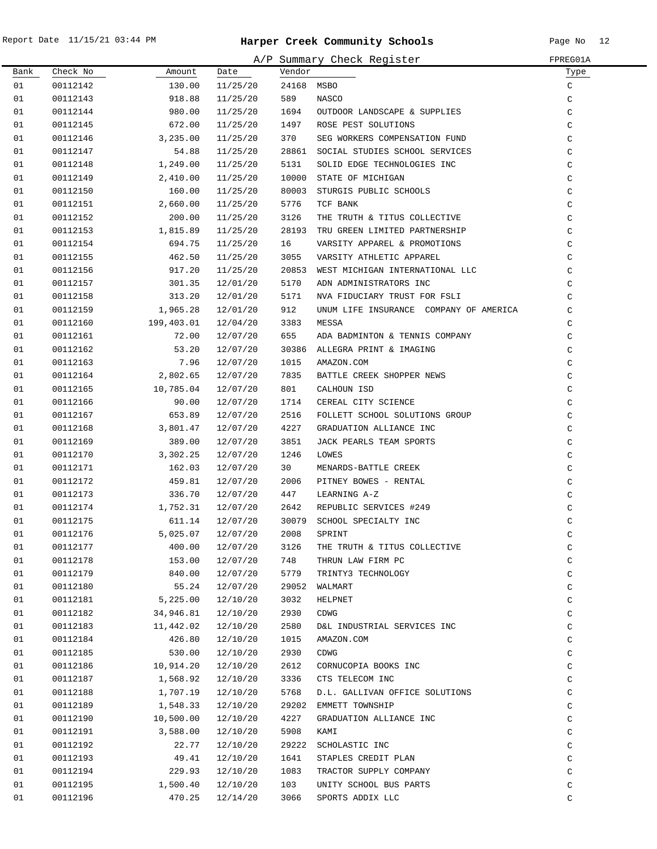|      |          |                       |          |            | A/P Summary Check Register             | FPREG01A      |
|------|----------|-----------------------|----------|------------|----------------------------------------|---------------|
| Bank | Check No | Amount                | Date     | Vendor     |                                        | Туре          |
| 01   | 00112142 | 130.00                | 11/25/20 | 24168 MSBO |                                        | C             |
| 01   | 00112143 | 918.88                | 11/25/20 | 589        | NASCO                                  | C             |
| 01   | 00112144 | 980.00                | 11/25/20 | 1694       | OUTDOOR LANDSCAPE & SUPPLIES           | $\mathsf C$   |
| 01   | 00112145 | 672.00                | 11/25/20 | 1497       | ROSE PEST SOLUTIONS                    | $\mathsf C$   |
| 01   | 00112146 | 3,235.00              | 11/25/20 | 370        | SEG WORKERS COMPENSATION FUND          | $\mathsf C$   |
| 01   | 00112147 | 54.88                 | 11/25/20 | 28861      | SOCIAL STUDIES SCHOOL SERVICES         | C             |
| 01   | 00112148 | 1,249.00              | 11/25/20 | 5131       | SOLID EDGE TECHNOLOGIES INC            | $\mathsf C$   |
| 01   | 00112149 | 2,410.00              | 11/25/20 | 10000      | STATE OF MICHIGAN                      | $\mathsf C$   |
| 01   | 00112150 | 160.00                | 11/25/20 | 80003      | STURGIS PUBLIC SCHOOLS                 | $\mathcal{C}$ |
| 01   | 00112151 | 2,660.00              | 11/25/20 | 5776       | TCF BANK                               | $\mathcal{C}$ |
| 01   | 00112152 | 200.00                | 11/25/20 | 3126       | THE TRUTH & TITUS COLLECTIVE           | $\mathcal{C}$ |
| 01   | 00112153 | 1,815.89              | 11/25/20 | 28193      | TRU GREEN LIMITED PARTNERSHIP          | $\rm{C}$      |
| 01   | 00112154 | 694.75                | 11/25/20 | 16         | VARSITY APPAREL & PROMOTIONS           | $\mathsf C$   |
| 01   | 00112155 | 462.50                | 11/25/20 | 3055       | VARSITY ATHLETIC APPAREL               | $\mathsf C$   |
| 01   | 00112156 | 917.20                | 11/25/20 | 20853      | WEST MICHIGAN INTERNATIONAL LLC        | $\mathsf C$   |
| 01   | 00112157 | 301.35                | 12/01/20 | 5170       | ADN ADMINISTRATORS INC                 | C             |
| 01   | 00112158 | 313.20                | 12/01/20 | 5171       | NVA FIDUCIARY TRUST FOR FSLI           | C             |
| 01   | 00112159 | 1,965.28              | 12/01/20 | 912        | UNUM LIFE INSURANCE COMPANY OF AMERICA | $\mathsf C$   |
| 01   | 00112160 | 199,403.01            | 12/04/20 | 3383       | MESSA                                  | $\mathsf C$   |
| 01   | 00112161 | 72.00                 | 12/07/20 | 655        | ADA BADMINTON & TENNIS COMPANY         | $\mathsf C$   |
| 01   | 00112162 | 53.20                 | 12/07/20 | 30386      | ALLEGRA PRINT & IMAGING                | $\mathsf C$   |
| 01   | 00112163 | 7.96                  | 12/07/20 | 1015       | AMAZON.COM                             | $\mathsf C$   |
| 01   | 00112164 | 2,802.65              | 12/07/20 | 7835       | BATTLE CREEK SHOPPER NEWS              | $\mathsf C$   |
| 01   | 00112165 | 10,785.04             | 12/07/20 | 801        | CALHOUN ISD                            | C             |
| 01   | 00112166 | 90.00                 | 12/07/20 | 1714       | CEREAL CITY SCIENCE                    | $\mathsf C$   |
| 01   | 00112167 | 653.89                | 12/07/20 | 2516       | FOLLETT SCHOOL SOLUTIONS GROUP         | $\mathsf C$   |
| 01   | 00112168 | 3,801.47              | 12/07/20 | 4227       | GRADUATION ALLIANCE INC                | C             |
| 01   | 00112169 | 389.00                | 12/07/20 | 3851       | JACK PEARLS TEAM SPORTS                | $\mathsf C$   |
| 01   | 00112170 | 3,302.25              | 12/07/20 | 1246       | LOWES                                  | $\rm{C}$      |
| 01   | 00112171 | 162.03                | 12/07/20 | 30         | MENARDS-BATTLE CREEK                   | $\rm{C}$      |
| 01   | 00112172 | 459.81                | 12/07/20 | 2006       | PITNEY BOWES - RENTAL                  | $\rm{C}$      |
| 01   | 00112173 | 336.70                | 12/07/20 | 447        | LEARNING A-Z                           | $\rm{C}$      |
| 01   | 00112174 | 1,752.31              | 12/07/20 | 2642       | REPUBLIC SERVICES #249                 | $\rm{C}$      |
| 01   | 00112175 | 611.14                | 12/07/20 |            | 30079 SCHOOL SPECIALTY INC             | $\rm{C}$      |
| 01   | 00112176 | $5,025.07$ $12/07/20$ |          | 2008       | SPRINT                                 | C             |
| 01   | 00112177 | 400.00                | 12/07/20 | 3126       | THE TRUTH & TITUS COLLECTIVE           | $\rm{C}$      |
| 01   | 00112178 | 153.00                | 12/07/20 | 748        | THRUN LAW FIRM PC                      | $\rm{C}$      |
| 01   | 00112179 | 840.00                | 12/07/20 | 5779       | TRINTY3 TECHNOLOGY                     | $\mathsf C$   |
| 01   | 00112180 | 55.24                 | 12/07/20 | 29052      | WALMART                                | $\rm{C}$      |
| 01   | 00112181 | 5,225.00              | 12/10/20 | 3032       | HELPNET                                | $\rm{C}$      |
| 01   | 00112182 | 34,946.81             | 12/10/20 | 2930       | <b>CDWG</b>                            | $\rm{C}$      |
| 01   | 00112183 | 11,442.02             | 12/10/20 | 2580       | D&L INDUSTRIAL SERVICES INC            | $\mathsf C$   |
| 01   | 00112184 | 426.80                | 12/10/20 | 1015       | AMAZON.COM                             | $\mathsf C$   |
| 01   | 00112185 | 530.00                | 12/10/20 | 2930       | CDWG                                   | $\rm{C}$      |
| 01   | 00112186 | 10,914.20             | 12/10/20 | 2612       | CORNUCOPIA BOOKS INC                   | $\rm{C}$      |
| 01   | 00112187 | 1,568.92              | 12/10/20 | 3336       | CTS TELECOM INC                        | $\rm{C}$      |
| 01   | 00112188 | 1,707.19              | 12/10/20 | 5768       | D.L. GALLIVAN OFFICE SOLUTIONS         | $\rm{C}$      |
| 01   | 00112189 | 1,548.33              | 12/10/20 | 29202      | EMMETT TOWNSHIP                        | $\rm{C}$      |
| 01   | 00112190 | 10,500.00             | 12/10/20 | 4227       | GRADUATION ALLIANCE INC                | $\rm{C}$      |
| 01   | 00112191 | 3,588.00              | 12/10/20 | 5908       | KAMI                                   | $\rm{C}$      |
| 01   | 00112192 | 22.77                 | 12/10/20 | 29222      | SCHOLASTIC INC                         | $\rm C$       |
| 01   | 00112193 | 49.41                 | 12/10/20 | 1641       | STAPLES CREDIT PLAN                    | $\mathsf C$   |
| 01   | 00112194 | 229.93                | 12/10/20 | 1083       | TRACTOR SUPPLY COMPANY                 | $\mathsf C$   |
| 01   | 00112195 | 1,500.40              | 12/10/20 | 103        | UNITY SCHOOL BUS PARTS                 | $\mathtt{C}$  |
| 01   | 00112196 | 470.25                | 12/14/20 | 3066       | SPORTS ADDIX LLC                       | C             |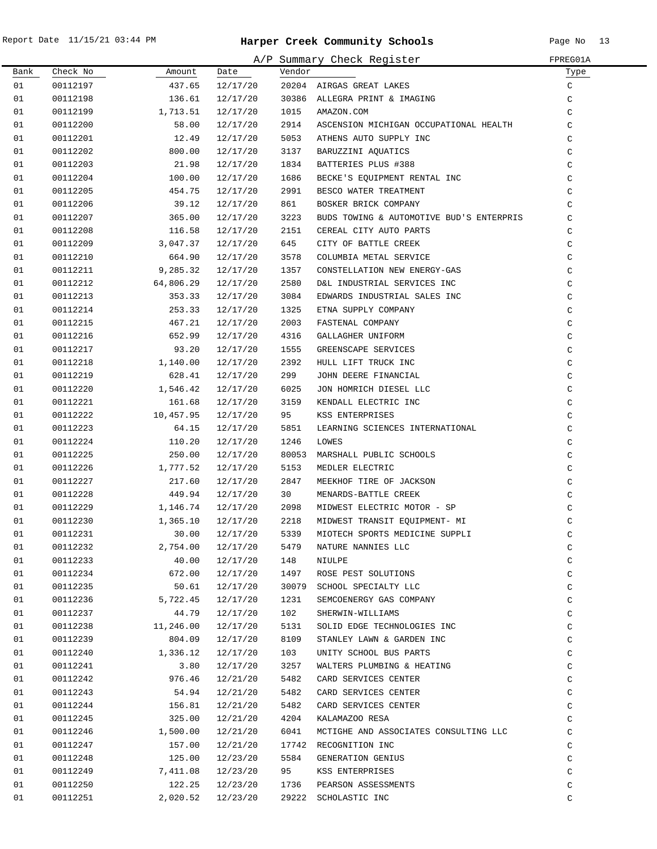.

|      |          |           |          |        | A/P Summary Check Register               | FPREG01A      |
|------|----------|-----------|----------|--------|------------------------------------------|---------------|
| Bank | Check No | Amount    | Date     | Vendor |                                          | Type          |
| 01   | 00112197 | 437.65    | 12/17/20 |        | 20204 AIRGAS GREAT LAKES                 | C             |
| 01   | 00112198 | 136.61    | 12/17/20 |        | 30386 ALLEGRA PRINT & IMAGING            | C             |
| 01   | 00112199 | 1,713.51  | 12/17/20 | 1015   | AMAZON.COM                               | C             |
| 01   | 00112200 | 58.00     | 12/17/20 | 2914   | ASCENSION MICHIGAN OCCUPATIONAL HEALTH   | C             |
| 01   | 00112201 | 12.49     | 12/17/20 | 5053   | ATHENS AUTO SUPPLY INC                   | C             |
| 01   | 00112202 | 800.00    | 12/17/20 | 3137   | BARUZZINI AQUATICS                       | C             |
| 01   | 00112203 | 21.98     | 12/17/20 | 1834   | BATTERIES PLUS #388                      | C             |
| 01   | 00112204 | 100.00    | 12/17/20 | 1686   | BECKE'S EQUIPMENT RENTAL INC             | C             |
| 01   | 00112205 | 454.75    | 12/17/20 | 2991   | BESCO WATER TREATMENT                    | C             |
| 01   | 00112206 | 39.12     | 12/17/20 | 861    | BOSKER BRICK COMPANY                     | C             |
| 01   | 00112207 | 365.00    | 12/17/20 | 3223   | BUDS TOWING & AUTOMOTIVE BUD'S ENTERPRIS | $\mathcal{C}$ |
| 01   | 00112208 | 116.58    | 12/17/20 | 2151   | CEREAL CITY AUTO PARTS                   | C             |
| 01   | 00112209 | 3,047.37  | 12/17/20 | 645    | CITY OF BATTLE CREEK                     | C             |
| 01   | 00112210 | 664.90    | 12/17/20 | 3578   | COLUMBIA METAL SERVICE                   | C             |
| 01   | 00112211 | 9,285.32  | 12/17/20 | 1357   | CONSTELLATION NEW ENERGY-GAS             | C             |
| 01   | 00112212 | 64,806.29 | 12/17/20 | 2580   | D&L INDUSTRIAL SERVICES INC              | C             |
| 01   | 00112213 | 353.33    | 12/17/20 | 3084   | EDWARDS INDUSTRIAL SALES INC             | C             |
| 01   | 00112214 | 253.33    | 12/17/20 | 1325   | ETNA SUPPLY COMPANY                      | C             |
| 01   | 00112215 | 467.21    | 12/17/20 | 2003   | FASTENAL COMPANY                         | C             |
| 01   | 00112216 | 652.99    | 12/17/20 | 4316   | GALLAGHER UNIFORM                        | C             |
| 01   | 00112217 | 93.20     | 12/17/20 | 1555   | GREENSCAPE SERVICES                      | C             |
| 01   | 00112218 | 1,140.00  | 12/17/20 | 2392   | HULL LIFT TRUCK INC                      | C             |
| 01   | 00112219 | 628.41    | 12/17/20 | 299    | JOHN DEERE FINANCIAL                     | C             |
| 01   | 00112220 | 1,546.42  | 12/17/20 | 6025   | JON HOMRICH DIESEL LLC                   | $\rm{C}$      |
| 01   | 00112221 | 161.68    | 12/17/20 | 3159   | KENDALL ELECTRIC INC                     | $\rm{C}$      |
| 01   | 00112222 | 10,457.95 | 12/17/20 | 95     | KSS ENTERPRISES                          | C             |
| 01   | 00112223 | 64.15     | 12/17/20 | 5851   | LEARNING SCIENCES INTERNATIONAL          | C             |
| 01   | 00112224 | 110.20    | 12/17/20 | 1246   | LOWES                                    | C             |
| 01   | 00112225 | 250.00    | 12/17/20 | 80053  | MARSHALL PUBLIC SCHOOLS                  | C             |
| 01   | 00112226 | 1,777.52  | 12/17/20 | 5153   | MEDLER ELECTRIC                          | C             |
| 01   | 00112227 | 217.60    | 12/17/20 | 2847   | MEEKHOF TIRE OF JACKSON                  | C             |
| 01   | 00112228 | 449.94    | 12/17/20 | 30     | MENARDS-BATTLE CREEK                     | C             |
| 01   | 00112229 | 1,146.74  | 12/17/20 | 2098   | MIDWEST ELECTRIC MOTOR - SP              | $\rm{C}$      |
| 01   | 00112230 | 1,365.10  | 12/17/20 | 2218   | MIDWEST TRANSIT EQUIPMENT- MI            | C             |
| 01   | 00112231 | 30.00     | 12/17/20 | 5339   | MIOTECH SPORTS MEDICINE SUPPLI           | С             |
| 01   | 00112232 | 2,754.00  | 12/17/20 | 5479   | NATURE NANNIES LLC                       | C             |
| 01   | 00112233 | 40.00     | 12/17/20 | 148    | NIULPE                                   | C             |
| 01   | 00112234 | 672.00    | 12/17/20 | 1497   | ROSE PEST SOLUTIONS                      | C             |
| 01   | 00112235 | 50.61     | 12/17/20 | 30079  | SCHOOL SPECIALTY LLC                     | C             |
| 01   | 00112236 | 5,722.45  | 12/17/20 | 1231   | SEMCOENERGY GAS COMPANY                  | C             |
| 01   | 00112237 | 44.79     | 12/17/20 | 102    | SHERWIN-WILLIAMS                         | C             |
| 01   | 00112238 | 11,246.00 | 12/17/20 | 5131   | SOLID EDGE TECHNOLOGIES INC              | C             |
| 01   | 00112239 | 804.09    | 12/17/20 | 8109   | STANLEY LAWN & GARDEN INC                | C             |
| 01   | 00112240 | 1,336.12  | 12/17/20 | 103    | UNITY SCHOOL BUS PARTS                   | C             |
| 01   | 00112241 | 3.80      | 12/17/20 | 3257   | WALTERS PLUMBING & HEATING               | C             |
| 01   | 00112242 | 976.46    | 12/21/20 | 5482   | CARD SERVICES CENTER                     | C             |
| 01   | 00112243 | 54.94     | 12/21/20 | 5482   | CARD SERVICES CENTER                     | C             |
| 01   | 00112244 | 156.81    | 12/21/20 | 5482   | CARD SERVICES CENTER                     | C             |
| 01   | 00112245 | 325.00    | 12/21/20 | 4204   | KALAMAZOO RESA                           | C             |
| 01   | 00112246 | 1,500.00  | 12/21/20 | 6041   | MCTIGHE AND ASSOCIATES CONSULTING LLC    | C             |
| 01   | 00112247 | 157.00    | 12/21/20 | 17742  | RECOGNITION INC                          | C             |
| 01   | 00112248 | 125.00    | 12/23/20 | 5584   | GENERATION GENIUS                        | C             |
| 01   | 00112249 | 7,411.08  | 12/23/20 | 95     | KSS ENTERPRISES                          | C             |
| 01   | 00112250 | 122.25    | 12/23/20 | 1736   | PEARSON ASSESSMENTS                      | C             |
| 01   | 00112251 | 2,020.52  | 12/23/20 |        | 29222 SCHOLASTIC INC                     | C             |
|      |          |           |          |        |                                          |               |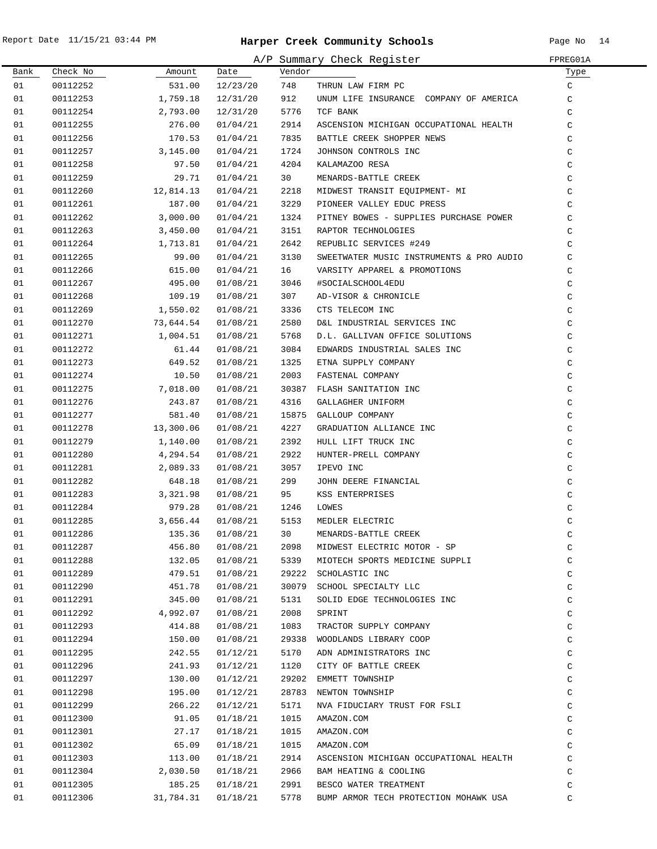| A/P Summary Check Register<br>FPREG01A |          |           |          |        |                                            |               |
|----------------------------------------|----------|-----------|----------|--------|--------------------------------------------|---------------|
| Bank                                   | Check No | Amount    | Date     | Vendor |                                            | Туре          |
| 01                                     | 00112252 | 531.00    | 12/23/20 | 748    | THRUN LAW FIRM PC                          | $\mathsf{C}$  |
| 01                                     | 00112253 | 1,759.18  | 12/31/20 | 912    | UNUM LIFE INSURANCE COMPANY OF AMERICA     | C             |
| 01                                     | 00112254 | 2,793.00  | 12/31/20 | 5776   | TCF BANK                                   | C             |
| 01                                     | 00112255 | 276.00    | 01/04/21 | 2914   | ASCENSION MICHIGAN OCCUPATIONAL HEALTH     | C             |
| 01                                     | 00112256 | 170.53    | 01/04/21 | 7835   | BATTLE CREEK SHOPPER NEWS                  | $\mathcal{C}$ |
| 01                                     | 00112257 | 3,145.00  | 01/04/21 | 1724   | JOHNSON CONTROLS INC                       | $\mathsf C$   |
| 01                                     | 00112258 | 97.50     | 01/04/21 | 4204   | KALAMAZOO RESA                             | $\mathsf C$   |
| 01                                     | 00112259 | 29.71     | 01/04/21 | 30     | MENARDS-BATTLE CREEK                       | $\mathsf C$   |
| 01                                     | 00112260 | 12,814.13 | 01/04/21 | 2218   | MIDWEST TRANSIT EQUIPMENT- MI              | $\mathsf C$   |
| 01                                     | 00112261 | 187.00    | 01/04/21 | 3229   | PIONEER VALLEY EDUC PRESS                  | $\mathsf C$   |
| 01                                     | 00112262 | 3,000.00  | 01/04/21 | 1324   | PITNEY BOWES - SUPPLIES PURCHASE POWER     | $\mathsf C$   |
| 01                                     | 00112263 | 3,450.00  | 01/04/21 | 3151   | RAPTOR TECHNOLOGIES                        | $\mathsf C$   |
| 01                                     | 00112264 | 1,713.81  | 01/04/21 | 2642   | REPUBLIC SERVICES #249                     | $\mathsf C$   |
| 01                                     | 00112265 | 99.00     | 01/04/21 | 3130   | SWEETWATER MUSIC INSTRUMENTS & PRO AUDIO   | $\mathcal{C}$ |
| 01                                     | 00112266 | 615.00    | 01/04/21 | 16     | VARSITY APPAREL & PROMOTIONS               | C             |
| 01                                     | 00112267 | 495.00    | 01/08/21 | 3046   | #SOCIALSCHOOL4EDU                          | C             |
| 01                                     | 00112268 | 109.19    | 01/08/21 | 307    | AD-VISOR & CHRONICLE                       | $\mathsf C$   |
| 01                                     | 00112269 | 1,550.02  | 01/08/21 | 3336   | CTS TELECOM INC                            | $\mathsf C$   |
| 01                                     | 00112270 | 73,644.54 | 01/08/21 | 2580   | D&L INDUSTRIAL SERVICES INC                | $\mathsf C$   |
| 01                                     | 00112271 | 1,004.51  | 01/08/21 | 5768   | D.L. GALLIVAN OFFICE SOLUTIONS             | $\mathsf C$   |
| 01                                     | 00112272 | 61.44     | 01/08/21 | 3084   | EDWARDS INDUSTRIAL SALES INC               | $\mathsf C$   |
| 01                                     | 00112273 | 649.52    | 01/08/21 | 1325   | ETNA SUPPLY COMPANY                        | $\mathsf C$   |
| 01                                     | 00112274 | 10.50     | 01/08/21 | 2003   | FASTENAL COMPANY                           | $\mathsf C$   |
| 01                                     | 00112275 | 7,018.00  | 01/08/21 | 30387  | FLASH SANITATION INC                       | $\mathsf C$   |
| 01                                     | 00112276 | 243.87    | 01/08/21 | 4316   | GALLAGHER UNIFORM                          | $\mathsf C$   |
| 01                                     | 00112277 | 581.40    | 01/08/21 |        | 15875 GALLOUP COMPANY                      | $\mathsf C$   |
| 01                                     | 00112278 | 13,300.06 | 01/08/21 | 4227   | GRADUATION ALLIANCE INC                    | $\mathsf C$   |
| 01                                     | 00112279 | 1,140.00  | 01/08/21 | 2392   | HULL LIFT TRUCK INC                        | $\mathsf C$   |
| 01                                     | 00112280 | 4,294.54  | 01/08/21 | 2922   | HUNTER-PRELL COMPANY                       | $\mathsf C$   |
| 01                                     | 00112281 | 2,089.33  | 01/08/21 | 3057   | IPEVO INC                                  | $\mathsf C$   |
| 01                                     | 00112282 | 648.18    | 01/08/21 | 299    | JOHN DEERE FINANCIAL                       | $\mathsf C$   |
| 01                                     | 00112283 | 3,321.98  | 01/08/21 | 95     | KSS ENTERPRISES                            | $\mathsf C$   |
| 01                                     | 00112284 | 979.28    | 01/08/21 | 1246   | LOWES                                      | $\mathsf C$   |
| 01                                     | 00112285 | 3,656.44  | 01/08/21 | 5153   | MEDLER ELECTRIC                            | $\mathsf C$   |
| 01                                     | 00112286 |           |          |        | 135.36  01/08/21  30  MENARDS-BATTLE CREEK |               |
| 01                                     | 00112287 | 456.80    | 01/08/21 | 2098   | MIDWEST ELECTRIC MOTOR - SP                | C<br>C        |
| 01                                     | 00112288 | 132.05    | 01/08/21 | 5339   | MIOTECH SPORTS MEDICINE SUPPLI             | $\mathsf C$   |
| 01                                     | 00112289 | 479.51    | 01/08/21 | 29222  | SCHOLASTIC INC                             | $\mathsf C$   |
| 01                                     | 00112290 | 451.78    | 01/08/21 | 30079  | SCHOOL SPECIALTY LLC                       | $\mathsf C$   |
| 01                                     | 00112291 | 345.00    | 01/08/21 | 5131   | SOLID EDGE TECHNOLOGIES INC                | C             |
| 01                                     | 00112292 | 4,992.07  | 01/08/21 | 2008   | SPRINT                                     | C             |
| 01                                     | 00112293 | 414.88    | 01/08/21 | 1083   | TRACTOR SUPPLY COMPANY                     | $\mathsf C$   |
| 01                                     | 00112294 | 150.00    | 01/08/21 | 29338  | WOODLANDS LIBRARY COOP                     | $\mathsf C$   |
| 01                                     | 00112295 | 242.55    | 01/12/21 | 5170   | ADN ADMINISTRATORS INC                     | $\mathsf C$   |
| 01                                     | 00112296 | 241.93    | 01/12/21 | 1120   | CITY OF BATTLE CREEK                       | $\mathsf C$   |
| 01                                     | 00112297 | 130.00    | 01/12/21 | 29202  | EMMETT TOWNSHIP                            |               |
|                                        |          |           |          |        |                                            | $\mathsf C$   |
| 01                                     | 00112298 | 195.00    | 01/12/21 |        | 28783 NEWTON TOWNSHIP                      | $\mathsf C$   |
| 01                                     | 00112299 | 266.22    | 01/12/21 | 5171   | NVA FIDUCIARY TRUST FOR FSLI               | $\mathsf C$   |
| 01                                     | 00112300 | 91.05     | 01/18/21 | 1015   | AMAZON.COM                                 | $\mathsf C$   |
| 01                                     | 00112301 | 27.17     | 01/18/21 | 1015   | AMAZON.COM                                 | C             |
| 01                                     | 00112302 | 65.09     | 01/18/21 | 1015   | AMAZON.COM                                 | C             |
| 01                                     | 00112303 | 113.00    | 01/18/21 | 2914   | ASCENSION MICHIGAN OCCUPATIONAL HEALTH     | C             |
| 01                                     | 00112304 | 2,030.50  | 01/18/21 | 2966   | BAM HEATING & COOLING                      | C             |
| 01                                     | 00112305 | 185.25    | 01/18/21 | 2991   | BESCO WATER TREATMENT                      | $\mathsf C$   |
| 01                                     | 00112306 | 31,784.31 | 01/18/21 | 5778   | BUMP ARMOR TECH PROTECTION MOHAWK USA      | C             |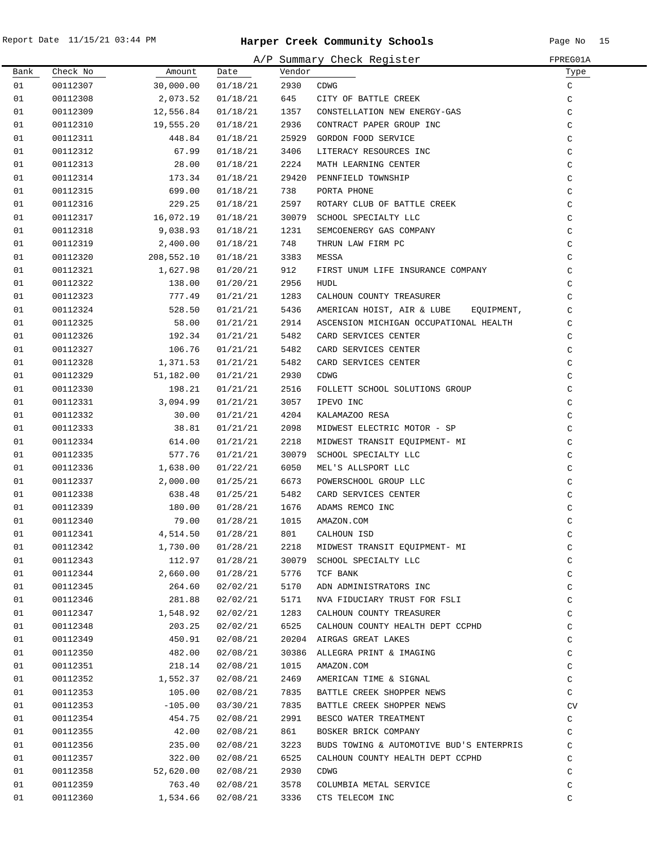.

|      |          |            |          |        | A/P Summary Check Register               | FPREG01A      |
|------|----------|------------|----------|--------|------------------------------------------|---------------|
| Bank | Check No | Amount     | Date     | Vendor |                                          | Туре          |
| 01   | 00112307 | 30,000.00  | 01/18/21 | 2930   | CDWG                                     | C             |
| 01   | 00112308 | 2,073.52   | 01/18/21 | 645    | CITY OF BATTLE CREEK                     | $\mathsf C$   |
| 01   | 00112309 | 12,556.84  | 01/18/21 | 1357   | CONSTELLATION NEW ENERGY-GAS             | C             |
| 01   | 00112310 | 19,555.20  | 01/18/21 | 2936   | CONTRACT PAPER GROUP INC                 | C             |
| 01   | 00112311 | 448.84     | 01/18/21 | 25929  | GORDON FOOD SERVICE                      | $\mathtt{C}$  |
| 01   | 00112312 | 67.99      | 01/18/21 | 3406   | LITERACY RESOURCES INC                   | $\mathtt{C}$  |
| 01   | 00112313 | 28.00      | 01/18/21 | 2224   | MATH LEARNING CENTER                     | $\mathtt{C}$  |
| 01   | 00112314 | 173.34     | 01/18/21 | 29420  | PENNFIELD TOWNSHIP                       | C             |
| 01   | 00112315 | 699.00     | 01/18/21 | 738    | PORTA PHONE                              | C             |
| 01   | 00112316 | 229.25     | 01/18/21 | 2597   | ROTARY CLUB OF BATTLE CREEK              | C             |
| 01   | 00112317 | 16,072.19  | 01/18/21 | 30079  | SCHOOL SPECIALTY LLC                     | C             |
| 01   | 00112318 | 9,038.93   | 01/18/21 | 1231   | SEMCOENERGY GAS COMPANY                  | C             |
| 01   | 00112319 | 2,400.00   | 01/18/21 | 748    | THRUN LAW FIRM PC                        | C             |
| 01   | 00112320 | 208,552.10 | 01/18/21 | 3383   | MESSA                                    | $\mathsf C$   |
| 01   | 00112321 | 1,627.98   | 01/20/21 | 912    | FIRST UNUM LIFE INSURANCE COMPANY        | $\mathsf C$   |
| 01   | 00112322 | 138.00     | 01/20/21 | 2956   | <b>HUDL</b>                              | $\mathsf C$   |
| 01   | 00112323 | 777.49     | 01/21/21 | 1283   | CALHOUN COUNTY TREASURER                 | $\mathsf C$   |
| 01   | 00112324 | 528.50     | 01/21/21 | 5436   | AMERICAN HOIST, AIR & LUBE<br>EOUIPMENT, | C             |
| 01   | 00112325 | 58.00      | 01/21/21 | 2914   | ASCENSION MICHIGAN OCCUPATIONAL HEALTH   | C             |
| 01   | 00112326 | 192.34     | 01/21/21 | 5482   | CARD SERVICES CENTER                     | C             |
| 01   | 00112327 | 106.76     | 01/21/21 | 5482   | CARD SERVICES CENTER                     | C             |
| 01   | 00112328 | 1,371.53   | 01/21/21 | 5482   | CARD SERVICES CENTER                     | C             |
| 01   | 00112329 | 51,182.00  | 01/21/21 | 2930   | <b>CDWG</b>                              | C             |
| 01   | 00112330 | 198.21     | 01/21/21 | 2516   | FOLLETT SCHOOL SOLUTIONS GROUP           | $\mathtt{C}$  |
| 01   | 00112331 | 3,094.99   | 01/21/21 | 3057   | IPEVO INC                                | $\mathtt{C}$  |
| 01   | 00112332 | 30.00      | 01/21/21 | 4204   | KALAMAZOO RESA                           | $\mathsf C$   |
| 01   | 00112333 | 38.81      | 01/21/21 | 2098   | MIDWEST ELECTRIC MOTOR - SP              | C             |
| 01   | 00112334 | 614.00     | 01/21/21 | 2218   | MIDWEST TRANSIT EQUIPMENT- MI            | C             |
| 01   | 00112335 | 577.76     | 01/21/21 | 30079  | SCHOOL SPECIALTY LLC                     | C             |
| 01   | 00112336 | 1,638.00   | 01/22/21 | 6050   | MEL'S ALLSPORT LLC                       | C             |
| 01   | 00112337 | 2,000.00   | 01/25/21 | 6673   | POWERSCHOOL GROUP LLC                    | C             |
| 01   | 00112338 | 638.48     | 01/25/21 | 5482   | CARD SERVICES CENTER                     | C             |
| 01   | 00112339 | 180.00     | 01/28/21 | 1676   | ADAMS REMCO INC                          | $\mathtt{C}$  |
| 01   | 00112340 | 79.00      | 01/28/21 | 1015   | AMAZON.COM                               | $\mathcal{C}$ |
| 01   | 00112341 | 4,514.50   | 01/28/21 | 801    | CALHOUN ISD                              | C             |
| 01   | 00112342 | 1,730.00   | 01/28/21 | 2218   | MIDWEST TRANSIT EQUIPMENT- MI            | C             |
| 01   | 00112343 | 112.97     | 01/28/21 | 30079  | SCHOOL SPECIALTY LLC                     | C             |
| 01   | 00112344 | 2,660.00   | 01/28/21 | 5776   | TCF BANK                                 | C             |
| 01   | 00112345 | 264.60     | 02/02/21 | 5170   | ADN ADMINISTRATORS INC                   | C             |
| 01   | 00112346 | 281.88     | 02/02/21 | 5171   | NVA FIDUCIARY TRUST FOR FSLI             | C             |
| 01   | 00112347 | 1,548.92   | 02/02/21 | 1283   | CALHOUN COUNTY TREASURER                 | C             |
| 01   | 00112348 | 203.25     | 02/02/21 | 6525   | CALHOUN COUNTY HEALTH DEPT CCPHD         | C             |
| 01   | 00112349 | 450.91     | 02/08/21 |        | 20204 AIRGAS GREAT LAKES                 | C             |
| 01   | 00112350 | 482.00     | 02/08/21 | 30386  | ALLEGRA PRINT & IMAGING                  | $\mathtt{C}$  |
| 01   | 00112351 | 218.14     | 02/08/21 | 1015   | AMAZON.COM                               | C             |
| 01   | 00112352 | 1,552.37   | 02/08/21 | 2469   | AMERICAN TIME & SIGNAL                   | $\mathtt{C}$  |
| 01   | 00112353 | 105.00     | 02/08/21 | 7835   | BATTLE CREEK SHOPPER NEWS                | C             |
| 01   | 00112353 | $-105.00$  | 03/30/21 | 7835   | BATTLE CREEK SHOPPER NEWS                | CV            |
| 01   | 00112354 | 454.75     | 02/08/21 | 2991   | BESCO WATER TREATMENT                    | C             |
| 01   | 00112355 | 42.00      | 02/08/21 | 861    | BOSKER BRICK COMPANY                     | C             |
| 01   | 00112356 | 235.00     | 02/08/21 | 3223   | BUDS TOWING & AUTOMOTIVE BUD'S ENTERPRIS | C             |
| 01   | 00112357 | 322.00     | 02/08/21 | 6525   | CALHOUN COUNTY HEALTH DEPT CCPHD         | C             |
| 01   | 00112358 | 52,620.00  | 02/08/21 | 2930   | CDWG                                     | C             |
| 01   | 00112359 | 763.40     | 02/08/21 | 3578   | COLUMBIA METAL SERVICE                   | C             |
| 01   | 00112360 | 1,534.66   | 02/08/21 | 3336   | CTS TELECOM INC                          | C             |
|      |          |            |          |        |                                          |               |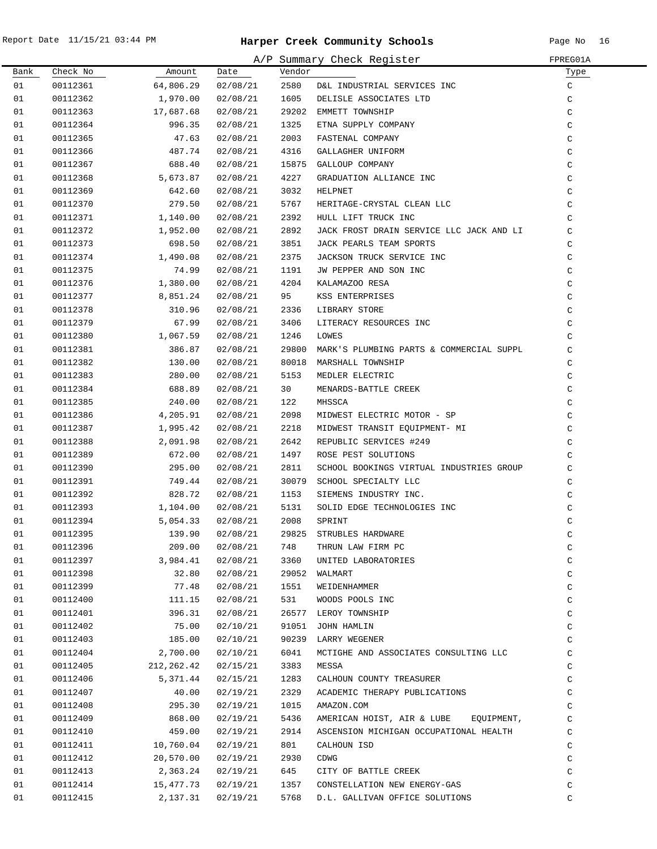|      |          |            |          |        | A/P Summary Check Register                 | FPREG01A     |
|------|----------|------------|----------|--------|--------------------------------------------|--------------|
| Bank | Check No | Amount     | Date     | Vendor |                                            | Туре         |
| 01   | 00112361 | 64,806.29  | 02/08/21 | 2580   | D&L INDUSTRIAL SERVICES INC                | C            |
| 01   | 00112362 | 1,970.00   | 02/08/21 | 1605   | DELISLE ASSOCIATES LTD                     | $\mathsf C$  |
| 01   | 00112363 | 17,687.68  | 02/08/21 |        | 29202 EMMETT TOWNSHIP                      | $\mathtt{C}$ |
| 01   | 00112364 | 996.35     | 02/08/21 | 1325   | ETNA SUPPLY COMPANY                        | $\mathsf C$  |
| 01   | 00112365 | 47.63      | 02/08/21 | 2003   | FASTENAL COMPANY                           | $\mathsf C$  |
| 01   | 00112366 | 487.74     | 02/08/21 | 4316   | GALLAGHER UNIFORM                          | $\mathsf C$  |
| 01   | 00112367 | 688.40     | 02/08/21 |        | 15875 GALLOUP COMPANY                      | $\mathsf C$  |
| 01   | 00112368 | 5,673.87   | 02/08/21 | 4227   | GRADUATION ALLIANCE INC                    | $\mathsf C$  |
| 01   | 00112369 | 642.60     | 02/08/21 | 3032   | HELPNET                                    | $\mathsf C$  |
| 01   | 00112370 | 279.50     | 02/08/21 | 5767   | HERITAGE-CRYSTAL CLEAN LLC                 | $\mathsf C$  |
| 01   | 00112371 | 1,140.00   | 02/08/21 | 2392   | HULL LIFT TRUCK INC                        | C            |
| 01   | 00112372 | 1,952.00   | 02/08/21 | 2892   | JACK FROST DRAIN SERVICE LLC JACK AND LI   | $\mathsf C$  |
| 01   | 00112373 | 698.50     | 02/08/21 | 3851   | JACK PEARLS TEAM SPORTS                    | $\mathtt{C}$ |
| 01   | 00112374 | 1,490.08   | 02/08/21 | 2375   | JACKSON TRUCK SERVICE INC                  | $\mathtt{C}$ |
| 01   | 00112375 | 74.99      | 02/08/21 | 1191   | JW PEPPER AND SON INC                      | $\mathtt{C}$ |
| 01   | 00112376 | 1,380.00   | 02/08/21 | 4204   | KALAMAZOO RESA                             | $\mathtt{C}$ |
| 01   | 00112377 | 8,851.24   | 02/08/21 | 95     | KSS ENTERPRISES                            | $\mathsf C$  |
| 01   | 00112378 | 310.96     | 02/08/21 | 2336   | LIBRARY STORE                              | $\mathsf C$  |
| 01   | 00112379 | 67.99      | 02/08/21 | 3406   | LITERACY RESOURCES INC                     | $\mathsf C$  |
| 01   | 00112380 | 1,067.59   | 02/08/21 | 1246   | LOWES                                      | $\mathsf C$  |
| 01   | 00112381 | 386.87     | 02/08/21 | 29800  | MARK'S PLUMBING PARTS & COMMERCIAL SUPPL   | $\mathsf C$  |
| 01   | 00112382 | 130.00     | 02/08/21 | 80018  | MARSHALL TOWNSHIP                          | $\mathsf C$  |
| 01   | 00112383 | 280.00     | 02/08/21 | 5153   | MEDLER ELECTRIC                            | $\mathtt{C}$ |
| 01   | 00112384 | 688.89     | 02/08/21 | 30     | MENARDS-BATTLE CREEK                       | $\mathsf C$  |
| 01   | 00112385 | 240.00     | 02/08/21 | 122    | MHSSCA                                     | $\mathsf C$  |
| 01   | 00112386 | 4,205.91   | 02/08/21 | 2098   | MIDWEST ELECTRIC MOTOR - SP                | C            |
| 01   | 00112387 | 1,995.42   | 02/08/21 | 2218   | MIDWEST TRANSIT EQUIPMENT- MI              | C            |
| 01   | 00112388 | 2,091.98   | 02/08/21 | 2642   | REPUBLIC SERVICES #249                     | C            |
| 01   | 00112389 | 672.00     | 02/08/21 | 1497   | ROSE PEST SOLUTIONS                        | $\mathsf C$  |
| 01   | 00112390 | 295.00     | 02/08/21 | 2811   | SCHOOL BOOKINGS VIRTUAL INDUSTRIES GROUP   | $\mathsf C$  |
| 01   | 00112391 | 749.44     | 02/08/21 |        | 30079 SCHOOL SPECIALTY LLC                 | $\mathsf C$  |
| 01   | 00112392 | 828.72     | 02/08/21 | 1153   | SIEMENS INDUSTRY INC.                      | $\mathtt{C}$ |
| 01   | 00112393 | 1,104.00   | 02/08/21 | 5131   | SOLID EDGE TECHNOLOGIES INC                | $\mathtt{C}$ |
| 01   | 00112394 | 5,054.33   | 02/08/21 | 2008   | SPRINT                                     | $\rm{C}$     |
| 01   | 00112395 |            |          |        | 139.90  02/08/21  29825  STRUBLES HARDWARE | C            |
| 01   | 00112396 | 209.00     | 02/08/21 | 748    | THRUN LAW FIRM PC                          | C            |
| 01   | 00112397 | 3,984.41   | 02/08/21 | 3360   | UNITED LABORATORIES                        | $\rm{C}$     |
| 01   | 00112398 | 32.80      | 02/08/21 |        | 29052 WALMART                              | $\mathtt{C}$ |
| 01   | 00112399 | 77.48      | 02/08/21 | 1551   | WEIDENHAMMER                               | $\mathtt{C}$ |
| 01   | 00112400 | 111.15     | 02/08/21 | 531    | WOODS POOLS INC                            | $\mathtt{C}$ |
| 01   | 00112401 | 396.31     | 02/08/21 |        | 26577 LEROY TOWNSHIP                       | $\mathtt{C}$ |
| 01   | 00112402 | 75.00      | 02/10/21 | 91051  | JOHN HAMLIN                                | $\mathtt{C}$ |
| 01   | 00112403 | 185.00     | 02/10/21 |        | 90239 LARRY WEGENER                        | $\rm{C}$     |
| 01   | 00112404 | 2,700.00   | 02/10/21 | 6041   | MCTIGHE AND ASSOCIATES CONSULTING LLC      | $\mathsf C$  |
| 01   | 00112405 | 212,262.42 | 02/15/21 | 3383   | MESSA                                      | C            |
| 01   | 00112406 | 5,371.44   | 02/15/21 | 1283   | CALHOUN COUNTY TREASURER                   | C            |
| 01   | 00112407 | 40.00      | 02/19/21 | 2329   | ACADEMIC THERAPY PUBLICATIONS              | C            |
| 01   | 00112408 | 295.30     | 02/19/21 | 1015   | AMAZON.COM                                 | C            |
| 01   | 00112409 | 868.00     | 02/19/21 | 5436   | AMERICAN HOIST, AIR & LUBE<br>EQUIPMENT,   | $\mathsf C$  |
| 01   | 00112410 | 459.00     | 02/19/21 | 2914   | ASCENSION MICHIGAN OCCUPATIONAL HEALTH     | C            |
| 01   | 00112411 | 10,760.04  | 02/19/21 | 801    | CALHOUN ISD                                | $\rm{C}$     |
| 01   | 00112412 | 20,570.00  | 02/19/21 | 2930   | CDWG                                       | $\rm{C}$     |
| 01   | 00112413 | 2,363.24   | 02/19/21 | 645    | CITY OF BATTLE CREEK                       | $\rm{C}$     |
| 01   | 00112414 | 15,477.73  | 02/19/21 | 1357   | CONSTELLATION NEW ENERGY-GAS               | $\mathtt{C}$ |
| 01   | 00112415 | 2,137.31   | 02/19/21 | 5768   | D.L. GALLIVAN OFFICE SOLUTIONS             | C            |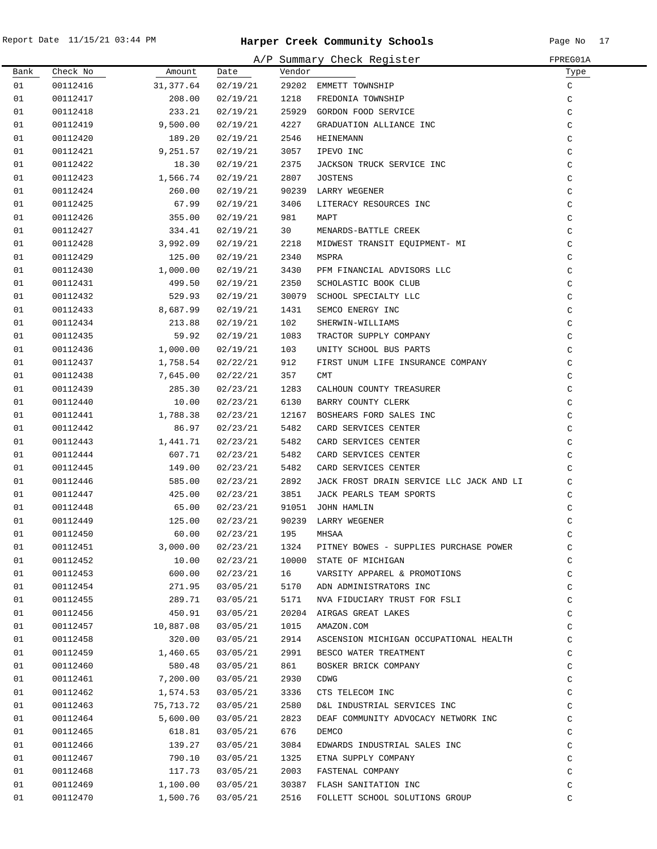|      |          |           |          |        | A/P Summary Check Register               | FPREG01A     |
|------|----------|-----------|----------|--------|------------------------------------------|--------------|
| Bank | Check No | Amount    | Date     | Vendor |                                          | Type         |
| 01   | 00112416 | 31,377.64 | 02/19/21 | 29202  | EMMETT TOWNSHIP                          | C            |
| 01   | 00112417 | 208.00    | 02/19/21 | 1218   | FREDONIA TOWNSHIP                        | C            |
| 01   | 00112418 | 233.21    | 02/19/21 | 25929  | GORDON FOOD SERVICE                      | C            |
| 01   | 00112419 | 9,500.00  | 02/19/21 | 4227   | GRADUATION ALLIANCE INC                  | C            |
| 01   | 00112420 | 189.20    | 02/19/21 | 2546   | HEINEMANN                                | $\mathsf C$  |
| 01   | 00112421 | 9,251.57  | 02/19/21 | 3057   | IPEVO INC                                | $\mathtt{C}$ |
| 01   | 00112422 | 18.30     | 02/19/21 | 2375   | JACKSON TRUCK SERVICE INC                | $\mathtt{C}$ |
| 01   | 00112423 | 1,566.74  | 02/19/21 | 2807   | JOSTENS                                  | C            |
| 01   | 00112424 | 260.00    | 02/19/21 |        | 90239 LARRY WEGENER                      | $\mathsf C$  |
| 01   | 00112425 | 67.99     | 02/19/21 | 3406   | LITERACY RESOURCES INC                   | C            |
| 01   | 00112426 | 355.00    | 02/19/21 | 981    | MAPT                                     | C            |
| 01   | 00112427 | 334.41    | 02/19/21 | 30     | MENARDS-BATTLE CREEK                     | C            |
| 01   | 00112428 | 3,992.09  | 02/19/21 | 2218   | MIDWEST TRANSIT EQUIPMENT- MI            | C            |
| 01   | 00112429 | 125.00    | 02/19/21 | 2340   | MSPRA                                    | C            |
| 01   | 00112430 | 1,000.00  | 02/19/21 | 3430   | PFM FINANCIAL ADVISORS LLC               | C            |
| 01   | 00112431 | 499.50    | 02/19/21 | 2350   | SCHOLASTIC BOOK CLUB                     | $\mathsf C$  |
| 01   | 00112432 | 529.93    | 02/19/21 | 30079  | SCHOOL SPECIALTY LLC                     | $\mathsf C$  |
| 01   | 00112433 | 8,687.99  | 02/19/21 | 1431   | SEMCO ENERGY INC                         | C            |
| 01   | 00112434 | 213.88    | 02/19/21 | 102    | SHERWIN-WILLIAMS                         | C            |
| 01   | 00112435 | 59.92     | 02/19/21 | 1083   | TRACTOR SUPPLY COMPANY                   | C            |
| 01   | 00112436 | 1,000.00  | 02/19/21 | 103    | UNITY SCHOOL BUS PARTS                   | C            |
| 01   | 00112437 | 1,758.54  | 02/22/21 | 912    | FIRST UNUM LIFE INSURANCE COMPANY        | C            |
| 01   | 00112438 | 7,645.00  | 02/22/21 | 357    | <b>CMT</b>                               | C            |
| 01   | 00112439 | 285.30    | 02/23/21 | 1283   | CALHOUN COUNTY TREASURER                 | $\mathtt{C}$ |
| 01   | 00112440 | 10.00     | 02/23/21 | 6130   | BARRY COUNTY CLERK                       | C            |
| 01   | 00112441 | 1,788.38  | 02/23/21 |        | 12167 BOSHEARS FORD SALES INC            | $\mathtt{C}$ |
| 01   | 00112442 | 86.97     | 02/23/21 | 5482   | CARD SERVICES CENTER                     | $\mathtt{C}$ |
| 01   | 00112443 | 1,441.71  | 02/23/21 | 5482   | CARD SERVICES CENTER                     | C            |
| 01   | 00112444 | 607.71    | 02/23/21 | 5482   | CARD SERVICES CENTER                     | C            |
| 01   | 00112445 | 149.00    | 02/23/21 | 5482   | CARD SERVICES CENTER                     | C            |
| 01   | 00112446 | 585.00    | 02/23/21 | 2892   | JACK FROST DRAIN SERVICE LLC JACK AND LI | C            |
| 01   | 00112447 | 425.00    | 02/23/21 | 3851   | JACK PEARLS TEAM SPORTS                  | C            |
| 01   | 00112448 | 65.00     | 02/23/21 | 91051  | JOHN HAMLIN                              | C            |
| 01   | 00112449 | 125.00    | 02/23/21 |        | 90239 LARRY WEGENER                      | C            |
| 01   | 00112450 | 60.00     | 02/23/21 | 195    | MHSAA                                    | C            |
| 01   | 00112451 | 3,000.00  | 02/23/21 | 1324   | PITNEY BOWES - SUPPLIES PURCHASE POWER   | $\mathsf C$  |
| 01   | 00112452 | 10.00     | 02/23/21 |        | 10000 STATE OF MICHIGAN                  | C            |
| 01   | 00112453 | 600.00    | 02/23/21 | 16     | VARSITY APPAREL & PROMOTIONS             | C            |
| 01   | 00112454 | 271.95    | 03/05/21 | 5170   | ADN ADMINISTRATORS INC                   | C            |
| 01   | 00112455 | 289.71    | 03/05/21 | 5171   | NVA FIDUCIARY TRUST FOR FSLI             | C            |
| 01   | 00112456 | 450.91    | 03/05/21 |        | 20204 AIRGAS GREAT LAKES                 | C            |
| 01   | 00112457 | 10,887.08 | 03/05/21 | 1015   | AMAZON.COM                               | C            |
| 01   | 00112458 | 320.00    | 03/05/21 | 2914   | ASCENSION MICHIGAN OCCUPATIONAL HEALTH   | C            |
| 01   | 00112459 | 1,460.65  | 03/05/21 | 2991   | BESCO WATER TREATMENT                    | $\mathtt{C}$ |
| 01   | 00112460 | 580.48    | 03/05/21 | 861    | BOSKER BRICK COMPANY                     | $\mathtt{C}$ |
| 01   | 00112461 | 7,200.00  | 03/05/21 | 2930   | CDWG                                     | $\mathtt{C}$ |
| 01   | 00112462 | 1,574.53  | 03/05/21 | 3336   | CTS TELECOM INC                          | $\mathtt{C}$ |
| 01   | 00112463 | 75,713.72 | 03/05/21 | 2580   | D&L INDUSTRIAL SERVICES INC              | $\mathtt{C}$ |
| 01   | 00112464 | 5,600.00  | 03/05/21 | 2823   | DEAF COMMUNITY ADVOCACY NETWORK INC      | C            |
| 01   | 00112465 | 618.81    | 03/05/21 | 676    | DEMCO                                    | C            |
| 01   | 00112466 | 139.27    | 03/05/21 | 3084   | EDWARDS INDUSTRIAL SALES INC             | C            |
| 01   | 00112467 | 790.10    | 03/05/21 | 1325   | ETNA SUPPLY COMPANY                      | C            |
| 01   | 00112468 | 117.73    | 03/05/21 | 2003   | FASTENAL COMPANY                         | C            |
| 01   | 00112469 | 1,100.00  | 03/05/21 |        | 30387 FLASH SANITATION INC               | C            |
| 01   | 00112470 | 1,500.76  | 03/05/21 | 2516   | FOLLETT SCHOOL SOLUTIONS GROUP           | C            |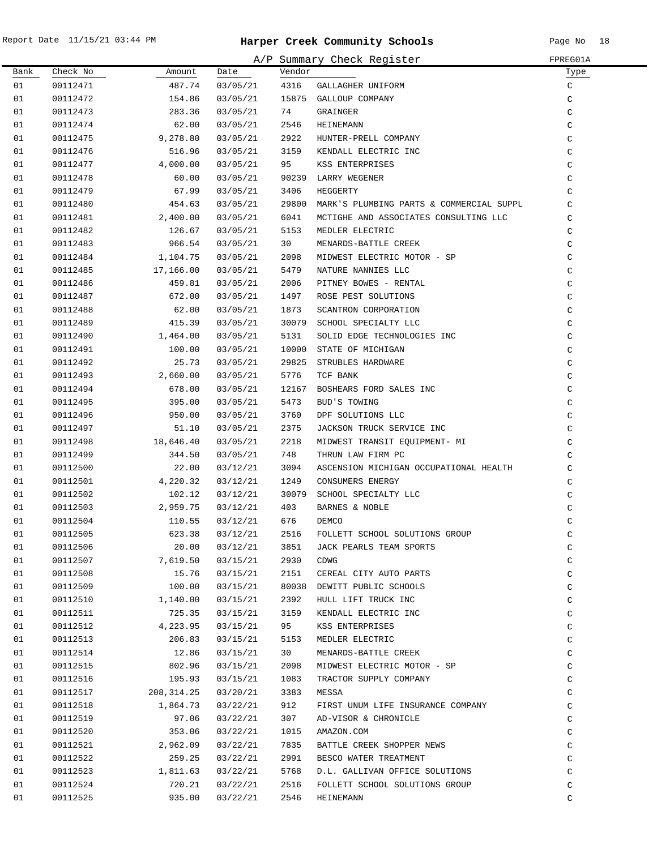|      |          |             |          |        | A/P Summary Check Register               | FPREG01A      |
|------|----------|-------------|----------|--------|------------------------------------------|---------------|
| Bank | Check No | Amount      | Date     | Vendor |                                          | Туре          |
| 01   | 00112471 | 487.74      | 03/05/21 | 4316   | GALLAGHER UNIFORM                        | C             |
| 01   | 00112472 | 154.86      | 03/05/21 |        | 15875 GALLOUP COMPANY                    | C             |
| 01   | 00112473 | 283.36      | 03/05/21 | 74     | GRAINGER                                 | C             |
| 01   | 00112474 | 62.00       | 03/05/21 | 2546   | HEINEMANN                                | C             |
| 01   | 00112475 | 9,278.80    | 03/05/21 | 2922   | HUNTER-PRELL COMPANY                     | C             |
| 01   | 00112476 | 516.96      | 03/05/21 | 3159   | KENDALL ELECTRIC INC                     | C             |
| 01   | 00112477 | 4,000.00    | 03/05/21 | 95     | KSS ENTERPRISES                          | $\mathcal{C}$ |
| 01   | 00112478 | 60.00       | 03/05/21 |        | 90239 LARRY WEGENER                      | C             |
| 01   | 00112479 | 67.99       | 03/05/21 | 3406   | HEGGERTY                                 | C             |
| 01   | 00112480 | 454.63      | 03/05/21 | 29800  | MARK'S PLUMBING PARTS & COMMERCIAL SUPPL | C             |
| 01   | 00112481 | 2,400.00    | 03/05/21 | 6041   | MCTIGHE AND ASSOCIATES CONSULTING LLC    | C             |
| 01   | 00112482 | 126.67      | 03/05/21 | 5153   | MEDLER ELECTRIC                          | C             |
| 01   | 00112483 | 966.54      | 03/05/21 | 30     | MENARDS-BATTLE CREEK                     | C             |
| 01   | 00112484 | 1,104.75    | 03/05/21 | 2098   | MIDWEST ELECTRIC MOTOR - SP              | C             |
| 01   | 00112485 | 17,166.00   | 03/05/21 | 5479   | NATURE NANNIES LLC                       | C             |
| 01   | 00112486 | 459.81      | 03/05/21 | 2006   | PITNEY BOWES - RENTAL                    | $\mathsf C$   |
| 01   | 00112487 | 672.00      | 03/05/21 | 1497   | ROSE PEST SOLUTIONS                      | $\mathsf C$   |
| 01   | 00112488 | 62.00       | 03/05/21 | 1873   | SCANTRON CORPORATION                     | $\mathsf C$   |
| 01   | 00112489 | 415.39      | 03/05/21 |        | 30079 SCHOOL SPECIALTY LLC               | C             |
| 01   | 00112490 | 1,464.00    | 03/05/21 | 5131   | SOLID EDGE TECHNOLOGIES INC              | $\mathsf C$   |
| 01   | 00112491 | 100.00      | 03/05/21 | 10000  | STATE OF MICHIGAN                        | C             |
| 01   | 00112492 | 25.73       | 03/05/21 | 29825  | STRUBLES HARDWARE                        | C             |
| 01   | 00112493 | 2,660.00    | 03/05/21 | 5776   | TCF BANK                                 | C             |
| 01   | 00112494 | 678.00      | 03/05/21 | 12167  | BOSHEARS FORD SALES INC                  | C             |
| 01   | 00112495 | 395.00      | 03/05/21 | 5473   | BUD'S TOWING                             | C             |
| 01   | 00112496 | 950.00      | 03/05/21 | 3760   | DPF SOLUTIONS LLC                        | C             |
| 01   | 00112497 | 51.10       | 03/05/21 | 2375   | JACKSON TRUCK SERVICE INC                | C             |
| 01   | 00112498 | 18,646.40   | 03/05/21 | 2218   | MIDWEST TRANSIT EQUIPMENT- MI            | C             |
| 01   | 00112499 | 344.50      | 03/05/21 | 748    | THRUN LAW FIRM PC                        | C             |
| 01   | 00112500 | 22.00       | 03/12/21 | 3094   | ASCENSION MICHIGAN OCCUPATIONAL HEALTH   | C             |
| 01   | 00112501 | 4,220.32    | 03/12/21 | 1249   | CONSUMERS ENERGY                         | C             |
| 01   | 00112502 | 102.12      | 03/12/21 | 30079  | SCHOOL SPECIALTY LLC                     | C             |
| 01   | 00112503 | 2,959.75    | 03/12/21 | 403    | BARNES & NOBLE                           | C             |
| 01   | 00112504 | 110.55      | 03/12/21 | 676    | DEMCO                                    | C             |
| 01   | 00112505 | 623.38      | 03/12/21 | 2516   | FOLLETT SCHOOL SOLUTIONS GROUP           | C             |
| 01   | 00112506 | 20.00       | 03/12/21 | 3851   | JACK PEARLS TEAM SPORTS                  | $\mathtt{C}$  |
| 01   | 00112507 | 7,619.50    | 03/15/21 | 2930   | <b>CDWG</b>                              | $\mathtt{C}$  |
| 01   | 00112508 | 15.76       | 03/15/21 | 2151   | CEREAL CITY AUTO PARTS                   | $\mathtt{C}$  |
| 01   | 00112509 | 100.00      | 03/15/21 |        | 80038 DEWITT PUBLIC SCHOOLS              | $\mathtt{C}$  |
| 01   | 00112510 | 1,140.00    | 03/15/21 | 2392   | HULL LIFT TRUCK INC                      | $\mathtt{C}$  |
| 01   | 00112511 | 725.35      | 03/15/21 | 3159   | KENDALL ELECTRIC INC                     | $\mathtt{C}$  |
| 01   | 00112512 | 4,223.95    | 03/15/21 | 95     | KSS ENTERPRISES                          | C             |
| 01   | 00112513 | 206.83      | 03/15/21 | 5153   | MEDLER ELECTRIC                          | C             |
| 01   | 00112514 | 12.86       | 03/15/21 | 30     | MENARDS-BATTLE CREEK                     | C             |
| 01   | 00112515 | 802.96      | 03/15/21 | 2098   | MIDWEST ELECTRIC MOTOR - SP              | C             |
| 01   | 00112516 | 195.93      | 03/15/21 | 1083   | TRACTOR SUPPLY COMPANY                   | C             |
| 01   | 00112517 | 208, 314.25 | 03/20/21 | 3383   | MESSA                                    | $\mathcal{C}$ |
| 01   | 00112518 | 1,864.73    | 03/22/21 | 912    | FIRST UNUM LIFE INSURANCE COMPANY        | C             |
| 01   | 00112519 | 97.06       | 03/22/21 | 307    | AD-VISOR & CHRONICLE                     | C             |
| 01   | 00112520 | 353.06      | 03/22/21 | 1015   | AMAZON.COM                               | C             |
| 01   | 00112521 | 2,962.09    | 03/22/21 | 7835   | BATTLE CREEK SHOPPER NEWS                | C             |
| 01   | 00112522 | 259.25      | 03/22/21 | 2991   | BESCO WATER TREATMENT                    | C             |
| 01   | 00112523 | 1,811.63    | 03/22/21 | 5768   | D.L. GALLIVAN OFFICE SOLUTIONS           | C             |
| 01   | 00112524 | 720.21      | 03/22/21 | 2516   | FOLLETT SCHOOL SOLUTIONS GROUP           | C             |
| 01   | 00112525 | 935.00      | 03/22/21 | 2546   | HEINEMANN                                | C             |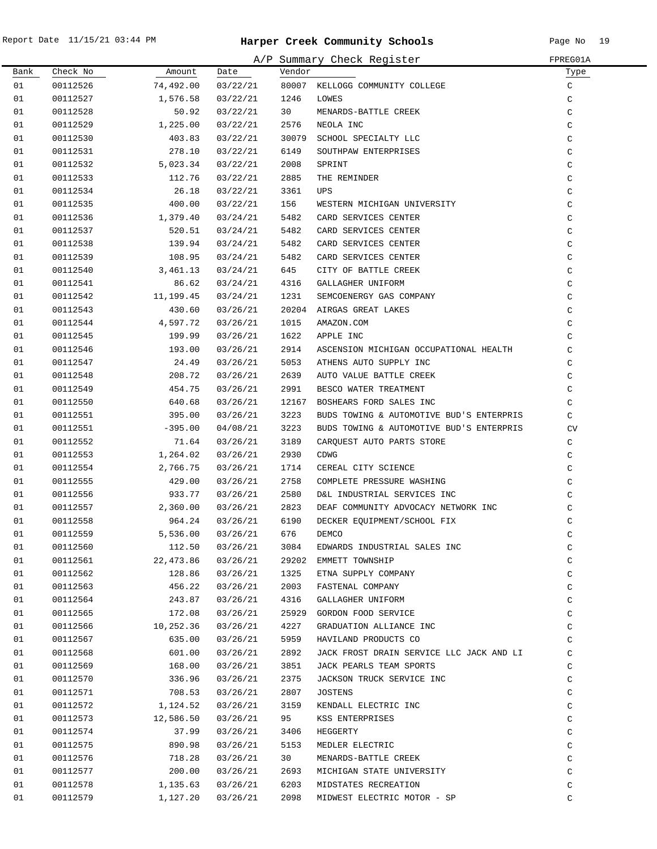|      |          |                   |                   |                 | A/P Summary Check Register                                                                                                                                                                                                                          | FPREG01A      |
|------|----------|-------------------|-------------------|-----------------|-----------------------------------------------------------------------------------------------------------------------------------------------------------------------------------------------------------------------------------------------------|---------------|
| Bank | Check No | Amount            | Date              | Vendor          |                                                                                                                                                                                                                                                     | Туре          |
| 01   | 00112526 | 74,492.00         | 03/22/21          |                 | 80007 KELLOGG COMMUNITY COLLEGE<br>1246 LOWES                                                                                                                                                                                                       | $\mathsf{C}$  |
| 01   | 00112527 | 1,576.58          | 03/22/21          | 1246            |                                                                                                                                                                                                                                                     | C             |
| 01   | 00112528 | 50.92             | 03/22/21          |                 |                                                                                                                                                                                                                                                     | $\mathsf C$   |
| 01   | 00112529 | 1,225.00          | 03/22/21          |                 |                                                                                                                                                                                                                                                     | $\mathsf C$   |
| 01   | 00112530 | 403.83            | 03/22/21          |                 | 1246 LOWES<br>30 MENARDS-BATTLE CREEK<br>2576 NEOLA INC<br>30079 SCHOOL SPECIALTY LLC<br>6149 SOUTHPAW ENTERPRISES<br>2008 SPRINT<br>7885 THE REMINDER<br>3361 UPS                                                                                  | $\mathsf C$   |
| 01   | 00112531 | 278.10            | 03/22/21          |                 |                                                                                                                                                                                                                                                     | $\mathsf C$   |
| 01   | 00112532 | 5,023.34          | 03/22/21          |                 |                                                                                                                                                                                                                                                     | C             |
| 01   | 00112533 | 112.76            | 03/22/21          |                 |                                                                                                                                                                                                                                                     | $\mathcal{C}$ |
| 01   | 00112534 | 26.18             | 03/22/21          |                 |                                                                                                                                                                                                                                                     | $\rm{C}$      |
| 01   | 00112535 | 400.00            | 03/22/21          | 156             | WESTERN MICHIGAN UNIVERSITY<br>CARD SERVICES CRYTING                                                                                                                                                                                                | $\mathsf C$   |
| 01   | 00112536 | 1,379.40          | 03/24/21          | 5482            | CARD SERVICES CENTER                                                                                                                                                                                                                                | $\rm{C}$      |
| 01   | 00112537 | 520.51            | 03/24/21          | 5482            | CARD SERVICES CENTER                                                                                                                                                                                                                                | $\rm{C}$      |
| 01   | 00112538 | 139.94            | 03/24/21          | 5482            | WESTERN MICHIGAN ONTVERSITITY<br>CARD SERVICES CENTER<br>CARD SERVICES CENTER<br>CARD SERVICES CENTER<br>CARD SERVICES CENTER<br>CITY OF BATTLE CREEK<br>GALLAGHER UNIFORM<br>SEMCOENERGY GAS COMPANY<br>ATRGAS GREAT LAKES<br>CARD SERVICES CENTER | $\mathsf C$   |
| 01   | 00112539 | 108.95            | 03/24/21          | 5482            | CARD SERVICES CENTER                                                                                                                                                                                                                                | $\mathsf C$   |
| 01   | 00112540 | 3,461.13          | 03/24/21          | 645             |                                                                                                                                                                                                                                                     | $\mathsf C$   |
| 01   | 00112541 | 86.62             | 03/24/21          | 4316            | GALLAGHER UNIFORM                                                                                                                                                                                                                                   | $\mathsf C$   |
| 01   | 00112542 | 11,199.45         | 03/24/21          | 1231            |                                                                                                                                                                                                                                                     | $\mathsf C$   |
| 01   | 00112543 | 430.60            | 03/26/21          |                 | 20204 AIRGAS GREAT LAKES                                                                                                                                                                                                                            | $\mathsf C$   |
| 01   | 00112544 | 4,597.72          | 03/26/21          | 1015            | AMAZON.COM                                                                                                                                                                                                                                          | $\mathsf C$   |
| 01   | 00112545 | 199.99            | 03/26/21          | 1622            | APPLE INC                                                                                                                                                                                                                                           | C             |
| 01   | 00112546 | 193.00            | 03/26/21          | 2914            | ASCENSION MICHIGAN OCCUPATIONAL HEALTH                                                                                                                                                                                                              | $\mathcal{C}$ |
| 01   | 00112547 | 24.49             | 03/26/21          | 5053            | ATHENS AUTO SUPPLY INC                                                                                                                                                                                                                              | C             |
| 01   | 00112548 | 208.72            | 03/26/21          | 2639            | AUTO VALUE BATTLE CREEK                                                                                                                                                                                                                             | C             |
| 01   | 00112549 | 454.75            | 03/26/21          | 2991            | BESCO WATER TREATMENT                                                                                                                                                                                                                               | C             |
| 01   | 00112550 | 640.68            | 03/26/21          |                 | 12167 BOSHEARS FORD SALES INC                                                                                                                                                                                                                       | C             |
| 01   | 00112551 | 395.00            | 03/26/21          | 3223            | BUDS TOWING & AUTOMOTIVE BUD'S ENTERPRIS                                                                                                                                                                                                            | C             |
| 01   | 00112551 | $-395.00$         | 04/08/21          | 3223            | BUDS TOWING & AUTOMOTIVE BUD'S ENTERPRIS                                                                                                                                                                                                            | CV            |
| 01   | 00112552 | 71.64             | 03/26/21          | 3189            | CARQUEST AUTO PARTS STORE                                                                                                                                                                                                                           | C             |
| 01   | 00112553 | 1,264.02          | 03/26/21          | 2930            | CDWG                                                                                                                                                                                                                                                | $\mathsf C$   |
| 01   | 00112554 | 2,766.75          | 03/26/21          | 1714            | CEREAL CITY SCIENCE                                                                                                                                                                                                                                 | $\mathsf{C}$  |
| 01   | 00112555 | 429.00            | 03/26/21          | 2758            | COMPLETE PRESSURE WASHING                                                                                                                                                                                                                           | $\mathsf{C}$  |
| 01   | 00112556 | 933.77            | 03/26/21          | 2580            | D&L INDUSTRIAL SERVICES INC                                                                                                                                                                                                                         | $\mathsf{C}$  |
| 01   | 00112557 | 2,360.00 03/26/21 |                   | 2823            | DEAF COMMUNITY ADVOCACY NETWORK INC                                                                                                                                                                                                                 | C             |
| 01   | 00112558 | 964.24            | 03/26/21          | 6190            | DECKER EQUIPMENT/SCHOOL FIX                                                                                                                                                                                                                         | $\mathsf C$   |
| 01   | 00112559 |                   | 5,536.00 03/26/21 | 676 DEMCO       |                                                                                                                                                                                                                                                     | C             |
| 01   | 00112560 | 112.50            | 03/26/21          | 3084            | EDWARDS INDUSTRIAL SALES INC                                                                                                                                                                                                                        | $\rm{C}$      |
| 01   | 00112561 | 22,473.86         | 03/26/21          |                 | 29202 EMMETT TOWNSHIP                                                                                                                                                                                                                               | $\mathsf C$   |
| 01   | 00112562 | 128.86            | 03/26/21          | 1325            | ETNA SUPPLY COMPANY                                                                                                                                                                                                                                 | $\rm{C}$      |
| 01   | 00112563 | 456.22            | 03/26/21          | 2003            | FASTENAL COMPANY                                                                                                                                                                                                                                    | $\mathsf C$   |
| 01   | 00112564 | 243.87            | 03/26/21          | 4316            | GALLAGHER UNIFORM                                                                                                                                                                                                                                   | C             |
| 01   | 00112565 | 172.08            | 03/26/21          |                 | 25929 GORDON FOOD SERVICE                                                                                                                                                                                                                           | C             |
| 01   | 00112566 | 10,252.36         | 03/26/21          | 4227            | GRADUATION ALLIANCE INC                                                                                                                                                                                                                             | C             |
| 01   | 00112567 | 635.00            | 03/26/21          | 5959            | HAVILAND PRODUCTS CO                                                                                                                                                                                                                                | C             |
| 01   | 00112568 | 601.00            | 03/26/21          | 2892            | JACK FROST DRAIN SERVICE LLC JACK AND LI                                                                                                                                                                                                            | $\mathsf C$   |
| 01   | 00112569 | 168.00            | 03/26/21          | 3851            | JACK PEARLS TEAM SPORTS                                                                                                                                                                                                                             | C             |
| 01   | 00112570 | 336.96            | 03/26/21          | 2375            | JACKSON TRUCK SERVICE INC                                                                                                                                                                                                                           | C             |
| 01   | 00112571 | 708.53            | 03/26/21          | 2807            | JOSTENS                                                                                                                                                                                                                                             | C             |
| 01   | 00112572 | 1,124.52          | 03/26/21          | 3159            | KENDALL ELECTRIC INC                                                                                                                                                                                                                                | $\rm{C}$      |
| 01   | 00112573 | 12,586.50         | 03/26/21          | 95              | KSS ENTERPRISES                                                                                                                                                                                                                                     | $\rm{C}$      |
| 01   | 00112574 | 37.99             | 03/26/21          | 3406            | HEGGERTY                                                                                                                                                                                                                                            | C             |
| 01   | 00112575 | 890.98            | 03/26/21          | 5153            | MEDLER ELECTRIC                                                                                                                                                                                                                                     | C             |
| 01   | 00112576 | 718.28            | 03/26/21          | 30 <sub>o</sub> | MENARDS-BATTLE CREEK                                                                                                                                                                                                                                | C             |
| 01   | 00112577 | 200.00            | 03/26/21          | 2693            | MICHIGAN STATE UNIVERSITY                                                                                                                                                                                                                           | C             |
| 01   | 00112578 | 1,135.63          | 03/26/21          | 6203            | MIDSTATES RECREATION                                                                                                                                                                                                                                | C             |
| 01   | 00112579 | 1,127.20          | 03/26/21          | 2098            | MIDWEST ELECTRIC MOTOR - SP                                                                                                                                                                                                                         | C             |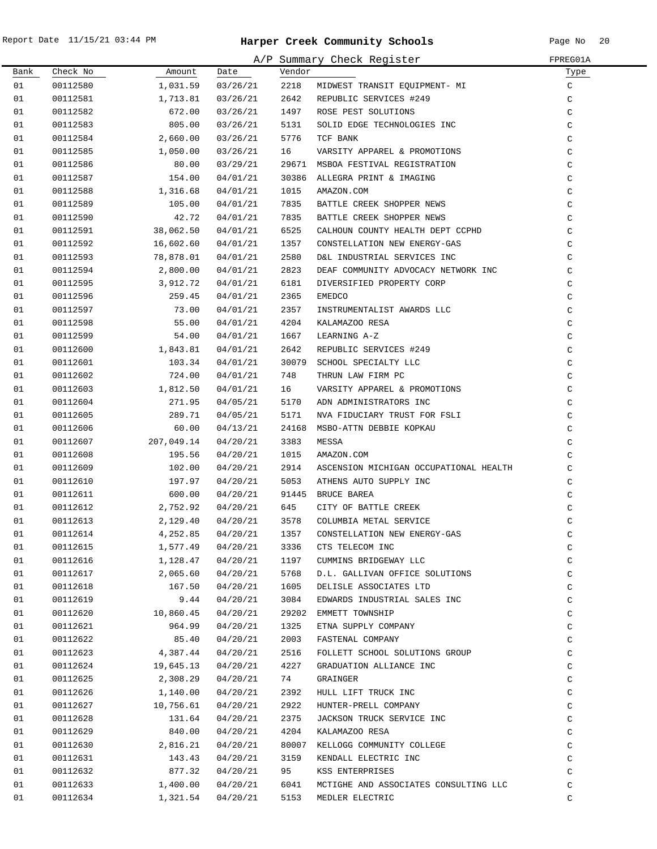$\overline{\phantom{0}}$ 

|      |          |            |          |        | A/P Summary Check Register             | FPREG01A      |
|------|----------|------------|----------|--------|----------------------------------------|---------------|
| Bank | Check No | Amount     | Date     | Vendor |                                        | Туре          |
| 01   | 00112580 | 1,031.59   | 03/26/21 | 2218   | MIDWEST TRANSIT EQUIPMENT- MI          | C             |
| 01   | 00112581 | 1,713.81   | 03/26/21 | 2642   | REPUBLIC SERVICES #249                 | $\mathsf C$   |
| 01   | 00112582 | 672.00     | 03/26/21 | 1497   | ROSE PEST SOLUTIONS                    | $\mathsf C$   |
| 01   | 00112583 | 805.00     | 03/26/21 | 5131   | SOLID EDGE TECHNOLOGIES INC            | $\mathsf C$   |
| 01   | 00112584 | 2,660.00   | 03/26/21 | 5776   | TCF BANK                               | $\mathsf C$   |
| 01   | 00112585 | 1,050.00   | 03/26/21 | 16     | VARSITY APPAREL & PROMOTIONS           | C             |
| 01   | 00112586 | 80.00      | 03/29/21 |        | 29671 MSBOA FESTIVAL REGISTRATION      | C             |
| 01   | 00112587 | 154.00     | 04/01/21 | 30386  | ALLEGRA PRINT & IMAGING                | C             |
| 01   | 00112588 | 1,316.68   | 04/01/21 | 1015   | AMAZON.COM                             | C             |
| 01   | 00112589 | 105.00     | 04/01/21 | 7835   | BATTLE CREEK SHOPPER NEWS              | C             |
| 01   | 00112590 | 42.72      | 04/01/21 | 7835   | BATTLE CREEK SHOPPER NEWS              | C             |
| 01   | 00112591 | 38,062.50  | 04/01/21 | 6525   | CALHOUN COUNTY HEALTH DEPT CCPHD       | C             |
| 01   | 00112592 | 16,602.60  | 04/01/21 | 1357   | CONSTELLATION NEW ENERGY-GAS           | C             |
| 01   | 00112593 | 78,878.01  | 04/01/21 | 2580   | D&L INDUSTRIAL SERVICES INC            | C             |
| 01   | 00112594 | 2,800.00   | 04/01/21 | 2823   | DEAF COMMUNITY ADVOCACY NETWORK INC    | $\mathsf C$   |
| 01   | 00112595 | 3,912.72   | 04/01/21 | 6181   | DIVERSIFIED PROPERTY CORP              | C             |
| 01   | 00112596 | 259.45     | 04/01/21 | 2365   | <b>EMEDCO</b>                          | $\mathsf C$   |
| 01   | 00112597 | 73.00      | 04/01/21 | 2357   | INSTRUMENTALIST AWARDS LLC             | C             |
| 01   | 00112598 | 55.00      | 04/01/21 | 4204   | KALAMAZOO RESA                         | C             |
| 01   | 00112599 | 54.00      | 04/01/21 | 1667   | LEARNING A-Z                           | C             |
| 01   | 00112600 | 1,843.81   | 04/01/21 | 2642   | REPUBLIC SERVICES #249                 | C             |
| 01   | 00112601 | 103.34     | 04/01/21 | 30079  | SCHOOL SPECIALTY LLC                   | $\mathsf C$   |
| 01   | 00112602 | 724.00     | 04/01/21 | 748    | THRUN LAW FIRM PC                      | $\mathsf C$   |
| 01   | 00112603 | 1,812.50   | 04/01/21 | 16     | VARSITY APPAREL & PROMOTIONS           | $\mathsf C$   |
| 01   | 00112604 | 271.95     | 04/05/21 | 5170   | ADN ADMINISTRATORS INC                 | C             |
| 01   | 00112605 | 289.71     | 04/05/21 | 5171   | NVA FIDUCIARY TRUST FOR FSLI           | C             |
| 01   | 00112606 | 60.00      | 04/13/21 | 24168  | MSBO-ATTN DEBBIE KOPKAU                | C             |
| 01   | 00112607 | 207,049.14 | 04/20/21 | 3383   | MESSA                                  | C             |
| 01   | 00112608 | 195.56     | 04/20/21 | 1015   | AMAZON.COM                             | C             |
| 01   | 00112609 | 102.00     | 04/20/21 | 2914   | ASCENSION MICHIGAN OCCUPATIONAL HEALTH | C             |
| 01   | 00112610 | 197.97     | 04/20/21 | 5053   | ATHENS AUTO SUPPLY INC                 | C             |
| 01   | 00112611 | 600.00     | 04/20/21 |        | 91445 BRUCE BAREA                      | $\mathsf C$   |
| 01   | 00112612 | 2,752.92   | 04/20/21 | 645    | CITY OF BATTLE CREEK                   | $\rm{C}$      |
| 01   | 00112613 | 2,129.40   | 04/20/21 | 3578   | COLUMBIA METAL SERVICE                 | $\mathcal{C}$ |
| 01   | 00112614 | 4,252.85   | 04/20/21 | 1357   | CONSTELLATION NEW ENERGY-GAS           | C             |
| 01   | 00112615 | 1,577.49   | 04/20/21 | 3336   | CTS TELECOM INC                        | $\mathsf C$   |
| 01   | 00112616 | 1,128.47   | 04/20/21 | 1197   | CUMMINS BRIDGEWAY LLC                  | C             |
| 01   | 00112617 | 2,065.60   | 04/20/21 | 5768   | D.L. GALLIVAN OFFICE SOLUTIONS         | C             |
| 01   | 00112618 | 167.50     | 04/20/21 | 1605   | DELISLE ASSOCIATES LTD                 | C             |
| 01   | 00112619 | 9.44       | 04/20/21 | 3084   | EDWARDS INDUSTRIAL SALES INC           | C             |
| 01   | 00112620 | 10,860.45  | 04/20/21 | 29202  | EMMETT TOWNSHIP                        | C             |
| 01   | 00112621 | 964.99     | 04/20/21 | 1325   | ETNA SUPPLY COMPANY                    | $\mathtt{C}$  |
| 01   | 00112622 | 85.40      | 04/20/21 | 2003   | FASTENAL COMPANY                       | C             |
| 01   | 00112623 | 4,387.44   | 04/20/21 | 2516   | FOLLETT SCHOOL SOLUTIONS GROUP         | $\mathtt{C}$  |
| 01   | 00112624 | 19,645.13  | 04/20/21 | 4227   | GRADUATION ALLIANCE INC                | C             |
| 01   | 00112625 | 2,308.29   | 04/20/21 | 74     | GRAINGER                               | C             |
| 01   | 00112626 | 1,140.00   | 04/20/21 | 2392   | HULL LIFT TRUCK INC                    | C             |
| 01   | 00112627 | 10,756.61  | 04/20/21 | 2922   | HUNTER-PRELL COMPANY                   | C             |
| 01   | 00112628 | 131.64     | 04/20/21 | 2375   | JACKSON TRUCK SERVICE INC              | C             |
| 01   | 00112629 | 840.00     | 04/20/21 | 4204   | KALAMAZOO RESA                         | C             |
| 01   | 00112630 | 2,816.21   | 04/20/21 | 80007  | KELLOGG COMMUNITY COLLEGE              | C             |
| 01   | 00112631 | 143.43     | 04/20/21 | 3159   | KENDALL ELECTRIC INC                   | C             |
| 01   | 00112632 | 877.32     | 04/20/21 | 95     | KSS ENTERPRISES                        | C             |
| 01   | 00112633 | 1,400.00   | 04/20/21 | 6041   | MCTIGHE AND ASSOCIATES CONSULTING LLC  | C             |
| 01   | 00112634 | 1,321.54   | 04/20/21 | 5153   | MEDLER ELECTRIC                        | C             |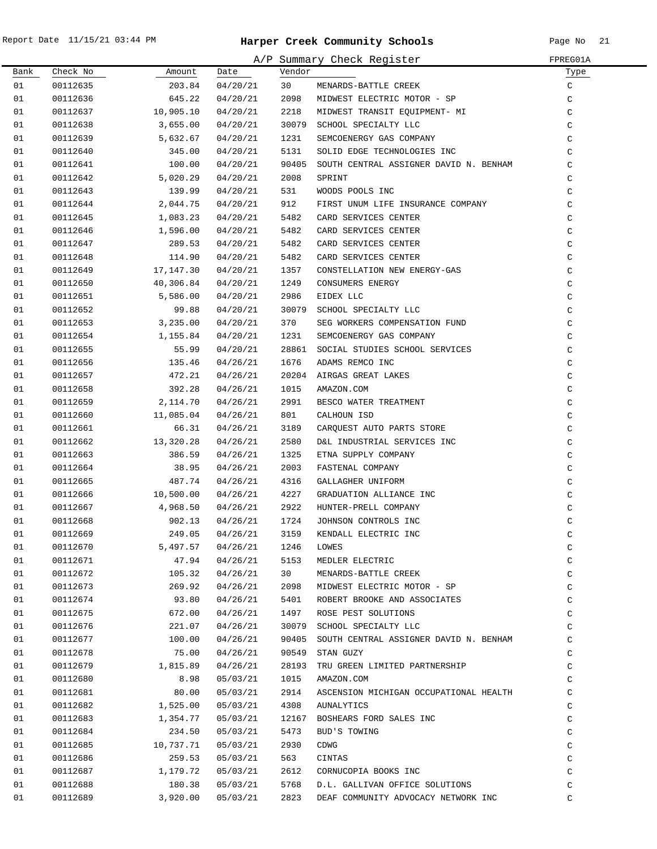|      |          |                  |          |        | A/P Summary Check Register             | FPREG01A    |
|------|----------|------------------|----------|--------|----------------------------------------|-------------|
| Bank | Check No | Amount           | Date     | Vendor |                                        | Туре        |
| 01   | 00112635 | 203.84           | 04/20/21 | 30     | MENARDS-BATTLE CREEK                   | $\rm{C}$    |
| 01   | 00112636 | 645.22           | 04/20/21 | 2098   | MIDWEST ELECTRIC MOTOR - SP            | $\rm{C}$    |
| 01   | 00112637 | 10,905.10        | 04/20/21 | 2218   | MIDWEST TRANSIT EQUIPMENT- MI          | $\rm{C}$    |
| 01   | 00112638 | 3,655.00         | 04/20/21 | 30079  | SCHOOL SPECIALTY LLC                   | $\rm{C}$    |
| 01   | 00112639 | 5,632.67         | 04/20/21 | 1231   | SEMCOENERGY GAS COMPANY                | C           |
| 01   | 00112640 | 345.00           | 04/20/21 | 5131   | SOLID EDGE TECHNOLOGIES INC            | C           |
| 01   | 00112641 | 100.00           | 04/20/21 | 90405  | SOUTH CENTRAL ASSIGNER DAVID N. BENHAM | $\mathsf C$ |
| 01   | 00112642 | 5,020.29         | 04/20/21 | 2008   | SPRINT                                 | $\mathsf C$ |
| 01   | 00112643 | 139.99           | 04/20/21 | 531    | WOODS POOLS INC                        | C           |
| 01   | 00112644 | 2,044.75         | 04/20/21 | 912    | FIRST UNUM LIFE INSURANCE COMPANY      | C           |
| 01   | 00112645 | 1,083.23         | 04/20/21 | 5482   | CARD SERVICES CENTER                   | $\mathsf C$ |
| 01   | 00112646 | 1,596.00         | 04/20/21 | 5482   | CARD SERVICES CENTER                   | $\mathsf C$ |
| 01   | 00112647 | 289.53           | 04/20/21 | 5482   | CARD SERVICES CENTER                   | $\mathsf C$ |
| 01   | 00112648 | 114.90           | 04/20/21 | 5482   | CARD SERVICES CENTER                   | $\mathsf C$ |
| 01   | 00112649 | 17,147.30        | 04/20/21 | 1357   | CONSTELLATION NEW ENERGY-GAS           | $\mathsf C$ |
| 01   | 00112650 | 40,306.84        | 04/20/21 | 1249   | CONSUMERS ENERGY                       | $\mathsf C$ |
| 01   | 00112651 | 5,586.00         | 04/20/21 | 2986   | EIDEX LLC                              | $\mathsf C$ |
| 01   | 00112652 | 99.88            | 04/20/21 | 30079  | SCHOOL SPECIALTY LLC                   | $\mathsf C$ |
| 01   | 00112653 | 3,235.00         | 04/20/21 | 370    | SEG WORKERS COMPENSATION FUND          | $\mathsf C$ |
| 01   | 00112654 | 1,155.84         | 04/20/21 | 1231   | SEMCOENERGY GAS COMPANY                | C           |
| 01   | 00112655 | 55.99            | 04/20/21 |        | 28861 SOCIAL STUDIES SCHOOL SERVICES   | $\rm{C}$    |
| 01   |          | 135.46           |          | 1676   | ADAMS REMCO INC                        |             |
| 01   | 00112656 |                  | 04/26/21 |        |                                        | $\rm{C}$    |
| 01   | 00112657 | 472.21<br>392.28 | 04/26/21 |        | 20204 AIRGAS GREAT LAKES               | $\rm C$     |
|      | 00112658 |                  | 04/26/21 | 1015   | AMAZON.COM                             | $\rm{C}$    |
| 01   | 00112659 | 2,114.70         | 04/26/21 | 2991   | BESCO WATER TREATMENT                  | $\rm{C}$    |
| 01   | 00112660 | 11,085.04        | 04/26/21 | 801    | CALHOUN ISD                            | $\mathsf C$ |
| 01   | 00112661 | 66.31            | 04/26/21 | 3189   | CARQUEST AUTO PARTS STORE              | $\mathsf C$ |
| 01   | 00112662 | 13,320.28        | 04/26/21 | 2580   | D&L INDUSTRIAL SERVICES INC            | $\rm{C}$    |
| 01   | 00112663 | 386.59           | 04/26/21 | 1325   | ETNA SUPPLY COMPANY                    | $\mathsf C$ |
| 01   | 00112664 | 38.95            | 04/26/21 | 2003   | FASTENAL COMPANY                       | $\mathsf C$ |
| 01   | 00112665 | 487.74           | 04/26/21 | 4316   | GALLAGHER UNIFORM                      | $\mathsf C$ |
| 01   | 00112666 | 10,500.00        | 04/26/21 | 4227   | GRADUATION ALLIANCE INC                | $\mathsf C$ |
| 01   | 00112667 | 4,968.50         | 04/26/21 | 2922   | HUNTER-PRELL COMPANY                   | $\mathsf C$ |
| 01   | 00112668 | 902.13           | 04/26/21 | 1724   | JOHNSON CONTROLS INC                   | $\mathsf C$ |
| 01   | 00112669 | 249.05           | 04/26/21 | 3159   | KENDALL ELECTRIC INC                   | C           |
| 01   | 00112670 | 5,497.57         | 04/26/21 | 1246   | LOWES                                  | C           |
| 01   | 00112671 | 47.94            | 04/26/21 | 5153   | MEDLER ELECTRIC                        | C           |
| 01   | 00112672 | 105.32           | 04/26/21 | 30     | MENARDS-BATTLE CREEK                   | $\rm{C}$    |
| 01   | 00112673 | 269.92           | 04/26/21 | 2098   | MIDWEST ELECTRIC MOTOR - SP            | C           |
| 01   | 00112674 | 93.80            | 04/26/21 | 5401   | ROBERT BROOKE AND ASSOCIATES           | $\rm{C}$    |
| 01   | 00112675 | 672.00           | 04/26/21 | 1497   | ROSE PEST SOLUTIONS                    | $\mathsf C$ |
| 01   | 00112676 | 221.07           | 04/26/21 | 30079  | SCHOOL SPECIALTY LLC                   | $\rm{C}$    |
| 01   | 00112677 | 100.00           | 04/26/21 | 90405  | SOUTH CENTRAL ASSIGNER DAVID N. BENHAM | $\rm{C}$    |
| 01   | 00112678 | 75.00            | 04/26/21 | 90549  | STAN GUZY                              | C           |
| 01   | 00112679 | 1,815.89         | 04/26/21 | 28193  | TRU GREEN LIMITED PARTNERSHIP          | $\mathsf C$ |
| 01   | 00112680 | 8.98             | 05/03/21 | 1015   | AMAZON.COM                             | C           |
| 01   | 00112681 | 80.00            | 05/03/21 | 2914   | ASCENSION MICHIGAN OCCUPATIONAL HEALTH | $\mathsf C$ |
| 01   | 00112682 | 1,525.00         | 05/03/21 | 4308   | AUNALYTICS                             | C           |
| 01   | 00112683 | 1,354.77         | 05/03/21 | 12167  | BOSHEARS FORD SALES INC                | C           |
| 01   | 00112684 | 234.50           | 05/03/21 | 5473   | BUD'S TOWING                           | $\mathsf C$ |
| 01   | 00112685 | 10,737.71        | 05/03/21 | 2930   | CDWG                                   | $\mathsf C$ |
| 01   | 00112686 | 259.53           | 05/03/21 | 563    | CINTAS                                 | $\mathsf C$ |
| 01   | 00112687 | 1,179.72         | 05/03/21 | 2612   | CORNUCOPIA BOOKS INC                   | $\mathsf C$ |
| 01   | 00112688 | 180.38           | 05/03/21 | 5768   | D.L. GALLIVAN OFFICE SOLUTIONS         | C           |
| 01   | 00112689 | 3,920.00         | 05/03/21 | 2823   | DEAF COMMUNITY ADVOCACY NETWORK INC    | C           |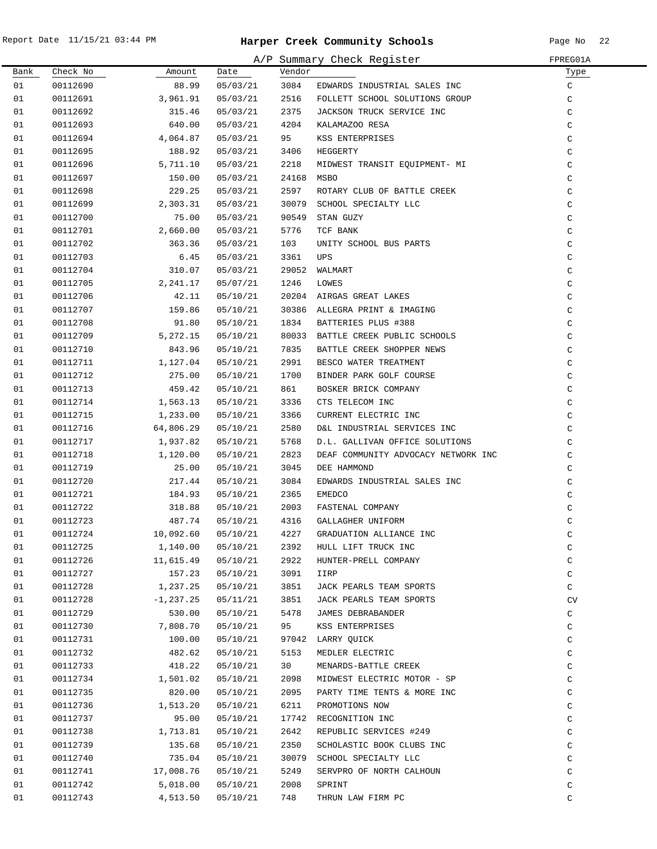|      |          | FPREG01A    |          |            |                                     |              |
|------|----------|-------------|----------|------------|-------------------------------------|--------------|
| Bank | Check No | Amount      | Date     | Vendor     | A/P Summary Check Register          | Туре         |
| 01   | 00112690 | 88.99       | 05/03/21 | 3084       | EDWARDS INDUSTRIAL SALES INC        | C            |
| 01   | 00112691 | 3,961.91    | 05/03/21 | 2516       | FOLLETT SCHOOL SOLUTIONS GROUP      | C            |
| 01   | 00112692 | 315.46      | 05/03/21 | 2375       | JACKSON TRUCK SERVICE INC           | $\mathsf C$  |
| 01   | 00112693 | 640.00      | 05/03/21 | 4204       | KALAMAZOO RESA                      | $\mathsf C$  |
| 01   | 00112694 | 4,064.87    | 05/03/21 | 95         | KSS ENTERPRISES                     | $\mathsf C$  |
| 01   | 00112695 | 188.92      | 05/03/21 | 3406       | HEGGERTY                            | $\mathsf C$  |
| 01   | 00112696 | 5,711.10    | 05/03/21 | 2218       | MIDWEST TRANSIT EQUIPMENT- MI       | C            |
| 01   | 00112697 | 150.00      | 05/03/21 | 24168 MSBO |                                     | $\mathsf C$  |
| 01   | 00112698 | 229.25      | 05/03/21 | 2597       | ROTARY CLUB OF BATTLE CREEK         | $\mathsf C$  |
| 01   | 00112699 | 2,303.31    | 05/03/21 |            | 30079 SCHOOL SPECIALTY LLC          | $\mathsf C$  |
| 01   | 00112700 | 75.00       | 05/03/21 |            | 90549 STAN GUZY                     | $\mathsf C$  |
| 01   | 00112701 | 2,660.00    | 05/03/21 | 5776       | TCF BANK                            | C            |
| 01   | 00112702 | 363.36      | 05/03/21 | 103        | UNITY SCHOOL BUS PARTS              | $\mathsf C$  |
| 01   | 00112703 | 6.45        | 05/03/21 | 3361       | UPS                                 | C            |
| 01   | 00112704 | 310.07      | 05/03/21 |            | 29052 WALMART                       | $\mathsf C$  |
| 01   | 00112705 | 2,241.17    | 05/07/21 | 1246       | LOWES                               | $\mathsf C$  |
| 01   | 00112706 | 42.11       | 05/10/21 |            | 20204 AIRGAS GREAT LAKES            | C            |
| 01   | 00112707 | 159.86      | 05/10/21 |            | 30386 ALLEGRA PRINT & IMAGING       | C            |
| 01   | 00112708 | 91.80       | 05/10/21 | 1834       | BATTERIES PLUS #388                 | $\mathsf C$  |
| 01   | 00112709 | 5,272.15    | 05/10/21 |            | 80033 BATTLE CREEK PUBLIC SCHOOLS   | $\mathsf C$  |
| 01   | 00112710 | 843.96      | 05/10/21 | 7835       | BATTLE CREEK SHOPPER NEWS           | C            |
| 01   |          |             |          | 2991       | BESCO WATER TREATMENT               |              |
|      | 00112711 | 1,127.04    | 05/10/21 |            |                                     | C            |
| 01   | 00112712 | 275.00      | 05/10/21 | 1700       | BINDER PARK GOLF COURSE             | $\mathsf C$  |
| 01   | 00112713 | 459.42      | 05/10/21 | 861        | BOSKER BRICK COMPANY                | $\mathsf C$  |
| 01   | 00112714 | 1,563.13    | 05/10/21 | 3336       | CTS TELECOM INC                     | $\mathsf C$  |
| 01   | 00112715 | 1,233.00    | 05/10/21 | 3366       | CURRENT ELECTRIC INC                | $\mathsf C$  |
| 01   | 00112716 | 64,806.29   | 05/10/21 | 2580       | D&L INDUSTRIAL SERVICES INC         | $\mathsf C$  |
| 01   | 00112717 | 1,937.82    | 05/10/21 | 5768       | D.L. GALLIVAN OFFICE SOLUTIONS      | C            |
| 01   | 00112718 | 1,120.00    | 05/10/21 | 2823       | DEAF COMMUNITY ADVOCACY NETWORK INC | $\mathsf C$  |
| 01   | 00112719 | 25.00       | 05/10/21 | 3045       | DEE HAMMOND                         | C            |
| 01   | 00112720 | 217.44      | 05/10/21 | 3084       | EDWARDS INDUSTRIAL SALES INC        | C            |
| 01   | 00112721 | 184.93      | 05/10/21 | 2365       | <b>EMEDCO</b>                       | C            |
| 01   | 00112722 | 318.88      | 05/10/21 | 2003       | FASTENAL COMPANY                    | C            |
| 01   | 00112723 | 487.74      | 05/10/21 | 4316       | GALLAGHER UNIFORM                   | C            |
| 01   | 00112724 | 10,092.60   | 05/10/21 | 4227       | GRADUATION ALLIANCE INC             | C            |
| 01   | 00112725 | 1,140.00    | 05/10/21 | 2392       | HULL LIFT TRUCK INC                 | $\mathtt{C}$ |
| 01   | 00112726 | 11,615.49   | 05/10/21 | 2922       | HUNTER-PRELL COMPANY                | $\mathtt{C}$ |
| 01   | 00112727 | 157.23      | 05/10/21 | 3091       | IIRP                                | $\mathtt{C}$ |
| 01   | 00112728 | 1,237.25    | 05/10/21 | 3851       | JACK PEARLS TEAM SPORTS             | $\mathtt{C}$ |
| 01   | 00112728 | $-1,237.25$ | 05/11/21 | 3851       | JACK PEARLS TEAM SPORTS             | CV           |
| 01   | 00112729 | 530.00      | 05/10/21 | 5478       | JAMES DEBRABANDER                   | $\mathtt{C}$ |
| 01   | 00112730 | 7,808.70    | 05/10/21 | 95         | KSS ENTERPRISES                     | C            |
| 01   | 00112731 | 100.00      | 05/10/21 |            | 97042 LARRY QUICK                   | $\mathtt{C}$ |
| 01   | 00112732 | 482.62      | 05/10/21 | 5153       | MEDLER ELECTRIC                     | $\mathtt{C}$ |
| 01   | 00112733 | 418.22      | 05/10/21 | 30         | MENARDS-BATTLE CREEK                | $\mathtt{C}$ |
| 01   | 00112734 | 1,501.02    | 05/10/21 | 2098       | MIDWEST ELECTRIC MOTOR - SP         | $\mathtt{C}$ |
| 01   | 00112735 | 820.00      | 05/10/21 | 2095       | PARTY TIME TENTS & MORE INC         | $\mathtt{C}$ |
| 01   | 00112736 | 1,513.20    | 05/10/21 | 6211       | PROMOTIONS NOW                      | $\mathtt{C}$ |
| 01   | 00112737 | 95.00       | 05/10/21 |            | 17742 RECOGNITION INC               | $\mathtt{C}$ |
| 01   | 00112738 | 1,713.81    | 05/10/21 | 2642       | REPUBLIC SERVICES #249              | C            |
| 01   | 00112739 | 135.68      | 05/10/21 | 2350       | SCHOLASTIC BOOK CLUBS INC           | C            |
| 01   | 00112740 | 735.04      | 05/10/21 | 30079      | SCHOOL SPECIALTY LLC                | C            |
| 01   | 00112741 | 17,008.76   | 05/10/21 | 5249       | SERVPRO OF NORTH CALHOUN            | C            |
| 01   | 00112742 | 5,018.00    | 05/10/21 | 2008       | SPRINT                              | C            |
| 01   | 00112743 | 4,513.50    | 05/10/21 | 748        | THRUN LAW FIRM PC                   | C            |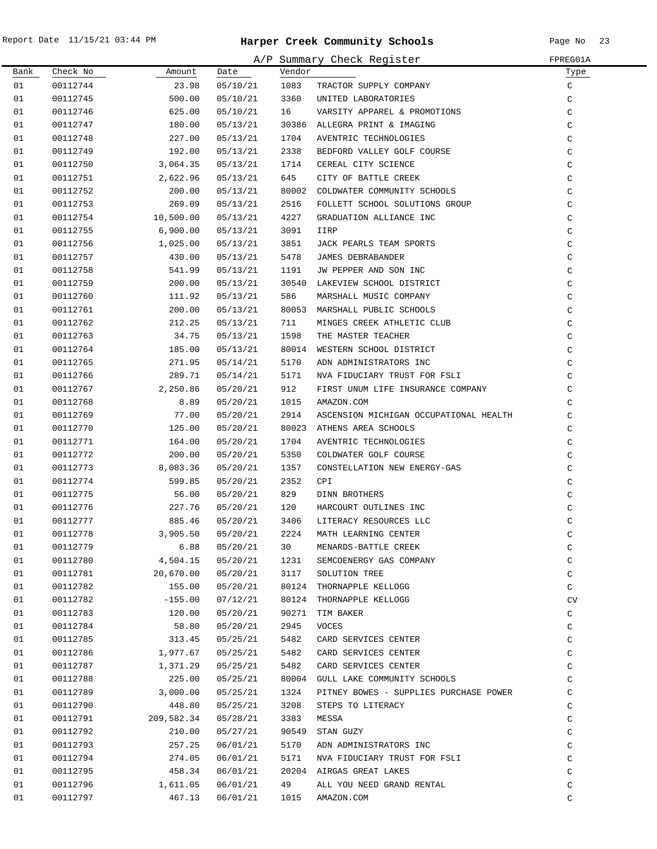$\overline{\phantom{0}}$ 

|      |          |            |          |        | A/P Summary Check Register             | FPREG01A     |
|------|----------|------------|----------|--------|----------------------------------------|--------------|
| Bank | Check No | Amount     | Date     | Vendor |                                        | Туре         |
| 01   | 00112744 | 23.98      | 05/10/21 | 1083   | TRACTOR SUPPLY COMPANY                 | $\mathtt{C}$ |
| 01   | 00112745 | 500.00     | 05/10/21 | 3360   | UNITED LABORATORIES                    | $\rm{C}$     |
| 01   | 00112746 | 625.00     | 05/10/21 | 16     | VARSITY APPAREL & PROMOTIONS           | $\rm{C}$     |
| 01   | 00112747 | 180.00     | 05/13/21 |        | 30386 ALLEGRA PRINT & IMAGING          | $\rm{C}$     |
| 01   | 00112748 | 227.00     | 05/13/21 | 1704   | AVENTRIC TECHNOLOGIES                  | $\rm{C}$     |
| 01   | 00112749 | 192.00     | 05/13/21 | 2338   | BEDFORD VALLEY GOLF COURSE             | $\mathsf C$  |
| 01   | 00112750 | 3,064.35   | 05/13/21 | 1714   | CEREAL CITY SCIENCE                    | $\mathsf C$  |
| 01   | 00112751 | 2,622.96   | 05/13/21 | 645    | CITY OF BATTLE CREEK                   | C            |
| 01   | 00112752 | 200.00     | 05/13/21 | 80002  | COLDWATER COMMUNITY SCHOOLS            | C            |
| 01   | 00112753 | 269.09     | 05/13/21 | 2516   | FOLLETT SCHOOL SOLUTIONS GROUP         | C            |
| 01   | 00112754 | 10,500.00  | 05/13/21 | 4227   | GRADUATION ALLIANCE INC                | C            |
| 01   | 00112755 | 6,900.00   | 05/13/21 | 3091   | IIRP                                   | $\mathsf C$  |
| 01   | 00112756 | 1,025.00   | 05/13/21 | 3851   | JACK PEARLS TEAM SPORTS                | $\mathsf C$  |
| 01   | 00112757 | 430.00     | 05/13/21 | 5478   | JAMES DEBRABANDER                      | $\mathsf C$  |
| 01   | 00112758 | 541.99     | 05/13/21 | 1191   | JW PEPPER AND SON INC                  | $\mathsf C$  |
| 01   | 00112759 | 200.00     | 05/13/21 |        | 30540 LAKEVIEW SCHOOL DISTRICT         | $\mathsf C$  |
| 01   | 00112760 | 111.92     | 05/13/21 | 586    | MARSHALL MUSIC COMPANY                 | $\mathsf C$  |
| 01   | 00112761 | 200.00     | 05/13/21 |        | 80053 MARSHALL PUBLIC SCHOOLS          | C            |
| 01   | 00112762 | 212.25     | 05/13/21 | 711    | MINGES CREEK ATHLETIC CLUB             | C            |
| 01   | 00112763 | 34.75      | 05/13/21 | 1598   | THE MASTER TEACHER                     | C            |
| 01   | 00112764 | 185.00     | 05/13/21 | 80014  | WESTERN SCHOOL DISTRICT                | C            |
| 01   | 00112765 | 271.95     | 05/14/21 | 5170   | ADN ADMINISTRATORS INC                 | C            |
| 01   | 00112766 | 289.71     | 05/14/21 | 5171   | NVA FIDUCIARY TRUST FOR FSLI           | $\rm{C}$     |
| 01   | 00112767 | 2,250.86   | 05/20/21 | 912    | FIRST UNUM LIFE INSURANCE COMPANY      | $\rm{C}$     |
| 01   | 00112768 | 8.89       | 05/20/21 | 1015   | AMAZON.COM                             | C            |
| 01   | 00112769 | 77.00      | 05/20/21 | 2914   | ASCENSION MICHIGAN OCCUPATIONAL HEALTH | $\mathsf C$  |
| 01   | 00112770 | 125.00     | 05/20/21 | 80023  | ATHENS AREA SCHOOLS                    | C            |
| 01   | 00112771 | 164.00     | 05/20/21 | 1704   | AVENTRIC TECHNOLOGIES                  | C            |
| 01   | 00112772 | 200.00     | 05/20/21 | 5350   | COLDWATER GOLF COURSE                  | C            |
| 01   | 00112773 | 8,083.36   | 05/20/21 | 1357   | CONSTELLATION NEW ENERGY-GAS           | C            |
| 01   | 00112774 | 599.85     | 05/20/21 | 2352   | CPI                                    | C            |
| 01   | 00112775 | 56.00      | 05/20/21 | 829    | DINN BROTHERS                          | $\mathsf C$  |
| 01   | 00112776 | 227.76     | 05/20/21 | 120    | HARCOURT OUTLINES INC                  | $\rm{C}$     |
| 01   | 00112777 | 885.46     | 05/20/21 | 3406   | LITERACY RESOURCES LLC                 | C            |
| 01   | 00112778 | 3,905.50   | 05/20/21 | 2224   | MATH LEARNING CENTER                   | C            |
| 01   | 00112779 | 6.88       | 05/20/21 | 30     | MENARDS-BATTLE CREEK                   | $\mathsf C$  |
| 01   | 00112780 | 4,504.15   | 05/20/21 | 1231   | SEMCOENERGY GAS COMPANY                | C            |
| 01   | 00112781 | 20,670.00  | 05/20/21 | 3117   | SOLUTION TREE                          | C            |
| 01   | 00112782 | 155.00     | 05/20/21 | 80124  | THORNAPPLE KELLOGG                     | C            |
| 01   | 00112782 | $-155.00$  | 07/12/21 | 80124  | THORNAPPLE KELLOGG                     | CV           |
| 01   | 00112783 | 120.00     | 05/20/21 | 90271  | TIM BAKER                              | C            |
| 01   | 00112784 | 58.80      | 05/20/21 | 2945   | VOCES                                  | $\rm{C}$     |
| 01   | 00112785 | 313.45     | 05/25/21 | 5482   | CARD SERVICES CENTER                   | $\rm{C}$     |
| 01   | 00112786 | 1,977.67   | 05/25/21 | 5482   | CARD SERVICES CENTER                   | $\rm{C}$     |
| 01   | 00112787 | 1,371.29   | 05/25/21 | 5482   | CARD SERVICES CENTER                   | $\rm{C}$     |
| 01   | 00112788 | 225.00     | 05/25/21 | 80004  | GULL LAKE COMMUNITY SCHOOLS            | C            |
| 01   | 00112789 | 3,000.00   | 05/25/21 | 1324   | PITNEY BOWES - SUPPLIES PURCHASE POWER | C            |
| 01   | 00112790 | 448.80     | 05/25/21 | 3208   | STEPS TO LITERACY                      | C            |
| 01   | 00112791 | 209,582.34 | 05/28/21 | 3383   | MESSA                                  | C            |
| 01   | 00112792 | 210.00     | 05/27/21 | 90549  | STAN GUZY                              | C            |
| 01   | 00112793 | 257.25     | 06/01/21 | 5170   | ADN ADMINISTRATORS INC                 | C            |
| 01   | 00112794 | 274.05     | 06/01/21 | 5171   | NVA FIDUCIARY TRUST FOR FSLI           | C            |
| 01   | 00112795 | 458.34     | 06/01/21 | 20204  | AIRGAS GREAT LAKES                     | $\mathsf C$  |
| 01   | 00112796 | 1,611.05   | 06/01/21 | 49     | ALL YOU NEED GRAND RENTAL              | C            |
| 01   | 00112797 | 467.13     | 06/01/21 | 1015   | AMAZON.COM                             | C            |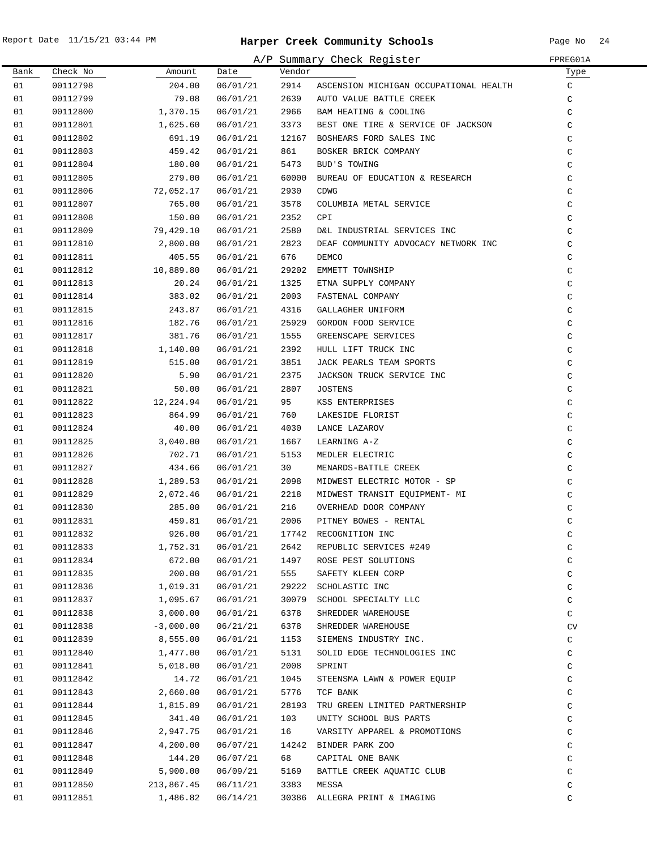$\overline{\phantom{0}}$ 

|      |          |             |          |        | A/P Summary Check Register             | FPREG01A      |
|------|----------|-------------|----------|--------|----------------------------------------|---------------|
| Bank | Check No | Amount      | Date     | Vendor |                                        | Туре          |
| 01   | 00112798 | 204.00      | 06/01/21 | 2914   | ASCENSION MICHIGAN OCCUPATIONAL HEALTH | C             |
| 01   | 00112799 | 79.08       | 06/01/21 | 2639   | AUTO VALUE BATTLE CREEK                | C             |
| 01   | 00112800 | 1,370.15    | 06/01/21 | 2966   | BAM HEATING & COOLING                  | $\mathsf C$   |
| 01   | 00112801 | 1,625.60    | 06/01/21 | 3373   | BEST ONE TIRE & SERVICE OF JACKSON     | C             |
| 01   | 00112802 | 691.19      | 06/01/21 | 12167  | BOSHEARS FORD SALES INC                | $\mathsf C$   |
| 01   | 00112803 | 459.42      | 06/01/21 | 861    | BOSKER BRICK COMPANY                   | $\mathsf C$   |
| 01   | 00112804 | 180.00      | 06/01/21 | 5473   | BUD'S TOWING                           | $\rm{C}$      |
| 01   | 00112805 | 279.00      | 06/01/21 | 60000  | BUREAU OF EDUCATION & RESEARCH         | $\mathsf C$   |
| 01   | 00112806 | 72,052.17   | 06/01/21 | 2930   | CDWG                                   | C             |
| 01   | 00112807 | 765.00      | 06/01/21 | 3578   | COLUMBIA METAL SERVICE                 | C             |
| 01   | 00112808 | 150.00      | 06/01/21 | 2352   | CPI                                    | C             |
| 01   | 00112809 | 79,429.10   | 06/01/21 | 2580   | D&L INDUSTRIAL SERVICES INC            | C             |
| 01   | 00112810 | 2,800.00    | 06/01/21 | 2823   | DEAF COMMUNITY ADVOCACY NETWORK INC    | $\mathsf C$   |
| 01   | 00112811 | 405.55      | 06/01/21 | 676    | DEMCO                                  | $\mathsf C$   |
| 01   | 00112812 | 10,889.80   | 06/01/21 | 29202  | EMMETT TOWNSHIP                        | $\mathsf C$   |
| 01   | 00112813 | 20.24       | 06/01/21 | 1325   | ETNA SUPPLY COMPANY                    | $\mathsf C$   |
| 01   | 00112814 | 383.02      | 06/01/21 | 2003   | FASTENAL COMPANY                       | $\mathsf C$   |
| 01   | 00112815 | 243.87      | 06/01/21 | 4316   | GALLAGHER UNIFORM                      | $\mathsf C$   |
| 01   | 00112816 | 182.76      | 06/01/21 | 25929  | GORDON FOOD SERVICE                    | $\mathsf C$   |
| 01   | 00112817 | 381.76      | 06/01/21 | 1555   | GREENSCAPE SERVICES                    | $\mathsf C$   |
| 01   | 00112818 | 1,140.00    | 06/01/21 | 2392   | HULL LIFT TRUCK INC                    | $\mathsf C$   |
| 01   | 00112819 | 515.00      | 06/01/21 | 3851   | JACK PEARLS TEAM SPORTS                | C             |
| 01   | 00112820 | 5.90        | 06/01/21 | 2375   | JACKSON TRUCK SERVICE INC              | $\rm{C}$      |
| 01   | 00112821 | 50.00       | 06/01/21 | 2807   | <b>JOSTENS</b>                         | $\rm{C}$      |
| 01   | 00112822 | 12,224.94   | 06/01/21 | 95     | KSS ENTERPRISES                        | $\mathsf C$   |
| 01   | 00112823 | 864.99      | 06/01/21 | 760    | LAKESIDE FLORIST                       | $\rm{C}$      |
| 01   | 00112824 | 40.00       | 06/01/21 | 4030   | LANCE LAZAROV                          | $\rm{C}$      |
| 01   | 00112825 | 3,040.00    | 06/01/21 | 1667   | LEARNING A-Z                           | $\rm{C}$      |
| 01   | 00112826 | 702.71      | 06/01/21 | 5153   | MEDLER ELECTRIC                        | C             |
| 01   | 00112827 | 434.66      | 06/01/21 | 30     | MENARDS-BATTLE CREEK                   | C             |
| 01   | 00112828 | 1,289.53    | 06/01/21 | 2098   | MIDWEST ELECTRIC MOTOR - SP            | C             |
| 01   | 00112829 | 2,072.46    | 06/01/21 | 2218   | MIDWEST TRANSIT EQUIPMENT- MI          | C             |
| 01   | 00112830 | 285.00      | 06/01/21 | 216    | OVERHEAD DOOR COMPANY                  | $\rm{C}$      |
| 01   | 00112831 | 459.81      | 06/01/21 | 2006   | PITNEY BOWES - RENTAL                  | $\mathcal{C}$ |
| 01   | 00112832 | 926.00      | 06/01/21 |        | 17742 RECOGNITION INC                  | C             |
| 01   | 00112833 | 1,752.31    | 06/01/21 | 2642   | REPUBLIC SERVICES #249                 | $\mathsf C$   |
| 01   | 00112834 | 672.00      | 06/01/21 | 1497   | ROSE PEST SOLUTIONS                    | C             |
| 01   | 00112835 | 200.00      | 06/01/21 | 555    | SAFETY KLEEN CORP                      | C             |
| 01   | 00112836 | 1,019.31    | 06/01/21 | 29222  | SCHOLASTIC INC                         | C             |
| 01   | 00112837 | 1,095.67    | 06/01/21 | 30079  | SCHOOL SPECIALTY LLC                   | C             |
| 01   | 00112838 | 3,000.00    | 06/01/21 | 6378   | SHREDDER WAREHOUSE                     | C             |
| 01   | 00112838 | $-3,000.00$ | 06/21/21 | 6378   | SHREDDER WAREHOUSE                     | CV            |
| 01   | 00112839 | 8,555.00    | 06/01/21 | 1153   | SIEMENS INDUSTRY INC.                  | $\mathtt{C}$  |
| 01   | 00112840 | 1,477.00    | 06/01/21 | 5131   | SOLID EDGE TECHNOLOGIES INC            | $\mathtt{C}$  |
| 01   | 00112841 | 5,018.00    | 06/01/21 | 2008   | SPRINT                                 | $\mathtt{C}$  |
| 01   | 00112842 | 14.72       | 06/01/21 | 1045   | STEENSMA LAWN & POWER EQUIP            | $\mathtt{C}$  |
| 01   | 00112843 | 2,660.00    | 06/01/21 | 5776   | TCF BANK                               | C             |
| 01   | 00112844 | 1,815.89    | 06/01/21 | 28193  | TRU GREEN LIMITED PARTNERSHIP          | C             |
| 01   | 00112845 | 341.40      | 06/01/21 | 103    | UNITY SCHOOL BUS PARTS                 | C             |
| 01   | 00112846 | 2,947.75    | 06/01/21 | 16     | VARSITY APPAREL & PROMOTIONS           | C             |
| 01   | 00112847 | 4,200.00    | 06/07/21 |        | 14242 BINDER PARK ZOO                  | C             |
| 01   | 00112848 | 144.20      | 06/07/21 | 68     | CAPITAL ONE BANK                       | C             |
| 01   | 00112849 | 5,900.00    | 06/09/21 | 5169   | BATTLE CREEK AQUATIC CLUB              | C             |
| 01   | 00112850 | 213,867.45  | 06/11/21 | 3383   | MESSA                                  | $\rm{C}$      |
| 01   | 00112851 | 1,486.82    | 06/14/21 |        | 30386 ALLEGRA PRINT & IMAGING          | C             |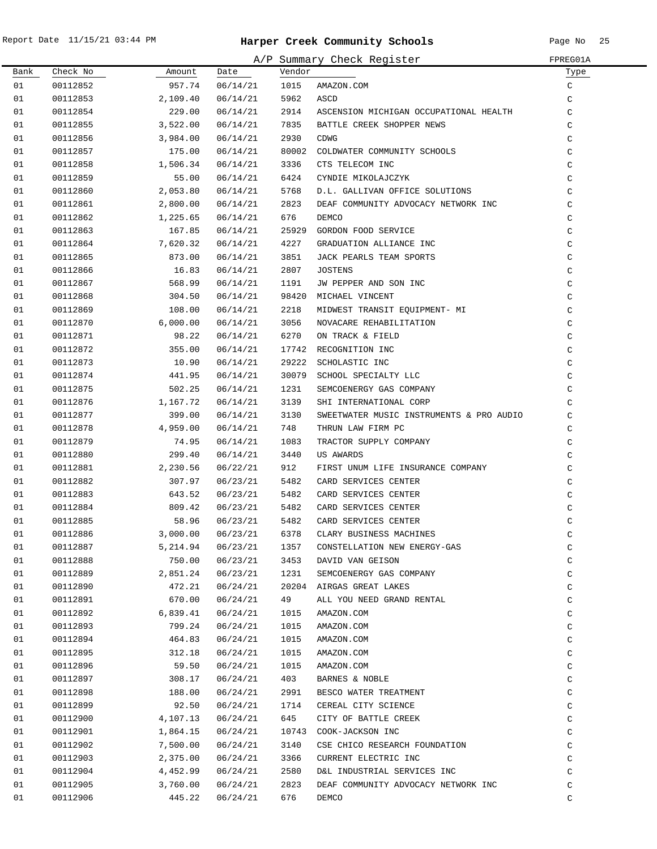|          |                      |                  |                      |               | A/P Summary Check Register               | FPREG01A                     |
|----------|----------------------|------------------|----------------------|---------------|------------------------------------------|------------------------------|
| Bank     | Check No             | Amount           | Date                 | Vendor        |                                          | Туре                         |
| 01       | 00112852             | 957.74           | 06/14/21             | 1015          | AMAZON.COM                               | C                            |
| 01       | 00112853             | 2,109.40         | 06/14/21             | 5962          | ASCD                                     | $\mathsf C$                  |
| 01       | 00112854             | 229.00           | 06/14/21             | 2914          | ASCENSION MICHIGAN OCCUPATIONAL HEALTH   | $\mathsf C$                  |
| 01       | 00112855             | 3,522.00         | 06/14/21             | 7835          | BATTLE CREEK SHOPPER NEWS                | $\mathsf C$                  |
| 01       | 00112856             | 3,984.00         | 06/14/21             | 2930          | <b>CDWG</b>                              | $\mathsf C$                  |
| 01       | 00112857             | 175.00           | 06/14/21             | 80002         | COLDWATER COMMUNITY SCHOOLS              | $\mathsf C$                  |
| 01       | 00112858             | 1,506.34         | 06/14/21             | 3336          | CTS TELECOM INC                          | $\mathsf C$                  |
| 01       | 00112859             | 55.00            | 06/14/21             | 6424          | CYNDIE MIKOLAJCZYK                       | $\mathsf C$                  |
| 01       | 00112860             | 2,053.80         | 06/14/21             | 5768          | D.L. GALLIVAN OFFICE SOLUTIONS           | $\mathsf C$                  |
| 01       | 00112861             | 2,800.00         | 06/14/21             | 2823          | DEAF COMMUNITY ADVOCACY NETWORK INC      | $\mathsf C$                  |
| 01       | 00112862             | 1,225.65         | 06/14/21             | 676           | DEMCO                                    | $\mathsf C$                  |
| 01       | 00112863             | 167.85           | 06/14/21             | 25929         | GORDON FOOD SERVICE                      | $\mathsf C$                  |
| 01       | 00112864             | 7,620.32         | 06/14/21             | 4227          | GRADUATION ALLIANCE INC                  | $\mathsf C$                  |
| 01       | 00112865             | 873.00           | 06/14/21             | 3851          | JACK PEARLS TEAM SPORTS                  | $\mathsf C$                  |
| 01       | 00112866             | 16.83            | 06/14/21             | 2807          | <b>JOSTENS</b>                           | $\mathsf C$                  |
| 01       | 00112867             | 568.99           | 06/14/21             | 1191          | JW PEPPER AND SON INC                    | $\mathsf C$                  |
| 01       | 00112868             | 304.50           | 06/14/21             | 98420         | MICHAEL VINCENT                          | $\mathsf C$                  |
| 01       | 00112869             | 108.00           | 06/14/21             | 2218          | MIDWEST TRANSIT EQUIPMENT- MI            | C                            |
| 01       | 00112870             | 6,000.00         | 06/14/21             | 3056          | NOVACARE REHABILITATION                  | $\mathsf C$                  |
| 01       | 00112871             | 98.22            | 06/14/21             | 6270          | ON TRACK & FIELD                         | $\mathsf C$                  |
| 01       | 00112872             | 355.00           | 06/14/21             | 17742         | RECOGNITION INC                          | $\mathsf C$                  |
| 01       | 00112873             | 10.90            | 06/14/21             | 29222         | SCHOLASTIC INC                           | $\mathtt{C}$                 |
| 01       | 00112874             | 441.95           | 06/14/21             | 30079         | SCHOOL SPECIALTY LLC                     | $\mathtt{C}$                 |
| 01       | 00112875             | 502.25           | 06/14/21             | 1231          | SEMCOENERGY GAS COMPANY                  | $\mathtt{C}$                 |
| 01       | 00112876             | 1,167.72         | 06/14/21             | 3139          | SHI INTERNATIONAL CORP                   | $\mathsf C$                  |
| 01       | 00112877             | 399.00           | 06/14/21             | 3130          | SWEETWATER MUSIC INSTRUMENTS & PRO AUDIO | $\mathsf C$                  |
| 01       | 00112878             | 4,959.00         | 06/14/21             | 748           | THRUN LAW FIRM PC                        | $\mathsf C$                  |
| 01       | 00112879             | 74.95            | 06/14/21             | 1083          | TRACTOR SUPPLY COMPANY                   | $\mathsf C$                  |
| 01       | 00112880             | 299.40           | 06/14/21             | 3440          | US AWARDS                                | $\mathsf C$                  |
| 01       | 00112881             | 2,230.56         | 06/22/21             | 912           | FIRST UNUM LIFE INSURANCE COMPANY        | $\mathsf C$                  |
| 01       | 00112882             | 307.97           | 06/23/21             | 5482          | CARD SERVICES CENTER                     | $\mathsf C$                  |
| 01       | 00112883             | 643.52           | 06/23/21             | 5482          | CARD SERVICES CENTER                     | $\mathsf C$                  |
| 01       | 00112884             | 809.42           | 06/23/21             | 5482          | CARD SERVICES CENTER                     | $\mathtt{C}$                 |
| 01       | 00112885             | 58.96            | 06/23/21             | 5482          | CARD SERVICES CENTER                     | $\mathsf{C}$                 |
| 01       | 00112886             | 3,000.00         | 06/23/21             | 6378          | CLARY BUSINESS MACHINES                  | C                            |
| 01       | 00112887             | 5,214.94         | 06/23/21             | 1357          | CONSTELLATION NEW ENERGY-GAS             | $\mathtt{C}$                 |
| 01       | 00112888             | 750.00           | 06/23/21             | 3453          | DAVID VAN GEISON                         | $\mathsf C$                  |
| 01       | 00112889             | 2,851.24         | 06/23/21             | 1231          | SEMCOENERGY GAS COMPANY                  | $\mathtt{C}$                 |
| 01       | 00112890             | 472.21           | 06/24/21             | 20204         | AIRGAS GREAT LAKES                       | $\mathsf C$                  |
| 01       | 00112891             | 670.00           | 06/24/21             | 49            | ALL YOU NEED GRAND RENTAL                | $\mathtt{C}$                 |
| 01       | 00112892             | 6,839.41         | 06/24/21             | 1015          | AMAZON.COM                               | C                            |
| 01       | 00112893             | 799.24           | 06/24/21             | 1015          | AMAZON.COM                               | $\mathtt{C}$                 |
| 01       | 00112894             | 464.83           | 06/24/21             | 1015          | AMAZON.COM                               | $\mathtt{C}$                 |
| 01       | 00112895             | 312.18           | 06/24/21             | 1015          | AMAZON.COM                               | $\mathtt{C}$                 |
| 01       | 00112896             | 59.50            | 06/24/21             | 1015          | AMAZON.COM                               | $\mathtt{C}$                 |
| 01       |                      |                  |                      | 403           | BARNES & NOBLE                           |                              |
| 01       | 00112897<br>00112898 | 308.17<br>188.00 | 06/24/21<br>06/24/21 | 2991          | BESCO WATER TREATMENT                    | $\mathtt{C}$<br>$\mathtt{C}$ |
| 01       | 00112899             | 92.50            |                      | 1714          |                                          | $\mathtt{C}$                 |
|          |                      |                  | 06/24/21             | 645           | CEREAL CITY SCIENCE                      |                              |
| 01       | 00112900             | 4,107.13         | 06/24/21             |               | CITY OF BATTLE CREEK                     | $\mathtt{C}$                 |
| 01<br>01 | 00112901             | 1,864.15         | 06/24/21             | 10743<br>3140 | COOK-JACKSON INC                         | $\mathtt{C}$                 |
|          | 00112902             | 7,500.00         | 06/24/21             |               | CSE CHICO RESEARCH FOUNDATION            | C<br>$\mathsf C$             |
| 01       | 00112903             | 2,375.00         | 06/24/21             | 3366          | CURRENT ELECTRIC INC                     |                              |
| 01       | 00112904             | 4,452.99         | 06/24/21             | 2580          | D&L INDUSTRIAL SERVICES INC              | $\mathsf C$                  |
| 01       | 00112905             | 3,760.00         | 06/24/21             | 2823          | DEAF COMMUNITY ADVOCACY NETWORK INC      | $\mathsf C$                  |
| 01       | 00112906             | 445.22           | 06/24/21             | 676           | DEMCO                                    | C                            |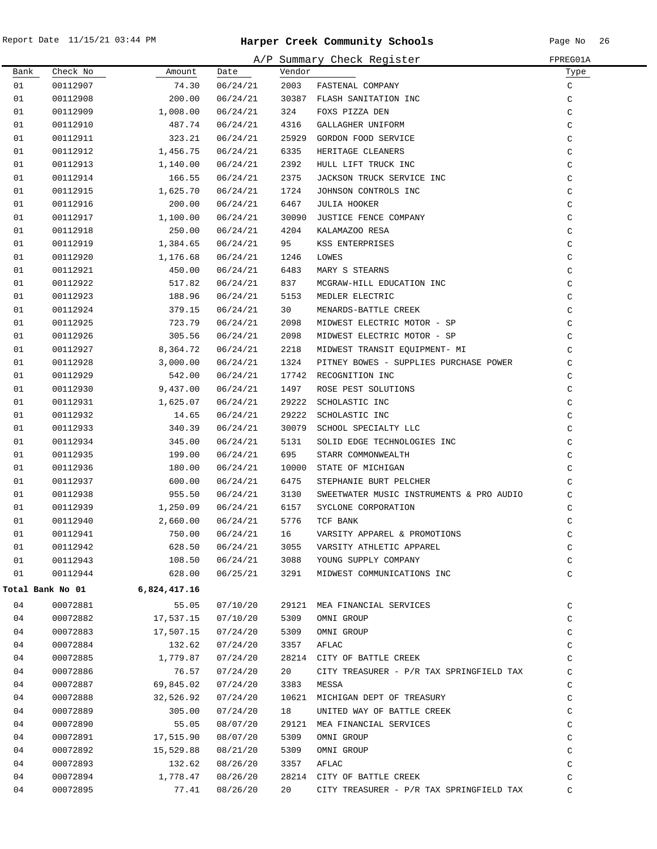|      |                  |              |          |        | A/P Summary Check Register               | FPREG01A     |
|------|------------------|--------------|----------|--------|------------------------------------------|--------------|
| Bank | Check No         | Amount       | Date     | Vendor |                                          | Type         |
| 01   | 00112907         | 74.30        | 06/24/21 | 2003   | FASTENAL COMPANY                         | C            |
| 01   | 00112908         | 200.00       | 06/24/21 |        | 30387 FLASH SANITATION INC               | C            |
| 01   | 00112909         | 1,008.00     | 06/24/21 | 324    | FOXS PIZZA DEN                           | $\mathtt{C}$ |
| 01   | 00112910         | 487.74       | 06/24/21 | 4316   | GALLAGHER UNIFORM                        | $\mathsf C$  |
| 01   | 00112911         | 323.21       | 06/24/21 |        | 25929 GORDON FOOD SERVICE                | $\mathtt{C}$ |
| 01   | 00112912         | 1,456.75     | 06/24/21 | 6335   | HERITAGE CLEANERS                        | $\mathtt{C}$ |
| 01   | 00112913         | 1,140.00     | 06/24/21 | 2392   | HULL LIFT TRUCK INC                      | C            |
| 01   | 00112914         | 166.55       | 06/24/21 | 2375   | JACKSON TRUCK SERVICE INC                | $\mathsf C$  |
| 01   | 00112915         | 1,625.70     | 06/24/21 | 1724   | JOHNSON CONTROLS INC                     | C            |
| 01   | 00112916         | 200.00       | 06/24/21 | 6467   | JULIA HOOKER                             | C            |
| 01   | 00112917         | 1,100.00     | 06/24/21 | 30090  | JUSTICE FENCE COMPANY                    | C            |
| 01   | 00112918         | 250.00       | 06/24/21 | 4204   | KALAMAZOO RESA                           | C            |
| 01   | 00112919         | 1,384.65     | 06/24/21 | 95     | KSS ENTERPRISES                          | C            |
| 01   | 00112920         | 1,176.68     | 06/24/21 | 1246   | LOWES                                    | $\mathsf C$  |
| 01   | 00112921         | 450.00       | 06/24/21 | 6483   | MARY S STEARNS                           | C            |
| 01   | 00112922         | 517.82       | 06/24/21 | 837    | MCGRAW-HILL EDUCATION INC                | C            |
| 01   | 00112923         | 188.96       | 06/24/21 | 5153   | MEDLER ELECTRIC                          | C            |
| 01   | 00112924         | 379.15       | 06/24/21 | 30     | MENARDS-BATTLE CREEK                     | C            |
| 01   | 00112925         | 723.79       | 06/24/21 | 2098   | MIDWEST ELECTRIC MOTOR - SP              | C            |
| 01   | 00112926         | 305.56       | 06/24/21 | 2098   | MIDWEST ELECTRIC MOTOR - SP              | C            |
| 01   | 00112927         | 8,364.72     | 06/24/21 | 2218   | MIDWEST TRANSIT EQUIPMENT- MI            | C            |
| 01   | 00112928         | 3,000.00     | 06/24/21 | 1324   | PITNEY BOWES - SUPPLIES PURCHASE POWER   | C            |
| 01   | 00112929         | 542.00       | 06/24/21 |        | 17742 RECOGNITION INC                    | C            |
| 01   | 00112930         | 9,437.00     | 06/24/21 | 1497   | ROSE PEST SOLUTIONS                      | $\mathtt{C}$ |
| 01   | 00112931         | 1,625.07     | 06/24/21 | 29222  | SCHOLASTIC INC                           | C            |
| 01   | 00112932         | 14.65        | 06/24/21 | 29222  | SCHOLASTIC INC                           | $\mathtt{C}$ |
| 01   | 00112933         | 340.39       | 06/24/21 |        | 30079 SCHOOL SPECIALTY LLC               | C            |
| 01   | 00112934         | 345.00       | 06/24/21 | 5131   | SOLID EDGE TECHNOLOGIES INC              | $\mathsf C$  |
| 01   | 00112935         | 199.00       | 06/24/21 | 695    | STARR COMMONWEALTH                       | C            |
| 01   | 00112936         | 180.00       | 06/24/21 |        | 10000 STATE OF MICHIGAN                  | C            |
| 01   | 00112937         | 600.00       | 06/24/21 | 6475   | STEPHANIE BURT PELCHER                   | C            |
| 01   | 00112938         | 955.50       | 06/24/21 | 3130   | SWEETWATER MUSIC INSTRUMENTS & PRO AUDIO | C            |
| 01   | 00112939         | 1,250.09     | 06/24/21 | 6157   | SYCLONE CORPORATION                      | C            |
| 01   | 00112940         | 2,660.00     | 06/24/21 | 5776   | TCF BANK                                 | C            |
| 01   | 00112941         | 750.00       | 06/24/21 | 16     | VARSITY APPAREL & PROMOTIONS             | C            |
| 01   | 00112942         | 628.50       | 06/24/21 | 3055   | VARSITY ATHLETIC APPAREL                 | $\mathsf C$  |
| 01   | 00112943         | 108.50       | 06/24/21 | 3088   | YOUNG SUPPLY COMPANY                     | C            |
| 01   | 00112944         | 628.00       | 06/25/21 | 3291   | MIDWEST COMMUNICATIONS INC               | C            |
|      | Total Bank No 01 | 6,824,417.16 |          |        |                                          |              |
| 04   | 00072881         | 55.05        | 07/10/20 |        | 29121 MEA FINANCIAL SERVICES             | C            |
| 04   | 00072882         | 17,537.15    | 07/10/20 | 5309   | OMNI GROUP                               | C            |
| 04   | 00072883         | 17,507.15    | 07/24/20 | 5309   | OMNI GROUP                               | C            |
| 04   | 00072884         | 132.62       | 07/24/20 | 3357   | AFLAC                                    | C            |
| 04   | 00072885         | 1,779.87     | 07/24/20 |        | 28214 CITY OF BATTLE CREEK               | C            |
| 04   | 00072886         | 76.57        | 07/24/20 | 20     | CITY TREASURER - P/R TAX SPRINGFIELD TAX | C            |
| 04   | 00072887         | 69,845.02    | 07/24/20 | 3383   | MESSA                                    | C            |
| 04   | 00072888         | 32,526.92    | 07/24/20 |        | 10621 MICHIGAN DEPT OF TREASURY          | C            |
| 04   | 00072889         | 305.00       | 07/24/20 | 18     | UNITED WAY OF BATTLE CREEK               | $\mathtt{C}$ |
| 04   | 00072890         | 55.05        | 08/07/20 |        | 29121 MEA FINANCIAL SERVICES             | C            |
| 04   | 00072891         | 17,515.90    | 08/07/20 | 5309   | OMNI GROUP                               | C            |
| 04   | 00072892         | 15,529.88    | 08/21/20 | 5309   | OMNI GROUP                               | C            |
| 04   | 00072893         | 132.62       | 08/26/20 | 3357   | AFLAC                                    | C            |
| 04   | 00072894         | 1,778.47     | 08/26/20 |        | 28214 CITY OF BATTLE CREEK               | C            |
| 04   | 00072895         | 77.41        | 08/26/20 | 20     | CITY TREASURER - P/R TAX SPRINGFIELD TAX | C            |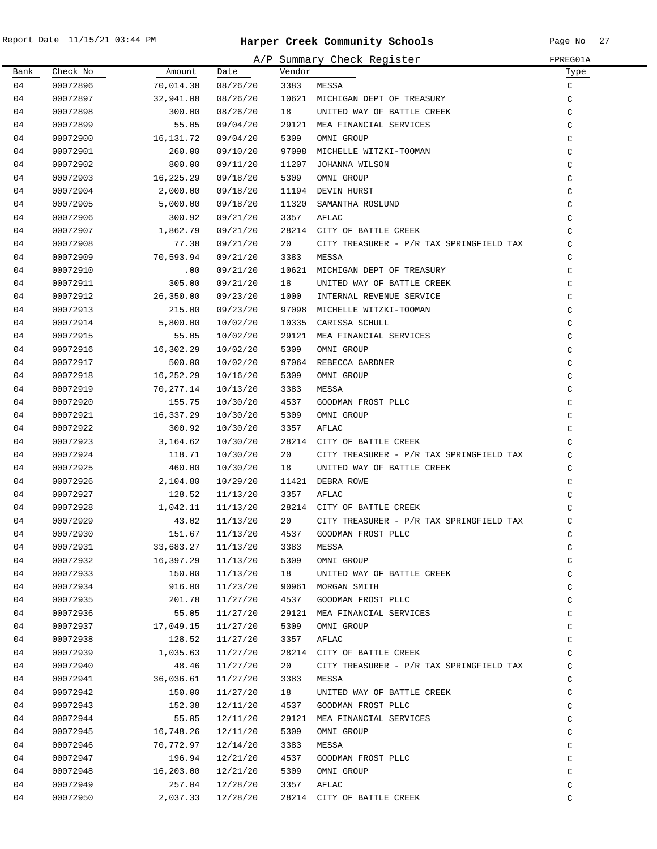|      |          |           |          |        | A/P Summary Check Register               | FPREG01A      |
|------|----------|-----------|----------|--------|------------------------------------------|---------------|
| Bank | Check No | Amount    | Date     | Vendor |                                          | Type          |
| 04   | 00072896 | 70,014.38 | 08/26/20 | 3383   | MESSA                                    | C             |
| 04   | 00072897 | 32,941.08 | 08/26/20 |        | 10621 MICHIGAN DEPT OF TREASURY          | $\mathsf C$   |
| 04   | 00072898 | 300.00    | 08/26/20 | 18     | UNITED WAY OF BATTLE CREEK               | $\mathsf C$   |
| 04   | 00072899 | 55.05     | 09/04/20 |        | 29121 MEA FINANCIAL SERVICES             | $\mathsf C$   |
| 04   | 00072900 | 16,131.72 | 09/04/20 | 5309   | OMNI GROUP                               | $\mathsf C$   |
| 04   | 00072901 | 260.00    | 09/10/20 | 97098  | MICHELLE WITZKI-TOOMAN                   | $\mathsf C$   |
| 04   | 00072902 | 800.00    | 09/11/20 | 11207  | JOHANNA WILSON                           | $\mathsf C$   |
| 04   | 00072903 | 16,225.29 | 09/18/20 | 5309   | OMNI GROUP                               | $\mathsf C$   |
| 04   | 00072904 | 2,000.00  | 09/18/20 | 11194  | DEVIN HURST                              | $\mathsf C$   |
| 04   | 00072905 | 5,000.00  | 09/18/20 | 11320  | SAMANTHA ROSLUND                         | $\mathsf C$   |
| 04   | 00072906 | 300.92    | 09/21/20 | 3357   | AFLAC                                    | $\mathsf C$   |
| 04   | 00072907 | 1,862.79  | 09/21/20 |        | 28214 CITY OF BATTLE CREEK               | $\mathsf{C}$  |
| 04   | 00072908 | 77.38     | 09/21/20 | 20     | CITY TREASURER - P/R TAX SPRINGFIELD TAX | $\mathcal{C}$ |
| 04   | 00072909 | 70,593.94 | 09/21/20 | 3383   | MESSA                                    | $\mathsf C$   |
| 04   | 00072910 | $.00 \,$  | 09/21/20 |        | 10621 MICHIGAN DEPT OF TREASURY          | $\mathsf C$   |
| 04   | 00072911 | 305.00    | 09/21/20 | 18     | UNITED WAY OF BATTLE CREEK               | $\mathsf C$   |
| 04   | 00072912 | 26,350.00 | 09/23/20 | 1000   | INTERNAL REVENUE SERVICE                 | C             |
| 04   | 00072913 | 215.00    | 09/23/20 |        | 97098 MICHELLE WITZKI-TOOMAN             | C             |
| 04   | 00072914 | 5,800.00  | 10/02/20 | 10335  | CARISSA SCHULL                           | $\mathsf C$   |
| 04   | 00072915 | 55.05     | 10/02/20 | 29121  | MEA FINANCIAL SERVICES                   | $\mathsf C$   |
| 04   | 00072916 | 16,302.29 | 10/02/20 | 5309   | OMNI GROUP                               | $\mathsf C$   |
| 04   | 00072917 | 500.00    | 10/02/20 | 97064  | REBECCA GARDNER                          | $\mathsf C$   |
| 04   | 00072918 | 16,252.29 | 10/16/20 | 5309   | OMNI GROUP                               | $\mathsf C$   |
| 04   | 00072919 | 70,277.14 | 10/13/20 | 3383   | MESSA                                    | $\mathsf C$   |
| 04   | 00072920 | 155.75    | 10/30/20 | 4537   | GOODMAN FROST PLLC                       | $\mathsf C$   |
| 04   | 00072921 | 16,337.29 | 10/30/20 | 5309   | OMNI GROUP                               | $\mathsf C$   |
| 04   | 00072922 | 300.92    | 10/30/20 | 3357   | AFLAC                                    | $\mathsf C$   |
| 04   | 00072923 | 3,164.62  | 10/30/20 |        | 28214 CITY OF BATTLE CREEK               | $\mathsf C$   |
| 04   | 00072924 | 118.71    | 10/30/20 | 20     | CITY TREASURER - P/R TAX SPRINGFIELD TAX | $\mathcal{C}$ |
| 04   | 00072925 | 460.00    | 10/30/20 | 18     | UNITED WAY OF BATTLE CREEK               | $\mathsf C$   |
| 04   | 00072926 | 2,104.80  | 10/29/20 |        | 11421 DEBRA ROWE                         | $\mathsf C$   |
| 04   | 00072927 | 128.52    | 11/13/20 | 3357   | AFLAC                                    | $\mathsf C$   |
| 04   | 00072928 | 1,042.11  | 11/13/20 |        | 28214 CITY OF BATTLE CREEK               | $\mathsf{C}$  |
| 04   | 00072929 | 43.02     | 11/13/20 | 20     | CITY TREASURER - P/R TAX SPRINGFIELD TAX | $\mathcal{C}$ |
| 04   | 00072930 | 151.67    | 11/13/20 | 4537   | GOODMAN FROST PLLC                       | C             |
| 04   | 00072931 | 33,683.27 | 11/13/20 | 3383   | MESSA                                    | C             |
| 04   | 00072932 | 16,397.29 | 11/13/20 | 5309   | OMNI GROUP                               | $\mathsf C$   |
| 04   | 00072933 | 150.00    | 11/13/20 | 18     | UNITED WAY OF BATTLE CREEK               | C             |
| 04   | 00072934 | 916.00    | 11/23/20 |        | 90961 MORGAN SMITH                       | $\mathsf C$   |
| 04   | 00072935 | 201.78    | 11/27/20 | 4537   | GOODMAN FROST PLLC                       | $\mathsf C$   |
| 04   | 00072936 | 55.05     | 11/27/20 | 29121  | MEA FINANCIAL SERVICES                   | C             |
| 04   | 00072937 | 17,049.15 | 11/27/20 | 5309   | OMNI GROUP                               | $\mathsf C$   |
| 04   | 00072938 | 128.52    | 11/27/20 | 3357   | AFLAC                                    | $\mathsf C$   |
| 04   | 00072939 | 1,035.63  | 11/27/20 |        | 28214 CITY OF BATTLE CREEK               | $\mathsf C$   |
| 04   | 00072940 | 48.46     | 11/27/20 | 20     | CITY TREASURER - P/R TAX SPRINGFIELD TAX | $\mathsf C$   |
| 04   | 00072941 | 36,036.61 | 11/27/20 | 3383   | MESSA                                    | C             |
| 04   | 00072942 | 150.00    | 11/27/20 | 18     | UNITED WAY OF BATTLE CREEK               | $\mathsf C$   |
| 04   | 00072943 | 152.38    | 12/11/20 | 4537   | GOODMAN FROST PLLC                       | $\mathsf C$   |
| 04   | 00072944 | 55.05     | 12/11/20 | 29121  | MEA FINANCIAL SERVICES                   | $\mathsf C$   |
| 04   | 00072945 | 16,748.26 | 12/11/20 | 5309   | OMNI GROUP                               | $\mathsf C$   |
| 04   | 00072946 | 70,772.97 | 12/14/20 | 3383   | MESSA                                    | $\mathsf C$   |
| 04   | 00072947 | 196.94    | 12/21/20 | 4537   | GOODMAN FROST PLLC                       | $\mathsf C$   |
| 04   | 00072948 | 16,203.00 | 12/21/20 | 5309   | OMNI GROUP                               | $\mathsf C$   |
| 04   | 00072949 | 257.04    | 12/28/20 | 3357   | AFLAC                                    | $\mathsf C$   |
| 04   | 00072950 | 2,037.33  | 12/28/20 |        | 28214 CITY OF BATTLE CREEK               | C             |
|      |          |           |          |        |                                          |               |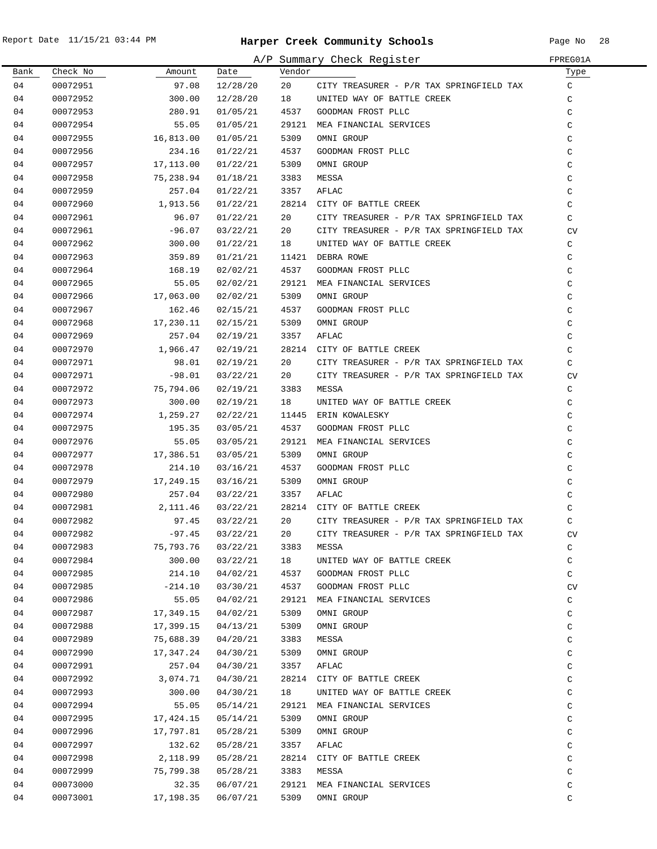|      |          |           |          |        | A/P Summary Check Register               | FPREG01A      |
|------|----------|-----------|----------|--------|------------------------------------------|---------------|
| Bank | Check No | Amount    | Date     | Vendor |                                          | Type          |
| 04   | 00072951 | 97.08     | 12/28/20 | 20     | CITY TREASURER - P/R TAX SPRINGFIELD TAX | C             |
| 04   | 00072952 | 300.00    | 12/28/20 | 18     | UNITED WAY OF BATTLE CREEK               | C             |
| 04   | 00072953 | 280.91    | 01/05/21 | 4537   | GOODMAN FROST PLLC                       | C             |
| 04   | 00072954 | 55.05     | 01/05/21 | 29121  | MEA FINANCIAL SERVICES                   | C             |
| 04   | 00072955 | 16,813.00 | 01/05/21 | 5309   | OMNI GROUP                               | C             |
| 04   | 00072956 | 234.16    | 01/22/21 | 4537   | GOODMAN FROST PLLC                       | C             |
| 04   | 00072957 | 17,113.00 | 01/22/21 | 5309   | OMNI GROUP                               | C             |
| 04   | 00072958 | 75,238.94 | 01/18/21 | 3383   | MESSA                                    | C             |
| 04   | 00072959 | 257.04    | 01/22/21 | 3357   | AFLAC                                    | C             |
| 04   | 00072960 | 1,913.56  | 01/22/21 |        | 28214 CITY OF BATTLE CREEK               | C             |
| 04   | 00072961 | 96.07     | 01/22/21 | 20     | CITY TREASURER - P/R TAX SPRINGFIELD TAX | $\mathcal{C}$ |
| 04   | 00072961 | $-96.07$  | 03/22/21 | 20     | CITY TREASURER - P/R TAX SPRINGFIELD TAX | <b>CV</b>     |
| 04   | 00072962 | 300.00    | 01/22/21 | 18     | UNITED WAY OF BATTLE CREEK               | C             |
| 04   | 00072963 | 359.89    | 01/21/21 | 11421  | DEBRA ROWE                               | C             |
| 04   | 00072964 | 168.19    | 02/02/21 | 4537   | GOODMAN FROST PLLC                       | C             |
| 04   | 00072965 | 55.05     | 02/02/21 | 29121  | MEA FINANCIAL SERVICES                   | C             |
| 04   | 00072966 | 17,063.00 | 02/02/21 | 5309   | OMNI GROUP                               | C             |
| 04   | 00072967 | 162.46    | 02/15/21 | 4537   | GOODMAN FROST PLLC                       | C             |
| 04   | 00072968 | 17,230.11 | 02/15/21 | 5309   | OMNI GROUP                               | C             |
| 04   | 00072969 | 257.04    | 02/19/21 | 3357   | AFLAC                                    | C             |
| 04   | 00072970 | 1,966.47  | 02/19/21 |        | 28214 CITY OF BATTLE CREEK               | C             |
| 04   | 00072971 | 98.01     | 02/19/21 | 20     | CITY TREASURER - P/R TAX SPRINGFIELD TAX | $\mathcal{C}$ |
| 04   | 00072971 | $-98.01$  | 03/22/21 | 20     | CITY TREASURER - P/R TAX SPRINGFIELD TAX | <b>CV</b>     |
| 04   | 00072972 | 75,794.06 | 02/19/21 | 3383   | MESSA                                    | C             |
| 04   | 00072973 | 300.00    | 02/19/21 | 18     | UNITED WAY OF BATTLE CREEK               | C             |
| 04   | 00072974 | 1,259.27  | 02/22/21 | 11445  | ERIN KOWALESKY                           | C             |
| 04   | 00072975 | 195.35    | 03/05/21 | 4537   | GOODMAN FROST PLLC                       | C             |
| 04   | 00072976 | 55.05     | 03/05/21 | 29121  | MEA FINANCIAL SERVICES                   | C             |
| 04   | 00072977 | 17,386.51 | 03/05/21 | 5309   | OMNI GROUP                               | C             |
| 04   | 00072978 | 214.10    | 03/16/21 | 4537   | GOODMAN FROST PLLC                       | C             |
| 04   | 00072979 | 17,249.15 | 03/16/21 | 5309   | OMNI GROUP                               | C             |
| 04   | 00072980 | 257.04    | 03/22/21 | 3357   | AFLAC                                    | C             |
| 04   | 00072981 | 2,111.46  | 03/22/21 |        | 28214 CITY OF BATTLE CREEK               | $\mathcal{C}$ |
| 04   | 00072982 | 97.45     | 03/22/21 | 20     | CITY TREASURER - P/R TAX SPRINGFIELD TAX | $\mathcal{C}$ |
| 04   | 00072982 | $-97.45$  | 03/22/21 | 20     | CITY TREASURER - P/R TAX SPRINGFIELD TAX | CV            |
| 04   | 00072983 | 75,793.76 | 03/22/21 | 3383   | MESSA                                    | C             |
| 04   | 00072984 | 300.00    | 03/22/21 | 18     | UNITED WAY OF BATTLE CREEK               | C             |
| 04   | 00072985 | 214.10    | 04/02/21 | 4537   | GOODMAN FROST PLLC                       | C             |
| 04   | 00072985 | $-214.10$ | 03/30/21 | 4537   | GOODMAN FROST PLLC                       | CV            |
| 04   | 00072986 | 55.05     | 04/02/21 | 29121  | MEA FINANCIAL SERVICES                   | C             |
| 04   | 00072987 | 17,349.15 | 04/02/21 | 5309   | OMNI GROUP                               | C             |
| 04   | 00072988 | 17,399.15 | 04/13/21 | 5309   | OMNI GROUP                               | C             |
| 04   | 00072989 | 75,688.39 | 04/20/21 | 3383   | MESSA                                    | C             |
| 04   | 00072990 | 17,347.24 | 04/30/21 | 5309   | OMNI GROUP                               | C             |
| 04   | 00072991 | 257.04    | 04/30/21 | 3357   | AFLAC                                    | C             |
| 04   | 00072992 | 3,074.71  | 04/30/21 |        | 28214 CITY OF BATTLE CREEK               | C             |
| 04   | 00072993 | 300.00    | 04/30/21 | 18     | UNITED WAY OF BATTLE CREEK               | C             |
| 04   | 00072994 | 55.05     | 05/14/21 | 29121  | MEA FINANCIAL SERVICES                   | C             |
| 04   | 00072995 | 17,424.15 | 05/14/21 | 5309   | OMNI GROUP                               | C             |
| 04   | 00072996 | 17,797.81 | 05/28/21 | 5309   | OMNI GROUP                               | C             |
| 04   | 00072997 | 132.62    | 05/28/21 | 3357   | AFLAC                                    | C             |
| 04   | 00072998 | 2,118.99  | 05/28/21 | 28214  | CITY OF BATTLE CREEK                     | C             |
| 04   | 00072999 | 75,799.38 | 05/28/21 | 3383   | MESSA                                    | C             |
| 04   | 00073000 | 32.35     | 06/07/21 | 29121  | MEA FINANCIAL SERVICES                   | C             |
| 04   | 00073001 | 17,198.35 | 06/07/21 | 5309   | OMNI GROUP                               | C             |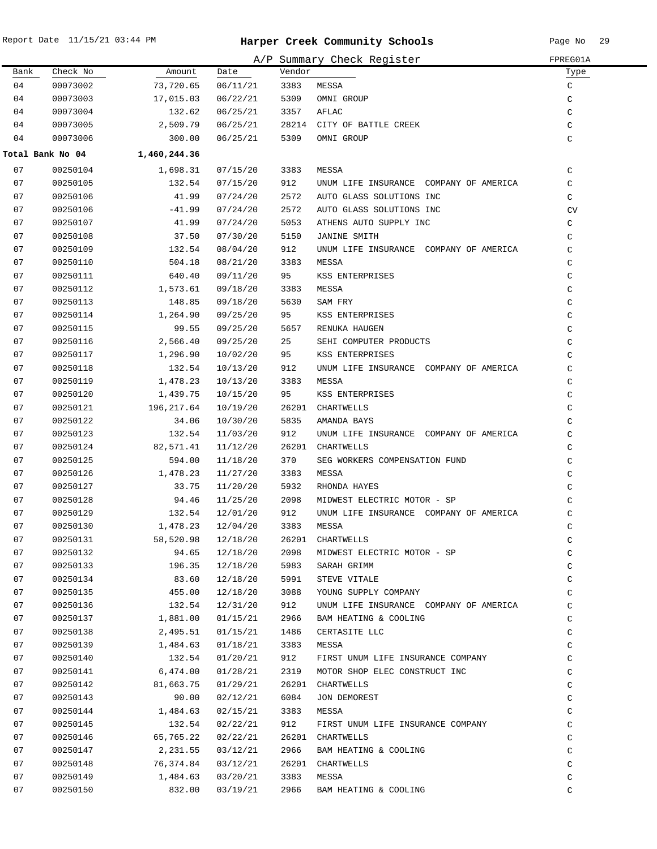|      |                  |                    |          |        | A/P Summary Check Register             | FPREG01A      |
|------|------------------|--------------------|----------|--------|----------------------------------------|---------------|
| Bank | Check No         | Amount             | Date     | Vendor |                                        | Туре          |
| 04   | 00073002         | 73,720.65          | 06/11/21 | 3383   | MESSA                                  | C             |
| 04   | 00073003         | 17,015.03          | 06/22/21 | 5309   | OMNI GROUP                             | $\mathsf C$   |
| 04   | 00073004         | 132.62             | 06/25/21 | 3357   | AFLAC                                  | C             |
| 04   | 00073005         | 2,509.79           | 06/25/21 |        | 28214 CITY OF BATTLE CREEK             | C             |
| 04   | 00073006         | 300.00             | 06/25/21 | 5309   | OMNI GROUP                             | C             |
|      | Total Bank No 04 | 1,460,244.36       |          |        |                                        |               |
| 07   | 00250104         | 1,698.31           | 07/15/20 | 3383   | MESSA                                  | C             |
| 07   | 00250105         | 132.54             | 07/15/20 | 912    | UNUM LIFE INSURANCE COMPANY OF AMERICA | C             |
| 07   | 00250106         | 41.99              | 07/24/20 | 2572   | AUTO GLASS SOLUTIONS INC               | C             |
| 07   | 00250106         | $-41.99$           | 07/24/20 | 2572   | AUTO GLASS SOLUTIONS INC               | CV            |
| 07   | 00250107         | 41.99              | 07/24/20 | 5053   | ATHENS AUTO SUPPLY INC                 | $\mathtt{C}$  |
| 07   | 00250108         | 37.50              | 07/30/20 | 5150   | <b>JANINE SMITH</b>                    | C             |
| 07   | 00250109         | 132.54             | 08/04/20 | 912    | UNUM LIFE INSURANCE COMPANY OF AMERICA | C             |
| 07   | 00250110         | 504.18             | 08/21/20 | 3383   | MESSA                                  | C             |
| 07   | 00250111         | 640.40             | 09/11/20 | 95     | KSS ENTERPRISES                        | $\mathsf C$   |
| 07   | 00250112         | 1,573.61           | 09/18/20 | 3383   | MESSA                                  | C             |
| 07   | 00250113         | 148.85             | 09/18/20 | 5630   | SAM FRY                                | C             |
| 07   | 00250114         | 1,264.90           | 09/25/20 | 95     | KSS ENTERPRISES                        | C             |
| 07   | 00250115         | 99.55              | 09/25/20 | 5657   | RENUKA HAUGEN                          | C             |
|      |                  |                    |          | 25     |                                        | $\mathcal{C}$ |
| 07   | 00250116         | 2,566.40           | 09/25/20 |        | SEHI COMPUTER PRODUCTS                 |               |
| 07   | 00250117         | 1,296.90           | 10/02/20 | 95     | KSS ENTERPRISES                        | C             |
| 07   | 00250118         | 132.54             | 10/13/20 | 912    | UNUM LIFE INSURANCE COMPANY OF AMERICA | C             |
| 07   | 00250119         | 1,478.23           | 10/13/20 | 3383   | MESSA                                  | C             |
| 07   | 00250120         | 1,439.75           | 10/15/20 | 95     | KSS ENTERPRISES                        | C             |
| 07   | 00250121         | 196,217.64         | 10/19/20 | 26201  | CHARTWELLS                             | $\mathsf C$   |
| 07   | 00250122         | 34.06              | 10/30/20 | 5835   | AMANDA BAYS                            | C             |
| 07   | 00250123         | 132.54             | 11/03/20 | 912    | UNUM LIFE INSURANCE COMPANY OF AMERICA | C             |
| 07   | 00250124         | 82,571.41          | 11/12/20 |        | 26201 CHARTWELLS                       | C             |
| 07   | 00250125         | 594.00             | 11/18/20 | 370    | SEG WORKERS COMPENSATION FUND          | C             |
| 07   | 00250126         | 1,478.23           | 11/27/20 | 3383   | MESSA                                  | C             |
| 07   | 00250127         | 33.75              | 11/20/20 | 5932   | RHONDA HAYES                           | $\mathsf C$   |
| 07   | 00250128         | 94.46              | 11/25/20 | 2098   | MIDWEST ELECTRIC MOTOR - SP            | C             |
| 07   | 00250129         | 132.54             | 12/01/20 | 912    | UNUM LIFE INSURANCE COMPANY OF AMERICA | C             |
| 07   | 00250130         | 1,478.23           | 12/04/20 | 3383   | MESSA                                  | C             |
| 07   | 00250131         | 58,520.98          | 12/18/20 |        | 26201 CHARTWELLS                       | C             |
| 07   | 00250132         | 94.65              | 12/18/20 | 2098   | MIDWEST ELECTRIC MOTOR - SP            | $\mathtt{C}$  |
| 07   | 00250133         | 196.35             | 12/18/20 | 5983   | SARAH GRIMM                            | C             |
| 07   | 00250134         | 83.60              | 12/18/20 | 5991   | STEVE VITALE                           | C             |
| 07   | 00250135         | 455.00             | 12/18/20 | 3088   | YOUNG SUPPLY COMPANY                   | $\mathsf C$   |
| 07   | 00250136         | 132.54             | 12/31/20 | 912    | UNUM LIFE INSURANCE COMPANY OF AMERICA | $\mathsf C$   |
| 07   | 00250137         | 1,881.00           | 01/15/21 | 2966   | BAM HEATING & COOLING                  | C             |
| 07   | 00250138         | 2,495.51           | 01/15/21 | 1486   | CERTASITE LLC                          | C             |
| 07   | 00250139         | 1,484.63           | 01/18/21 | 3383   | MESSA                                  | C             |
| 07   | 00250140         | 132.54             | 01/20/21 | 912    | FIRST UNUM LIFE INSURANCE COMPANY      | C             |
| 07   | 00250141         | 6,474.00           | 01/28/21 | 2319   | MOTOR SHOP ELEC CONSTRUCT INC          | C             |
| 07   | 00250142         | 81,663.75          | 01/29/21 |        | 26201 CHARTWELLS                       | C             |
| 07   | 00250143         | 90.00              | 02/12/21 | 6084   | JON DEMOREST                           | C             |
| 07   | 00250144         | 1,484.63           | 02/15/21 | 3383   | MESSA                                  | C             |
| 07   | 00250145         | 132.54             | 02/22/21 | 912    | FIRST UNUM LIFE INSURANCE COMPANY      | $\mathsf C$   |
| 07   | 00250146         | 65,765.22          | 02/22/21 |        | 26201 CHARTWELLS                       | $\mathsf C$   |
| 07   | 00250147         | 2,231.55 03/12/21  |          | 2966   | BAM HEATING & COOLING                  | $\mathtt{C}$  |
| 07   | 00250148         | 76,374.84 03/12/21 |          |        | 26201 CHARTWELLS                       | $\mathtt{C}$  |
| 07   |                  | 1,484.63           |          | 3383   |                                        |               |
|      | 00250149         |                    | 03/20/21 |        | MESSA                                  | C             |
| 07   | 00250150         | 832.00             | 03/19/21 | 2966   | BAM HEATING & COOLING                  | C             |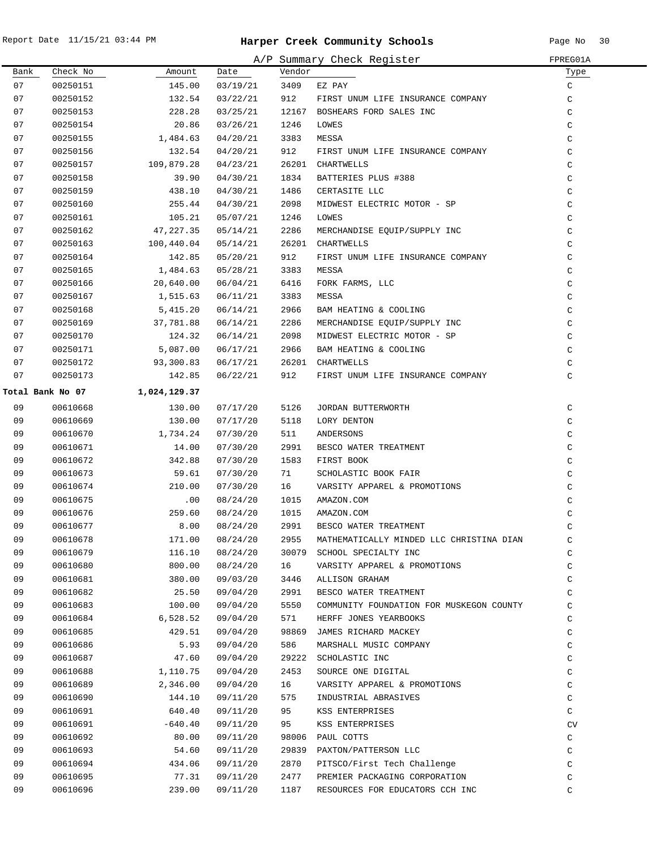|      |                  |              |          |        | A/P Summary Check Register               | FPREG01A      |
|------|------------------|--------------|----------|--------|------------------------------------------|---------------|
| Bank | Check No         | Amount       | Date     | Vendor |                                          | Туре          |
| 07   | 00250151         | 145.00       | 03/19/21 | 3409   | EZ PAY                                   | C             |
| 07   | 00250152         | 132.54       | 03/22/21 | 912    | FIRST UNUM LIFE INSURANCE COMPANY        | $\rm{C}$      |
| 07   | 00250153         | 228.28       | 03/25/21 |        | 12167 BOSHEARS FORD SALES INC            | $\mathsf C$   |
| 07   | 00250154         | 20.86        | 03/26/21 | 1246   | LOWES                                    | $\mathsf C$   |
| 07   | 00250155         | 1,484.63     | 04/20/21 | 3383   | MESSA                                    | $\mathsf C$   |
| 07   | 00250156         | 132.54       | 04/20/21 | 912    | FIRST UNUM LIFE INSURANCE COMPANY        | $\mathsf C$   |
| 07   | 00250157         | 109,879.28   | 04/23/21 |        | 26201 CHARTWELLS                         | C             |
| 07   | 00250158         | 39.90        | 04/30/21 | 1834   | BATTERIES PLUS #388                      | C             |
| 07   | 00250159         | 438.10       | 04/30/21 | 1486   | CERTASITE LLC                            | C             |
| 07   | 00250160         | 255.44       | 04/30/21 | 2098   | MIDWEST ELECTRIC MOTOR - SP              | C             |
| 07   | 00250161         | 105.21       | 05/07/21 | 1246   | LOWES                                    | $\mathcal{C}$ |
| 07   | 00250162         | 47,227.35    | 05/14/21 | 2286   | MERCHANDISE EQUIP/SUPPLY INC             | $\mathsf C$   |
| 07   | 00250163         | 100,440.04   | 05/14/21 |        | 26201 CHARTWELLS                         | C             |
| 07   | 00250164         | 142.85       | 05/20/21 | 912    | FIRST UNUM LIFE INSURANCE COMPANY        | $\mathsf C$   |
| 07   | 00250165         | 1,484.63     | 05/28/21 | 3383   | MESSA                                    | C             |
| 07   | 00250166         | 20,640.00    | 06/04/21 | 6416   | FORK FARMS, LLC                          | $\mathsf C$   |
| 07   | 00250167         | 1,515.63     | 06/11/21 | 3383   | MESSA                                    | C             |
| 07   | 00250168         | 5,415.20     | 06/14/21 | 2966   | BAM HEATING & COOLING                    | C             |
| 07   | 00250169         | 37,781.88    | 06/14/21 | 2286   | MERCHANDISE EQUIP/SUPPLY INC             | $\mathsf C$   |
| 07   | 00250170         | 124.32       | 06/14/21 | 2098   | MIDWEST ELECTRIC MOTOR - SP              | $\mathsf C$   |
| 07   | 00250171         | 5,087.00     | 06/17/21 | 2966   | BAM HEATING & COOLING                    | $\mathsf C$   |
| 07   | 00250172         | 93,300.83    | 06/17/21 |        | 26201 CHARTWELLS                         | $\rm{C}$      |
| 07   | 00250173         | 142.85       | 06/22/21 | 912    | FIRST UNUM LIFE INSURANCE COMPANY        | $\mathsf C$   |
|      | Total Bank No 07 | 1,024,129.37 |          |        |                                          |               |
| 09   | 00610668         | 130.00       | 07/17/20 | 5126   | JORDAN BUTTERWORTH                       | C             |
| 09   | 00610669         | 130.00       | 07/17/20 | 5118   | LORY DENTON                              | $\rm{C}$      |
| 09   | 00610670         | 1,734.24     | 07/30/20 | 511    | ANDERSONS                                | C             |
| 09   | 00610671         | 14.00        | 07/30/20 | 2991   | BESCO WATER TREATMENT                    | $\mathsf C$   |
| 09   | 00610672         | 342.88       | 07/30/20 | 1583   | FIRST BOOK                               | $\mathsf C$   |
| 09   | 00610673         | 59.61        | 07/30/20 | 71     | SCHOLASTIC BOOK FAIR                     | C             |
| 09   | 00610674         | 210.00       | 07/30/20 | 16     | VARSITY APPAREL & PROMOTIONS             | C             |
| 09   | 00610675         | .00          | 08/24/20 | 1015   | AMAZON.COM                               | C             |
| 09   | 00610676         | 259.60       | 08/24/20 | 1015   | AMAZON.COM                               | $\mathcal{C}$ |
| 09   | 00610677         | 8.00         | 08/24/20 | 2991   | BESCO WATER TREATMENT                    | C             |
| 09   | 00610678         | 171.00       | 08/24/20 | 2955   | MATHEMATICALLY MINDED LLC CHRISTINA DIAN | C             |
| 09   | 00610679         | 116.10       | 08/24/20 |        | 30079 SCHOOL SPECIALTY INC               | C             |
| 09   | 00610680         | 800.00       | 08/24/20 | 16     | VARSITY APPAREL & PROMOTIONS             | C             |
| 09   | 00610681         | 380.00       | 09/03/20 | 3446   | ALLISON GRAHAM                           | C             |
| 09   | 00610682         | 25.50        | 09/04/20 | 2991   | BESCO WATER TREATMENT                    | C             |
| 09   | 00610683         | 100.00       | 09/04/20 | 5550   | COMMUNITY FOUNDATION FOR MUSKEGON COUNTY | $\mathsf C$   |
| 09   | 00610684         | 6,528.52     | 09/04/20 | 571    | HERFF JONES YEARBOOKS                    | C             |
| 09   | 00610685         | 429.51       | 09/04/20 |        | 98869 JAMES RICHARD MACKEY               | C             |
| 09   | 00610686         | 5.93         | 09/04/20 | 586    | MARSHALL MUSIC COMPANY                   | $\rm{C}$      |
| 09   | 00610687         | 47.60        | 09/04/20 |        | 29222 SCHOLASTIC INC                     | $\rm{C}$      |
| 09   | 00610688         | 1,110.75     | 09/04/20 | 2453   | SOURCE ONE DIGITAL                       | C             |
| 09   | 00610689         | 2,346.00     | 09/04/20 | 16     | VARSITY APPAREL & PROMOTIONS             | C             |
| 09   | 00610690         | 144.10       | 09/11/20 | 575    | INDUSTRIAL ABRASIVES                     | C             |
| 09   | 00610691         | 640.40       | 09/11/20 | 95     | KSS ENTERPRISES                          | C             |
| 09   | 00610691         | $-640.40$    | 09/11/20 | 95     | KSS ENTERPRISES                          | CV            |
| 09   | 00610692         | 80.00        | 09/11/20 | 98006  | PAUL COTTS                               | C             |
| 09   | 00610693         | 54.60        | 09/11/20 |        | 29839 PAXTON/PATTERSON LLC               | C             |
| 09   | 00610694         | 434.06       | 09/11/20 | 2870   | PITSCO/First Tech Challenge              | C             |
| 09   | 00610695         | 77.31        | 09/11/20 | 2477   | PREMIER PACKAGING CORPORATION            | C             |
| 09   | 00610696         | 239.00       | 09/11/20 | 1187   | RESOURCES FOR EDUCATORS CCH INC          | C             |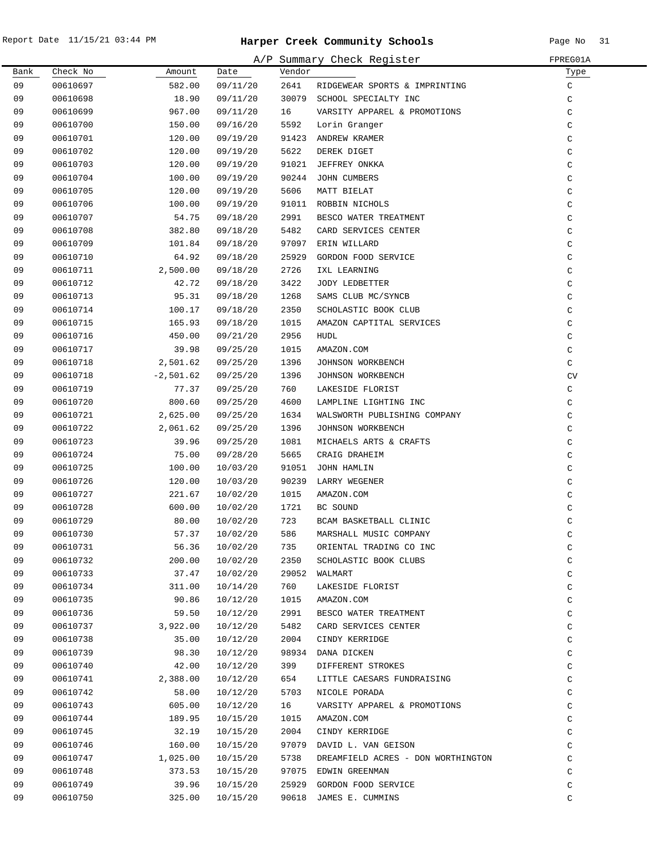|      |          |             |          |        | A/P Summary Check Register                                                                                                                  | FPREG01A     |
|------|----------|-------------|----------|--------|---------------------------------------------------------------------------------------------------------------------------------------------|--------------|
| Bank | Check No | Amount      | Date     | Vendor |                                                                                                                                             | Туре         |
| 09   | 00610697 | 582.00      | 09/11/20 | 2641   | RIDGEWEAR SPORTS & IMPRINTING                                                                                                               | C            |
| 09   | 00610698 | 18.90       | 09/11/20 |        | 30079 SCHOOL SPECIALTY INC                                                                                                                  | C            |
| 09   | 00610699 | 967.00      | 09/11/20 | 16     | VARSITY APPAREL & PROMOTIONS                                                                                                                | C            |
| 09   | 00610700 | 150.00      | 09/16/20 | 5592   | Lorin Granger                                                                                                                               | C            |
| 09   | 00610701 | 120.00      | 09/19/20 |        | 91423 ANDREW KRAMER                                                                                                                         | $\mathsf C$  |
| 09   | 00610702 | 120.00      | 09/19/20 | 5622   | DEREK DIGET                                                                                                                                 | C            |
| 09   | 00610703 | 120.00      | 09/19/20 |        | 91021 JEFFREY ONKKA                                                                                                                         | C            |
| 09   | 00610704 | 100.00      | 09/19/20 |        | 90244 JOHN CUMBERS                                                                                                                          | C            |
| 09   | 00610705 | 120.00      | 09/19/20 | 5606   | MATT BIELAT                                                                                                                                 | C            |
| 09   | 00610706 | 100.00      | 09/19/20 |        | 91011 ROBBIN NICHOLS<br>BBIN NICHUL<br>ESCO WATER TREATMENA<br>CARD SERVICES CENTER<br>ERIN WILLARD<br>GORDON FOOD SERVICE<br>TVI, LEARNING | C            |
| 09   | 00610707 | 54.75       | 09/18/20 | 2991   |                                                                                                                                             | $\mathsf C$  |
| 09   | 00610708 | 382.80      | 09/18/20 | 5482   |                                                                                                                                             | C            |
| 09   | 00610709 | 101.84      | 09/18/20 |        | 97097 ERIN WILLARD                                                                                                                          | $\mathsf C$  |
| 09   | 00610710 | 64.92       | 09/18/20 | 25929  |                                                                                                                                             | $\mathsf C$  |
| 09   | 00610711 | 2,500.00    | 09/18/20 | 2726   |                                                                                                                                             | $\mathsf C$  |
| 09   | 00610712 | 42.72       | 09/18/20 | 3422   |                                                                                                                                             | C            |
| 09   | 00610713 | 95.31       | 09/18/20 | 1268   |                                                                                                                                             | C            |
| 09   | 00610714 | 100.17      | 09/18/20 | 2350   |                                                                                                                                             | C            |
| 09   | 00610715 | 165.93      | 09/18/20 | 1015   | AMAZON CAPTITAL SERVICES                                                                                                                    | $\mathsf C$  |
| 09   | 00610716 | 450.00      | 09/21/20 | 2956   | HUDL                                                                                                                                        | $\mathsf C$  |
| 09   | 00610717 | 39.98       | 09/25/20 | 1015   | AMAZON.COM                                                                                                                                  | C            |
| 09   | 00610718 | 2,501.62    | 09/25/20 | 1396   | JOHNSON WORKBENCH                                                                                                                           | C            |
| 09   | 00610718 | $-2,501.62$ | 09/25/20 | 1396   | JOHNSON WORKBENCH                                                                                                                           | CV           |
| 09   | 00610719 | 77.37       | 09/25/20 | 760    | LAKESIDE FLORIST                                                                                                                            | $\mathtt{C}$ |
| 09   | 00610720 | 800.60      | 09/25/20 | 4600   | LAMPLINE LIGHTING INC                                                                                                                       | C            |
| 09   | 00610721 | 2,625.00    | 09/25/20 | 1634   | WALSWORTH PUBLISHING COMPANY<br>TOUNCON WORKBENCH                                                                                           | C            |
| 09   | 00610722 | 2,061.62    | 09/25/20 | 1396   | JOHNSON WORKBENCH                                                                                                                           | C            |
| 09   | 00610723 | 39.96       | 09/25/20 | 1081   | MICHAELS ARTS & CRAFTS                                                                                                                      | $\mathsf C$  |
| 09   | 00610724 | 75.00       | 09/28/20 | 5665   | CRAIG DRAHEIM                                                                                                                               | $\mathsf C$  |
| 09   | 00610725 | 100.00      | 10/03/20 |        | 91051 JOHN HAMLIN                                                                                                                           | $\mathsf C$  |
| 09   | 00610726 | 120.00      | 10/03/20 |        | 90239 LARRY WEGENER                                                                                                                         | $\mathsf C$  |
| 09   | 00610727 | 221.67      | 10/02/20 | 1015   | AMAZON.COM                                                                                                                                  | $\mathsf C$  |
| 09   | 00610728 | 600.00      | 10/02/20 | 1721   | BC SOUND                                                                                                                                    | C            |
| 09   | 00610729 | 80.00       | 10/02/20 | 723    | BCAM BASKETBALL CLINIC                                                                                                                      | C            |
| 09   | 00610730 |             |          |        | 57.37  10/02/20  586  MARSHALL MUSIC COMPANY                                                                                                | C            |
| 09   | 00610731 | 56.36       | 10/02/20 | 735    | ORIENTAL TRADING CO INC                                                                                                                     | C            |
| 09   | 00610732 | 200.00      | 10/02/20 | 2350   | SCHOLASTIC BOOK CLUBS                                                                                                                       | C            |
| 09   | 00610733 | 37.47       | 10/02/20 |        | 29052 WALMART                                                                                                                               | C            |
| 09   | 00610734 | 311.00      | 10/14/20 | 760    | LAKESIDE FLORIST                                                                                                                            | C            |
| 09   | 00610735 | 90.86       | 10/12/20 | 1015   | AMAZON.COM                                                                                                                                  | C            |
| 09   | 00610736 | 59.50       | 10/12/20 | 2991   | BESCO WATER TREATMENT                                                                                                                       | C            |
| 09   | 00610737 | 3,922.00    | 10/12/20 | 5482   | CARD SERVICES CENTER                                                                                                                        | C            |
| 09   | 00610738 | 35.00       | 10/12/20 | 2004   | CINDY KERRIDGE                                                                                                                              | C            |
| 09   | 00610739 | 98.30       | 10/12/20 |        | 98934 DANA DICKEN                                                                                                                           | $\mathtt{C}$ |
| 09   | 00610740 | 42.00       | 10/12/20 | 399    | DIFFERENT STROKES                                                                                                                           | C            |
| 09   | 00610741 | 2,388.00    | 10/12/20 | 654    | LITTLE CAESARS FUNDRAISING                                                                                                                  | C            |
| 09   | 00610742 | 58.00       | 10/12/20 | 5703   | NICOLE PORADA                                                                                                                               | C            |
| 09   | 00610743 | 605.00      | 10/12/20 | 16     | VARSITY APPAREL & PROMOTIONS                                                                                                                | $\mathtt{C}$ |
| 09   | 00610744 | 189.95      | 10/15/20 | 1015   | AMAZON.COM                                                                                                                                  | $\mathtt{C}$ |
| 09   | 00610745 | 32.19       | 10/15/20 | 2004   | CINDY KERRIDGE                                                                                                                              | $\mathtt{C}$ |
| 09   | 00610746 | 160.00      | 10/15/20 |        | 97079 DAVID L. VAN GEISON                                                                                                                   | $\mathtt{C}$ |
| 09   | 00610747 | 1,025.00    | 10/15/20 | 5738   | DREAMFIELD ACRES - DON WORTHINGTON                                                                                                          | $\mathtt{C}$ |
| 09   | 00610748 | 373.53      | 10/15/20 |        | 97075 EDWIN GREENMAN                                                                                                                        | C            |
| 09   | 00610749 | 39.96       | 10/15/20 | 25929  | GORDON FOOD SERVICE                                                                                                                         | C            |
| 09   | 00610750 | 325.00      | 10/15/20 | 90618  | JAMES E. CUMMINS                                                                                                                            | C            |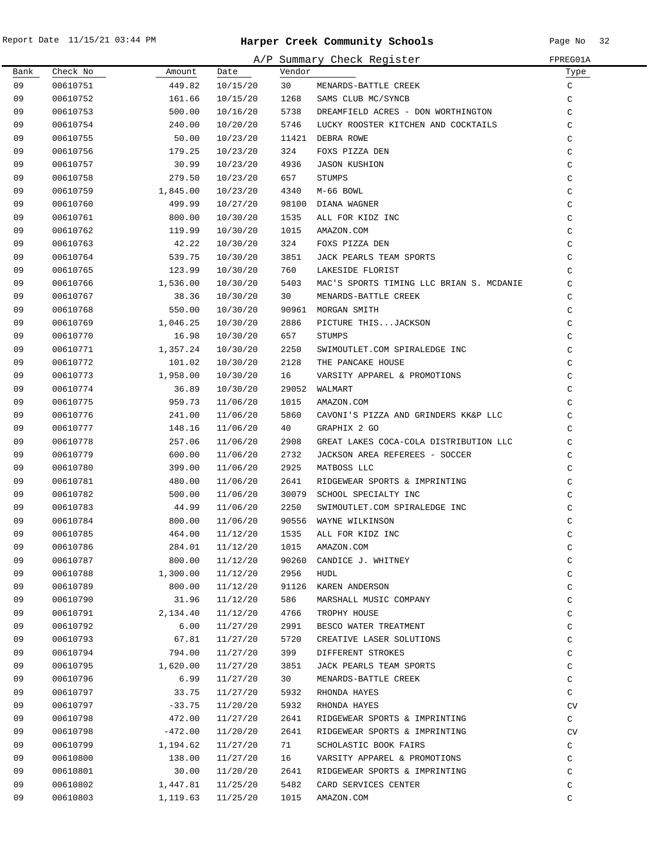$\overline{\phantom{0}}$ 

|      |          |           |          |        | A/P Summary Check Register               | FPREG01A    |
|------|----------|-----------|----------|--------|------------------------------------------|-------------|
| Bank | Check No | Amount    | Date     | Vendor |                                          | Туре        |
| 09   | 00610751 | 449.82    | 10/15/20 | 30     | MENARDS-BATTLE CREEK                     | C           |
| 09   | 00610752 | 161.66    | 10/15/20 | 1268   | SAMS CLUB MC/SYNCB                       | C           |
| 09   | 00610753 | 500.00    | 10/16/20 | 5738   | DREAMFIELD ACRES - DON WORTHINGTON       | $\mathsf C$ |
| 09   | 00610754 | 240.00    | 10/20/20 | 5746   | LUCKY ROOSTER KITCHEN AND COCKTAILS      | $\mathsf C$ |
| 09   | 00610755 | 50.00     | 10/23/20 | 11421  | DEBRA ROWE                               | C           |
| 09   | 00610756 | 179.25    | 10/23/20 | 324    | FOXS PIZZA DEN                           | $\mathsf C$ |
| 09   | 00610757 | 30.99     | 10/23/20 | 4936   | <b>JASON KUSHION</b>                     | $\mathsf C$ |
| 09   | 00610758 | 279.50    | 10/23/20 | 657    | STUMPS                                   | $\mathsf C$ |
| 09   | 00610759 | 1,845.00  | 10/23/20 | 4340   | M-66 BOWL                                | $\mathsf C$ |
| 09   | 00610760 | 499.99    | 10/27/20 | 98100  | DIANA WAGNER                             | $\mathsf C$ |
| 09   | 00610761 | 800.00    | 10/30/20 | 1535   | ALL FOR KIDZ INC                         | $\mathsf C$ |
| 09   | 00610762 | 119.99    | 10/30/20 | 1015   | AMAZON.COM                               | $\mathsf C$ |
| 09   | 00610763 | 42.22     | 10/30/20 | 324    | FOXS PIZZA DEN                           | $\mathsf C$ |
| 09   | 00610764 | 539.75    | 10/30/20 | 3851   | JACK PEARLS TEAM SPORTS                  | C           |
| 09   | 00610765 | 123.99    | 10/30/20 | 760    | LAKESIDE FLORIST                         | C           |
| 09   | 00610766 | 1,536.00  | 10/30/20 | 5403   | MAC'S SPORTS TIMING LLC BRIAN S. MCDANIE | C           |
| 09   | 00610767 | 38.36     | 10/30/20 | 30     | MENARDS-BATTLE CREEK                     | C           |
| 09   | 00610768 | 550.00    | 10/30/20 | 90961  | MORGAN SMITH                             | C           |
| 09   | 00610769 | 1,046.25  | 10/30/20 | 2886   | PICTURE THISJACKSON                      | C           |
| 09   | 00610770 | 16.98     | 10/30/20 | 657    | STUMPS                                   | C           |
| 09   | 00610771 | 1,357.24  | 10/30/20 | 2250   | SWIMOUTLET.COM SPIRALEDGE INC            | C           |
| 09   | 00610772 | 101.02    | 10/30/20 | 2128   | THE PANCAKE HOUSE                        | C           |
| 09   | 00610773 | 1,958.00  | 10/30/20 | 16     | VARSITY APPAREL & PROMOTIONS             | $\rm{C}$    |
| 09   | 00610774 | 36.89     | 10/30/20 | 29052  | WALMART                                  | $\rm{C}$    |
| 09   | 00610775 | 959.73    | 11/06/20 | 1015   | AMAZON.COM                               | C           |
| 09   | 00610776 | 241.00    | 11/06/20 | 5860   | CAVONI'S PIZZA AND GRINDERS KK&P LLC     | C           |
| 09   | 00610777 | 148.16    | 11/06/20 | 40     | GRAPHIX 2 GO                             | C           |
| 09   | 00610778 | 257.06    | 11/06/20 | 2908   | GREAT LAKES COCA-COLA DISTRIBUTION LLC   | C           |
| 09   | 00610779 | 600.00    | 11/06/20 | 2732   | JACKSON AREA REFEREES - SOCCER           | C           |
| 09   | 00610780 | 399.00    | 11/06/20 | 2925   | MATBOSS LLC                              | C           |
| 09   | 00610781 | 480.00    | 11/06/20 | 2641   | RIDGEWEAR SPORTS & IMPRINTING            | C           |
| 09   | 00610782 | 500.00    | 11/06/20 | 30079  | SCHOOL SPECIALTY INC                     | C           |
| 09   | 00610783 | 44.99     | 11/06/20 | 2250   | SWIMOUTLET.COM SPIRALEDGE INC            | C           |
| 09   | 00610784 | 800.00    | 11/06/20 | 90556  | WAYNE WILKINSON                          | C           |
| 09   | 00610785 | 464.00    | 11/12/20 | 1535   | ALL FOR KIDZ INC                         | C           |
| 09   | 00610786 | 284.01    | 11/12/20 | 1015   | AMAZON.COM                               | $\rm{C}$    |
| 09   | 00610787 | 800.00    | 11/12/20 | 90260  | CANDICE J. WHITNEY                       | $\mathsf C$ |
| 09   | 00610788 | 1,300.00  | 11/12/20 | 2956   | HUDL                                     | C           |
| 09   | 00610789 | 800.00    | 11/12/20 | 91126  | KAREN ANDERSON                           | C           |
| 09   | 00610790 | 31.96     | 11/12/20 | 586    | MARSHALL MUSIC COMPANY                   | C           |
| 09   | 00610791 | 2,134.40  | 11/12/20 | 4766   | TROPHY HOUSE                             | C           |
| 09   | 00610792 | 6.00      | 11/27/20 | 2991   | BESCO WATER TREATMENT                    | C           |
| 09   | 00610793 | 67.81     | 11/27/20 | 5720   | CREATIVE LASER SOLUTIONS                 | $\rm{C}$    |
| 09   | 00610794 | 794.00    | 11/27/20 | 399    | DIFFERENT STROKES                        | $\rm{C}$    |
| 09   | 00610795 | 1,620.00  | 11/27/20 | 3851   | JACK PEARLS TEAM SPORTS                  | $\rm{C}$    |
| 09   | 00610796 | 6.99      | 11/27/20 | 30     | MENARDS-BATTLE CREEK                     | $\rm{C}$    |
| 09   | 00610797 | 33.75     | 11/27/20 | 5932   | RHONDA HAYES                             | C           |
| 09   | 00610797 | $-33.75$  | 11/20/20 | 5932   | RHONDA HAYES                             | CV          |
| 09   | 00610798 | 472.00    | 11/27/20 | 2641   | RIDGEWEAR SPORTS & IMPRINTING            | C           |
| 09   | 00610798 | $-472.00$ | 11/20/20 | 2641   | RIDGEWEAR SPORTS & IMPRINTING            | CV          |
| 09   | 00610799 | 1,194.62  | 11/27/20 | 71     | SCHOLASTIC BOOK FAIRS                    | C           |
| 09   | 00610800 | 138.00    | 11/27/20 | 16     | VARSITY APPAREL & PROMOTIONS             | C           |
| 09   | 00610801 | 30.00     | 11/20/20 | 2641   | RIDGEWEAR SPORTS & IMPRINTING            | $\mathsf C$ |
| 09   | 00610802 | 1,447.81  | 11/25/20 | 5482   | CARD SERVICES CENTER                     | C           |
| 09   | 00610803 | 1,119.63  | 11/25/20 | 1015   | AMAZON.COM                               | $\rm{C}$    |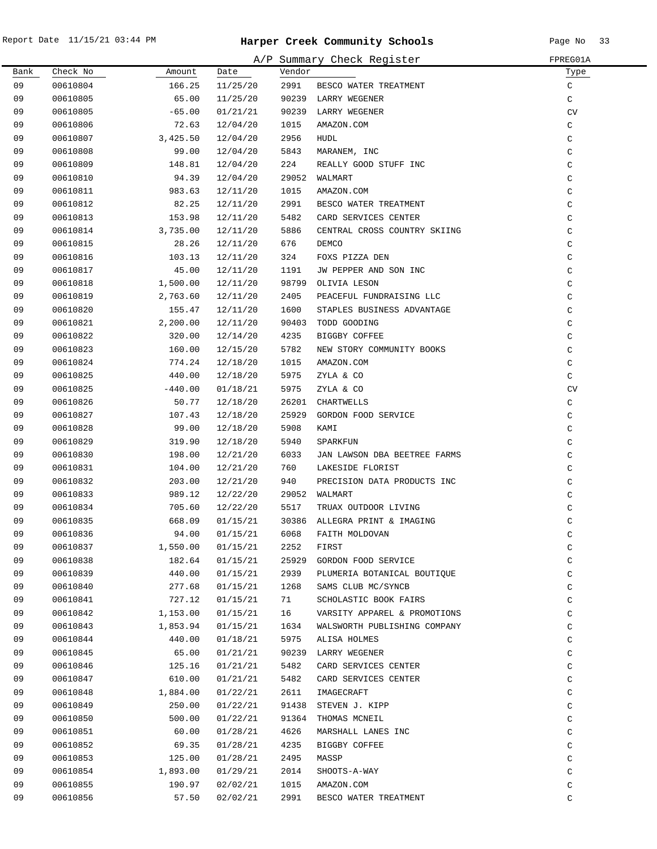|      |          |           |          |        | A/P Summary Check Register    | FPREG01A     |
|------|----------|-----------|----------|--------|-------------------------------|--------------|
| Bank | Check No | Amount    | Date     | Vendor |                               | Туре         |
| 09   | 00610804 | 166.25    | 11/25/20 | 2991   | BESCO WATER TREATMENT         | C            |
| 09   | 00610805 | 65.00     | 11/25/20 |        | 90239 LARRY WEGENER           | C            |
| 09   | 00610805 | $-65.00$  | 01/21/21 | 90239  | LARRY WEGENER                 | CV           |
| 09   | 00610806 | 72.63     | 12/04/20 | 1015   | AMAZON.COM                    | C            |
| 09   | 00610807 | 3,425.50  | 12/04/20 | 2956   | HUDL                          | C            |
| 09   | 00610808 | 99.00     | 12/04/20 | 5843   | MARANEM, INC                  | C            |
| 09   | 00610809 | 148.81    | 12/04/20 | 224    | REALLY GOOD STUFF INC         | C            |
| 09   | 00610810 | 94.39     | 12/04/20 |        | 29052 WALMART                 | C            |
| 09   | 00610811 | 983.63    | 12/11/20 | 1015   | AMAZON.COM                    | C            |
| 09   | 00610812 | 82.25     | 12/11/20 | 2991   | BESCO WATER TREATMENT         | C            |
| 09   | 00610813 | 153.98    | 12/11/20 | 5482   | CARD SERVICES CENTER          | $\mathsf C$  |
| 09   | 00610814 | 3,735.00  | 12/11/20 | 5886   | CENTRAL CROSS COUNTRY SKIING  | C            |
| 09   | 00610815 | 28.26     | 12/11/20 | 676    | DEMCO                         | C            |
| 09   | 00610816 | 103.13    | 12/11/20 | 324    | FOXS PIZZA DEN                | C            |
| 09   | 00610817 | 45.00     | 12/11/20 | 1191   | JW PEPPER AND SON INC         | C            |
| 09   | 00610818 | 1,500.00  | 12/11/20 | 98799  | OLIVIA LESON                  | C            |
| 09   | 00610819 | 2,763.60  | 12/11/20 | 2405   | PEACEFUL FUNDRAISING LLC      | C            |
| 09   | 00610820 | 155.47    | 12/11/20 | 1600   | STAPLES BUSINESS ADVANTAGE    | C            |
| 09   | 00610821 | 2,200.00  | 12/11/20 | 90403  | TODD GOODING                  | C            |
| 09   | 00610822 | 320.00    | 12/14/20 | 4235   | BIGGBY COFFEE                 | C            |
| 09   | 00610823 | 160.00    | 12/15/20 | 5782   | NEW STORY COMMUNITY BOOKS     | $\mathsf C$  |
| 09   | 00610824 | 774.24    | 12/18/20 | 1015   | AMAZON.COM                    | C            |
| 09   | 00610825 | 440.00    | 12/18/20 | 5975   | ZYLA & CO                     | C            |
| 09   | 00610825 | $-440.00$ | 01/18/21 | 5975   | ZYLA & CO                     | CV           |
| 09   | 00610826 | 50.77     | 12/18/20 | 26201  | CHARTWELLS                    | C            |
| 09   | 00610827 | 107.43    | 12/18/20 | 25929  | GORDON FOOD SERVICE           | C            |
| 09   | 00610828 | 99.00     | 12/18/20 | 5908   | KAMI                          | $\mathsf C$  |
| 09   | 00610829 | 319.90    | 12/18/20 | 5940   | SPARKFUN                      | C            |
| 09   | 00610830 | 198.00    | 12/21/20 | 6033   | JAN LAWSON DBA BEETREE FARMS  | C            |
| 09   | 00610831 | 104.00    | 12/21/20 | 760    | LAKESIDE FLORIST              | C            |
| 09   | 00610832 | 203.00    | 12/21/20 | 940    | PRECISION DATA PRODUCTS INC   | C            |
| 09   | 00610833 | 989.12    | 12/22/20 |        | 29052 WALMART                 | C            |
| 09   | 00610834 | 705.60    | 12/22/20 | 5517   | TRUAX OUTDOOR LIVING          | C            |
| 09   | 00610835 | 668.09    | 01/15/21 |        | 30386 ALLEGRA PRINT & IMAGING | C            |
| 09   | 00610836 | 94.00     | 01/15/21 | 6068   | FAITH MOLDOVAN                | С            |
| 09   | 00610837 | 1,550.00  | 01/15/21 | 2252   | FIRST                         | C            |
| 09   | 00610838 | 182.64    | 01/15/21 | 25929  | GORDON FOOD SERVICE           | C            |
| 09   | 00610839 | 440.00    | 01/15/21 | 2939   | PLUMERIA BOTANICAL BOUTIQUE   | $\mathtt{C}$ |
| 09   | 00610840 | 277.68    | 01/15/21 | 1268   | SAMS CLUB MC/SYNCB            | $\mathtt{C}$ |
| 09   | 00610841 | 727.12    | 01/15/21 | 71     | SCHOLASTIC BOOK FAIRS         | $\mathtt{C}$ |
| 09   | 00610842 | 1,153.00  | 01/15/21 | 16     | VARSITY APPAREL & PROMOTIONS  | $\mathtt{C}$ |
| 09   | 00610843 | 1,853.94  | 01/15/21 | 1634   | WALSWORTH PUBLISHING COMPANY  | C            |
| 09   | 00610844 | 440.00    | 01/18/21 | 5975   | ALISA HOLMES                  | C            |
| 09   | 00610845 | 65.00     | 01/21/21 |        | 90239 LARRY WEGENER           | $\mathtt{C}$ |
| 09   | 00610846 | 125.16    | 01/21/21 | 5482   | CARD SERVICES CENTER          | $\mathtt{C}$ |
| 09   | 00610847 | 610.00    | 01/21/21 | 5482   | CARD SERVICES CENTER          | $\mathtt{C}$ |
| 09   | 00610848 | 1,884.00  | 01/22/21 | 2611   | IMAGECRAFT                    | $\mathtt{C}$ |
| 09   | 00610849 | 250.00    | 01/22/21 | 91438  | STEVEN J. KIPP                | $\mathtt{C}$ |
| 09   | 00610850 | 500.00    | 01/22/21 |        | 91364 THOMAS MCNEIL           | $\mathtt{C}$ |
| 09   | 00610851 | 60.00     | 01/28/21 | 4626   | MARSHALL LANES INC            | $\mathtt{C}$ |
| 09   | 00610852 | 69.35     | 01/28/21 | 4235   | BIGGBY COFFEE                 | $\mathtt{C}$ |
| 09   | 00610853 | 125.00    | 01/28/21 | 2495   | MASSP                         | C            |
| 09   | 00610854 | 1,893.00  | 01/29/21 | 2014   | SHOOTS-A-WAY                  | C            |
| 09   | 00610855 | 190.97    | 02/02/21 | 1015   | AMAZON.COM                    | C            |
| 09   | 00610856 | 57.50     | 02/02/21 | 2991   | BESCO WATER TREATMENT         | C            |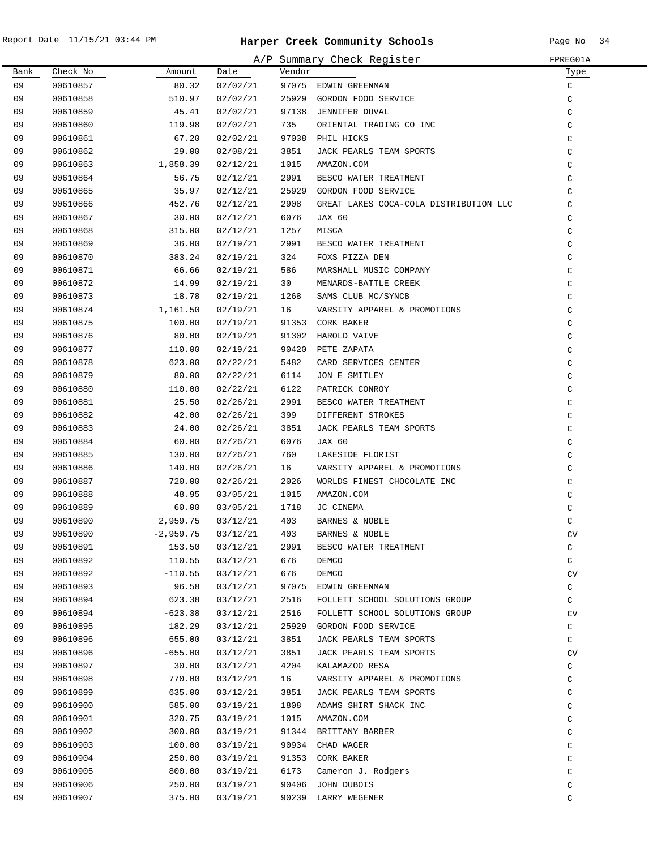|      |          |             |          |        | A/P Summary Check Register             | FPREG01A     |
|------|----------|-------------|----------|--------|----------------------------------------|--------------|
| Bank | Check No | Amount      | Date     | Vendor |                                        | Туре         |
| 09   | 00610857 | 80.32       | 02/02/21 |        | 97075 EDWIN GREENMAN                   | C            |
| 09   | 00610858 | 510.97      | 02/02/21 | 25929  | GORDON FOOD SERVICE                    | C            |
| 09   | 00610859 | 45.41       | 02/02/21 |        | 97138 JENNIFER DUVAL                   | C            |
| 09   | 00610860 | 119.98      | 02/02/21 | 735    | ORIENTAL TRADING CO INC                | C            |
| 09   | 00610861 | 67.20       | 02/02/21 |        | 97038 PHIL HICKS                       | C            |
| 09   | 00610862 | 29.00       | 02/08/21 | 3851   | JACK PEARLS TEAM SPORTS                | C            |
| 09   | 00610863 | 1,858.39    | 02/12/21 | 1015   | AMAZON.COM                             | C            |
| 09   | 00610864 | 56.75       | 02/12/21 | 2991   | BESCO WATER TREATMENT                  | C            |
| 09   | 00610865 | 35.97       | 02/12/21 | 25929  | GORDON FOOD SERVICE                    | C            |
| 09   | 00610866 | 452.76      | 02/12/21 | 2908   | GREAT LAKES COCA-COLA DISTRIBUTION LLC | C            |
| 09   | 00610867 | 30.00       | 02/12/21 | 6076   | JAX 60                                 | C            |
| 09   | 00610868 | 315.00      | 02/12/21 | 1257   | MISCA                                  | C            |
| 09   | 00610869 | 36.00       | 02/19/21 | 2991   | BESCO WATER TREATMENT                  | C            |
| 09   | 00610870 | 383.24      | 02/19/21 | 324    | FOXS PIZZA DEN                         | C            |
| 09   | 00610871 | 66.66       | 02/19/21 | 586    | MARSHALL MUSIC COMPANY                 | C            |
| 09   | 00610872 | 14.99       | 02/19/21 | 30     | MENARDS-BATTLE CREEK                   | C            |
| 09   | 00610873 | 18.78       | 02/19/21 | 1268   | SAMS CLUB MC/SYNCB                     | C            |
| 09   | 00610874 | 1,161.50    | 02/19/21 | 16     | VARSITY APPAREL & PROMOTIONS           | C            |
| 09   | 00610875 | 100.00      | 02/19/21 | 91353  | CORK BAKER                             | C            |
| 09   | 00610876 | 80.00       | 02/19/21 | 91302  | HAROLD VAIVE                           | C            |
| 09   | 00610877 | 110.00      | 02/19/21 | 90420  | PETE ZAPATA                            | C            |
| 09   | 00610878 | 623.00      | 02/22/21 | 5482   | CARD SERVICES CENTER                   | C            |
| 09   | 00610879 | 80.00       | 02/22/21 | 6114   | JON E SMITLEY                          | C            |
| 09   | 00610880 | 110.00      | 02/22/21 | 6122   | PATRICK CONROY                         | $\mathsf C$  |
| 09   | 00610881 | 25.50       | 02/26/21 | 2991   | BESCO WATER TREATMENT                  | $\mathsf C$  |
| 09   | 00610882 | 42.00       | 02/26/21 | 399    | DIFFERENT STROKES                      | C            |
| 09   | 00610883 | 24.00       | 02/26/21 | 3851   | JACK PEARLS TEAM SPORTS                | C            |
| 09   | 00610884 | 60.00       | 02/26/21 | 6076   | JAX 60                                 | C            |
| 09   | 00610885 | 130.00      | 02/26/21 | 760    | LAKESIDE FLORIST                       | C            |
| 09   | 00610886 | 140.00      | 02/26/21 | 16     | VARSITY APPAREL & PROMOTIONS           | C            |
| 09   | 00610887 | 720.00      | 02/26/21 | 2026   | WORLDS FINEST CHOCOLATE INC            | C            |
| 09   | 00610888 | 48.95       | 03/05/21 | 1015   | AMAZON.COM                             | C            |
| 09   | 00610889 | 60.00       | 03/05/21 | 1718   | JC CINEMA                              | C            |
| 09   | 00610890 | 2,959.75    | 03/12/21 | 403    | BARNES & NOBLE                         | C            |
| 09   | 00610890 | $-2,959.75$ | 03/12/21 | 403    | BARNES & NOBLE                         | CV           |
| 09   | 00610891 | 153.50      | 03/12/21 | 2991   | BESCO WATER TREATMENT                  | C            |
| 09   | 00610892 | 110.55      | 03/12/21 | 676    | DEMCO                                  | C            |
| 09   | 00610892 | $-110.55$   | 03/12/21 | 676    | DEMCO                                  | CV           |
| 09   | 00610893 | 96.58       | 03/12/21 | 97075  | EDWIN GREENMAN                         | C            |
| 09   | 00610894 | 623.38      | 03/12/21 | 2516   | FOLLETT SCHOOL SOLUTIONS GROUP         | C            |
| 09   | 00610894 | $-623.38$   | 03/12/21 | 2516   | FOLLETT SCHOOL SOLUTIONS GROUP         | CV           |
| 09   | 00610895 | 182.29      | 03/12/21 | 25929  | GORDON FOOD SERVICE                    | $\mathtt{C}$ |
| 09   | 00610896 | 655.00      | 03/12/21 | 3851   | JACK PEARLS TEAM SPORTS                | C            |
| 09   | 00610896 | $-655.00$   | 03/12/21 | 3851   | JACK PEARLS TEAM SPORTS                | CV           |
| 09   | 00610897 | 30.00       | 03/12/21 | 4204   | KALAMAZOO RESA                         | $\mathtt{C}$ |
| 09   | 00610898 | 770.00      | 03/12/21 | 16     | VARSITY APPAREL & PROMOTIONS           | $\mathtt{C}$ |
| 09   | 00610899 | 635.00      | 03/12/21 | 3851   | JACK PEARLS TEAM SPORTS                | $\mathtt{C}$ |
| 09   | 00610900 | 585.00      | 03/19/21 | 1808   | ADAMS SHIRT SHACK INC                  | $\mathtt{C}$ |
| 09   | 00610901 | 320.75      | 03/19/21 | 1015   | AMAZON.COM                             | C            |
| 09   | 00610902 | 300.00      | 03/19/21 | 91344  | BRITTANY BARBER                        | C            |
| 09   | 00610903 | 100.00      | 03/19/21 | 90934  | CHAD WAGER                             | C            |
| 09   | 00610904 | 250.00      | 03/19/21 | 91353  | CORK BAKER                             | C            |
| 09   | 00610905 | 800.00      | 03/19/21 | 6173   | Cameron J. Rodgers                     | C            |
| 09   | 00610906 | 250.00      | 03/19/21 | 90406  | JOHN DUBOIS                            | C            |
| 09   | 00610907 | 375.00      | 03/19/21 |        | 90239 LARRY WEGENER                    | C            |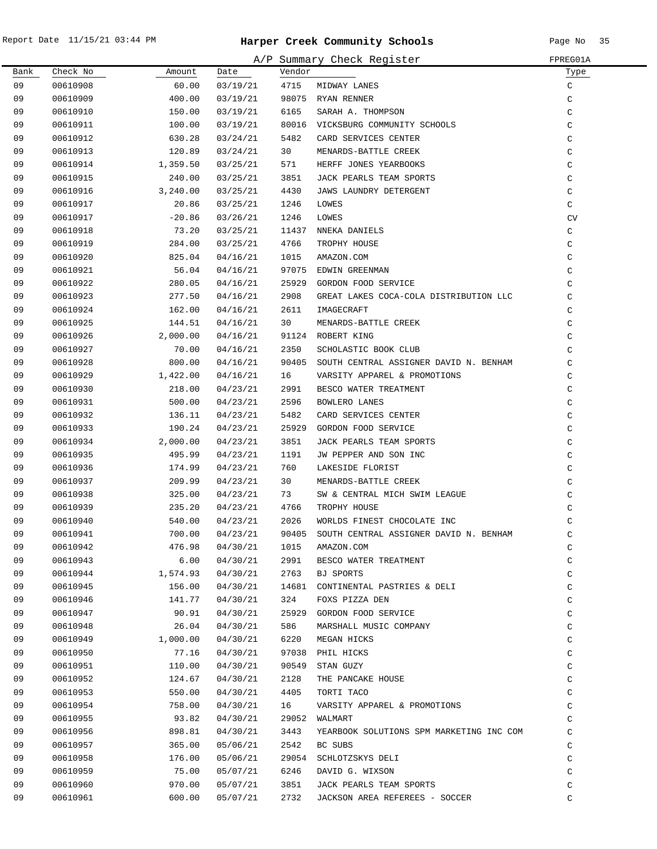|      |          |          |          |        | A/P Summary Check Register               | FPREG01A  |
|------|----------|----------|----------|--------|------------------------------------------|-----------|
| Bank | Check No | Amount   | Date     | Vendor |                                          | Type      |
| 09   | 00610908 | 60.00    | 03/19/21 | 4715   | MIDWAY LANES                             | C         |
| 09   | 00610909 | 400.00   | 03/19/21 | 98075  | RYAN RENNER                              | C         |
| 09   | 00610910 | 150.00   | 03/19/21 | 6165   | SARAH A. THOMPSON                        | C         |
| 09   | 00610911 | 100.00   | 03/19/21 | 80016  | VICKSBURG COMMUNITY SCHOOLS              | $\rm{C}$  |
| 09   | 00610912 | 630.28   | 03/24/21 | 5482   | CARD SERVICES CENTER                     | C         |
| 09   | 00610913 | 120.89   | 03/24/21 | 30     | MENARDS-BATTLE CREEK                     | $\rm{C}$  |
| 09   | 00610914 | 1,359.50 | 03/25/21 | 571    | HERFF JONES YEARBOOKS                    | C         |
| 09   | 00610915 | 240.00   | 03/25/21 | 3851   | JACK PEARLS TEAM SPORTS                  | C         |
| 09   | 00610916 | 3,240.00 | 03/25/21 | 4430   | JAWS LAUNDRY DETERGENT                   | C         |
| 09   | 00610917 | 20.86    | 03/25/21 | 1246   | LOWES                                    | C         |
| 09   | 00610917 | $-20.86$ | 03/26/21 | 1246   | LOWES                                    | <b>CV</b> |
| 09   | 00610918 | 73.20    | 03/25/21 | 11437  | NNEKA DANIELS                            | C         |
| 09   | 00610919 | 284.00   | 03/25/21 | 4766   | TROPHY HOUSE                             | C         |
| 09   | 00610920 | 825.04   | 04/16/21 | 1015   | AMAZON.COM                               | C         |
| 09   | 00610921 | 56.04    | 04/16/21 | 97075  | EDWIN GREENMAN                           | C         |
| 09   | 00610922 | 280.05   | 04/16/21 | 25929  | GORDON FOOD SERVICE                      | C         |
| 09   | 00610923 | 277.50   | 04/16/21 | 2908   | GREAT LAKES COCA-COLA DISTRIBUTION LLC   | C         |
| 09   | 00610924 | 162.00   | 04/16/21 | 2611   | IMAGECRAFT                               | C         |
| 09   | 00610925 | 144.51   | 04/16/21 | 30     | MENARDS-BATTLE CREEK                     | C         |
| 09   | 00610926 | 2,000.00 | 04/16/21 |        | 91124 ROBERT KING                        | C         |
| 09   | 00610927 | 70.00    | 04/16/21 | 2350   | SCHOLASTIC BOOK CLUB                     | C         |
| 09   | 00610928 | 800.00   | 04/16/21 | 90405  | SOUTH CENTRAL ASSIGNER DAVID N. BENHAM   | C         |
| 09   | 00610929 | 1,422.00 | 04/16/21 | 16     | VARSITY APPAREL & PROMOTIONS             | C         |
| 09   | 00610930 | 218.00   | 04/23/21 | 2991   | BESCO WATER TREATMENT                    | C         |
| 09   | 00610931 | 500.00   | 04/23/21 | 2596   | BOWLERO LANES                            | C         |
| 09   | 00610932 | 136.11   | 04/23/21 | 5482   | CARD SERVICES CENTER                     | C         |
| 09   | 00610933 | 190.24   | 04/23/21 | 25929  | GORDON FOOD SERVICE                      | C         |
| 09   | 00610934 | 2,000.00 | 04/23/21 | 3851   | JACK PEARLS TEAM SPORTS                  | C         |
| 09   | 00610935 | 495.99   | 04/23/21 | 1191   | JW PEPPER AND SON INC                    | C         |
| 09   | 00610936 | 174.99   | 04/23/21 | 760    | LAKESIDE FLORIST                         | C         |
| 09   | 00610937 | 209.99   | 04/23/21 | 30     | MENARDS-BATTLE CREEK                     | C         |
| 09   | 00610938 | 325.00   | 04/23/21 | 73     | SW & CENTRAL MICH SWIM LEAGUE            | C         |
| 09   | 00610939 | 235.20   | 04/23/21 | 4766   | TROPHY HOUSE                             | C         |
| 09   | 00610940 | 540.00   | 04/23/21 | 2026   | WORLDS FINEST CHOCOLATE INC              | C         |
| 09   | 00610941 | 700.00   | 04/23/21 | 90405  | SOUTH CENTRAL ASSIGNER DAVID N. BENHAM   | C         |
| 09   | 00610942 | 476.98   | 04/30/21 | 1015   | AMAZON.COM                               | C         |
| 09   | 00610943 | 6.00     | 04/30/21 | 2991   | BESCO WATER TREATMENT                    | C         |
| 09   | 00610944 | 1,574.93 | 04/30/21 | 2763   | BJ SPORTS                                | C         |
| 09   | 00610945 | 156.00   | 04/30/21 | 14681  | CONTINENTAL PASTRIES & DELI              | C         |
| 09   | 00610946 | 141.77   | 04/30/21 | 324    | FOXS PIZZA DEN                           | C         |
| 09   | 00610947 | 90.91    | 04/30/21 | 25929  | GORDON FOOD SERVICE                      | $\rm{C}$  |
| 09   | 00610948 | 26.04    | 04/30/21 | 586    | MARSHALL MUSIC COMPANY                   | C         |
| 09   | 00610949 | 1,000.00 | 04/30/21 | 6220   | MEGAN HICKS                              | $\rm{C}$  |
| 09   | 00610950 | 77.16    | 04/30/21 | 97038  | PHIL HICKS                               | C         |
| 09   | 00610951 | 110.00   | 04/30/21 | 90549  | STAN GUZY                                | $\rm{C}$  |
| 09   | 00610952 | 124.67   | 04/30/21 | 2128   | THE PANCAKE HOUSE                        | $\rm{C}$  |
| 09   | 00610953 | 550.00   | 04/30/21 | 4405   | TORTI TACO                               | C         |
| 09   | 00610954 | 758.00   | 04/30/21 | 16     | VARSITY APPAREL & PROMOTIONS             | C         |
| 09   | 00610955 | 93.82    | 04/30/21 | 29052  | WALMART                                  | C         |
| 09   | 00610956 | 898.81   | 04/30/21 | 3443   | YEARBOOK SOLUTIONS SPM MARKETING INC COM | C         |
| 09   | 00610957 | 365.00   | 05/06/21 | 2542   | BC SUBS                                  | C         |
| 09   | 00610958 | 176.00   | 05/06/21 | 29054  | SCHLOTZSKYS DELI                         | C         |
| 09   | 00610959 | 75.00    | 05/07/21 | 6246   | DAVID G. WIXSON                          | C         |
| 09   | 00610960 | 970.00   | 05/07/21 | 3851   | JACK PEARLS TEAM SPORTS                  | C         |
| 09   | 00610961 | 600.00   | 05/07/21 | 2732   | JACKSON AREA REFEREES - SOCCER           | C         |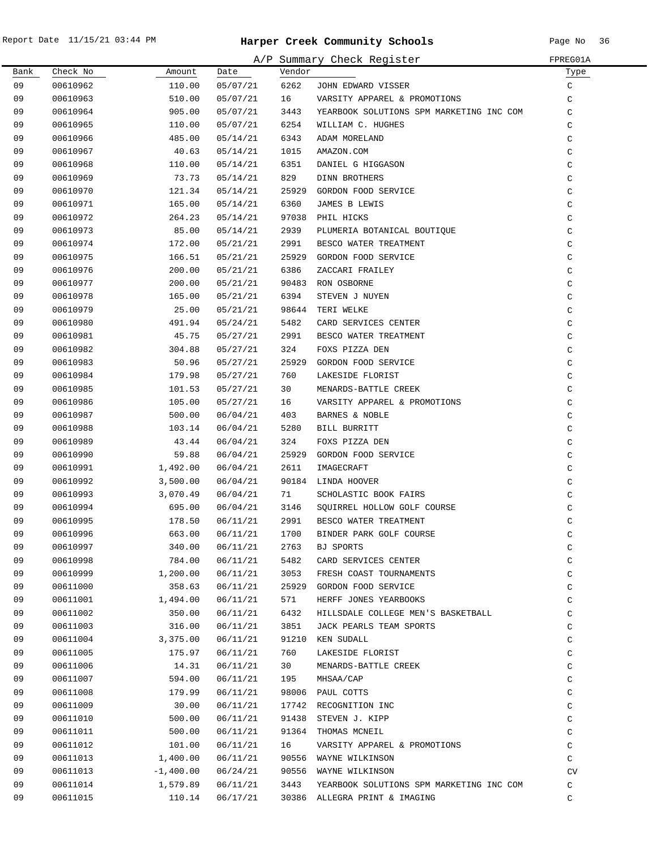$\overline{\phantom{0}}$ 

|      |          |             |          |        | A/P Summary Check Register               | FPREG01A      |
|------|----------|-------------|----------|--------|------------------------------------------|---------------|
| Bank | Check No | Amount      | Date     | Vendor |                                          | Туре          |
| 09   | 00610962 | 110.00      | 05/07/21 | 6262   | JOHN EDWARD VISSER                       | $\mathsf C$   |
| 09   | 00610963 | 510.00      | 05/07/21 | 16     | VARSITY APPAREL & PROMOTIONS             | C             |
| 09   | 00610964 | 905.00      | 05/07/21 | 3443   | YEARBOOK SOLUTIONS SPM MARKETING INC COM | C             |
| 09   | 00610965 | 110.00      | 05/07/21 | 6254   | WILLIAM C. HUGHES                        | C             |
| 09   | 00610966 | 485.00      | 05/14/21 | 6343   | ADAM MORELAND                            | $\rm{C}$      |
| 09   | 00610967 | 40.63       | 05/14/21 | 1015   | AMAZON.COM                               | $\rm{C}$      |
| 09   | 00610968 | 110.00      | 05/14/21 | 6351   | DANIEL G HIGGASON                        | $\mathtt{C}$  |
| 09   | 00610969 | 73.73       | 05/14/21 | 829    | DINN BROTHERS                            | $\mathtt{C}$  |
| 09   | 00610970 | 121.34      | 05/14/21 | 25929  | GORDON FOOD SERVICE                      | $\mathsf C$   |
| 09   | 00610971 | 165.00      | 05/14/21 | 6360   | JAMES B LEWIS                            | $\mathsf C$   |
| 09   | 00610972 | 264.23      | 05/14/21 | 97038  | PHIL HICKS                               | $\mathsf C$   |
| 09   | 00610973 | 85.00       | 05/14/21 | 2939   | PLUMERIA BOTANICAL BOUTIQUE              | C             |
| 09   | 00610974 | 172.00      | 05/21/21 | 2991   | BESCO WATER TREATMENT                    | $\mathsf C$   |
| 09   | 00610975 | 166.51      | 05/21/21 | 25929  | GORDON FOOD SERVICE                      | $\mathsf C$   |
| 09   | 00610976 | 200.00      | 05/21/21 | 6386   | ZACCARI FRAILEY                          | $\mathcal{C}$ |
| 09   | 00610977 | 200.00      | 05/21/21 | 90483  | RON OSBORNE                              | $\mathcal{C}$ |
| 09   | 00610978 | 165.00      | 05/21/21 | 6394   | STEVEN J NUYEN                           | $\mathsf C$   |
| 09   | 00610979 | 25.00       | 05/21/21 | 98644  | TERI WELKE                               | $\mathsf C$   |
| 09   | 00610980 | 491.94      | 05/24/21 | 5482   | CARD SERVICES CENTER                     | C             |
| 09   | 00610981 | 45.75       | 05/27/21 | 2991   | BESCO WATER TREATMENT                    | C             |
| 09   | 00610982 | 304.88      | 05/27/21 | 324    | FOXS PIZZA DEN                           | $\mathsf C$   |
| 09   | 00610983 | 50.96       | 05/27/21 | 25929  | GORDON FOOD SERVICE                      | $\mathsf C$   |
| 09   | 00610984 | 179.98      | 05/27/21 | 760    | LAKESIDE FLORIST                         | $\rm{C}$      |
| 09   | 00610985 | 101.53      | 05/27/21 | 30     | MENARDS-BATTLE CREEK                     | $\rm{C}$      |
| 09   | 00610986 | 105.00      | 05/27/21 | 16     | VARSITY APPAREL & PROMOTIONS             | $\mathsf C$   |
| 09   | 00610987 | 500.00      | 06/04/21 | 403    | BARNES & NOBLE                           | $\rm{C}$      |
| 09   | 00610988 | 103.14      | 06/04/21 | 5280   | BILL BURRITT                             | $\rm{C}$      |
| 09   | 00610989 | 43.44       | 06/04/21 | 324    | FOXS PIZZA DEN                           | $\rm{C}$      |
| 09   | 00610990 | 59.88       | 06/04/21 | 25929  | GORDON FOOD SERVICE                      | $\mathsf C$   |
| 09   | 00610991 | 1,492.00    | 06/04/21 | 2611   | IMAGECRAFT                               | $\mathsf C$   |
| 09   | 00610992 | 3,500.00    | 06/04/21 | 90184  | LINDA HOOVER                             | C             |
| 09   | 00610993 | 3,070.49    | 06/04/21 | 71     | SCHOLASTIC BOOK FAIRS                    | $\mathsf C$   |
| 09   | 00610994 | 695.00      | 06/04/21 | 3146   | SQUIRREL HOLLOW GOLF COURSE              | $\mathtt{C}$  |
| 09   | 00610995 | 178.50      | 06/11/21 | 2991   | BESCO WATER TREATMENT                    | $\mathcal{C}$ |
| 09   | 00610996 | 663.00      | 06/11/21 | 1700   | BINDER PARK GOLF COURSE                  | $\mathsf C$   |
| 09   | 00610997 | 340.00      | 06/11/21 | 2763   | BJ SPORTS                                | $\mathsf C$   |
| 09   | 00610998 | 784.00      | 06/11/21 | 5482   | CARD SERVICES CENTER                     | $\mathsf C$   |
| 09   | 00610999 | 1,200.00    | 06/11/21 | 3053   | FRESH COAST TOURNAMENTS                  | $\mathsf C$   |
| 09   | 00611000 | 358.63      | 06/11/21 | 25929  | GORDON FOOD SERVICE                      | C             |
| 09   | 00611001 | 1,494.00    | 06/11/21 | 571    | HERFF JONES YEARBOOKS                    | $\mathsf C$   |
| 09   | 00611002 | 350.00      | 06/11/21 | 6432   | HILLSDALE COLLEGE MEN'S BASKETBALL       | $\mathsf C$   |
| 09   | 00611003 | 316.00      | 06/11/21 | 3851   | JACK PEARLS TEAM SPORTS                  | C             |
| 09   | 00611004 | 3,375.00    | 06/11/21 | 91210  | KEN SUDALL                               | $\mathtt{C}$  |
| 09   | 00611005 | 175.97      | 06/11/21 | 760    | LAKESIDE FLORIST                         | $\mathtt{C}$  |
| 09   | 00611006 | 14.31       | 06/11/21 | 30     | MENARDS-BATTLE CREEK                     | $\rm{C}$      |
| 09   | 00611007 | 594.00      | 06/11/21 | 195    | MHSAA/CAP                                | $\mathtt{C}$  |
| 09   | 00611008 | 179.99      | 06/11/21 | 98006  | PAUL COTTS                               | $\mathtt{C}$  |
| 09   | 00611009 | 30.00       | 06/11/21 | 17742  | RECOGNITION INC                          | $\mathtt{C}$  |
| 09   | 00611010 | 500.00      | 06/11/21 | 91438  | STEVEN J. KIPP                           | $\mathtt{C}$  |
| 09   | 00611011 | 500.00      | 06/11/21 | 91364  | THOMAS MCNEIL                            | C             |
| 09   | 00611012 | 101.00      | 06/11/21 | 16     | VARSITY APPAREL & PROMOTIONS             | C             |
| 09   | 00611013 | 1,400.00    | 06/11/21 | 90556  | WAYNE WILKINSON                          | C             |
| 09   | 00611013 | $-1,400.00$ | 06/24/21 | 90556  | WAYNE WILKINSON                          | CV            |
| 09   | 00611014 | 1,579.89    | 06/11/21 | 3443   | YEARBOOK SOLUTIONS SPM MARKETING INC COM | C             |
| 09   | 00611015 | 110.14      | 06/17/21 |        | 30386 ALLEGRA PRINT & IMAGING            | C             |
|      |          |             |          |        |                                          |               |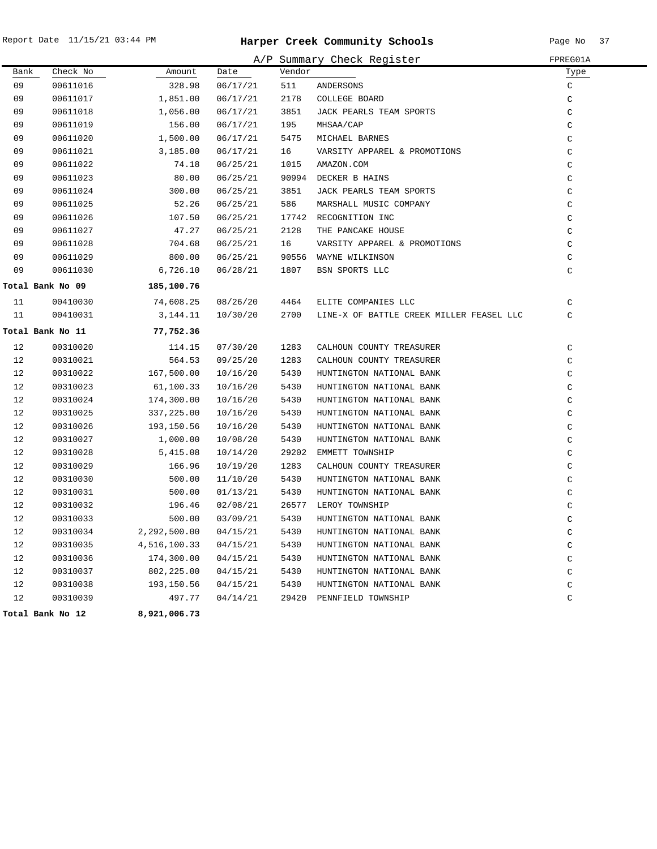|      |                  |              |          |        | A/P Summary Check Register               | FPREG01A      |
|------|------------------|--------------|----------|--------|------------------------------------------|---------------|
| Bank | Check No         | Amount       | Date     | Vendor |                                          | Type          |
| 09   | 00611016         | 328.98       | 06/17/21 | 511    | ANDERSONS                                | C             |
| 09   | 00611017         | 1,851.00     | 06/17/21 | 2178   | COLLEGE BOARD                            | $\mathcal{C}$ |
| 09   | 00611018         | 1,056.00     | 06/17/21 | 3851   | JACK PEARLS TEAM SPORTS                  | $\mathsf C$   |
| 09   | 00611019         | 156.00       | 06/17/21 | 195    | MHSAA/CAP                                | $\rm C$       |
| 09   | 00611020         | 1,500.00     | 06/17/21 | 5475   | MICHAEL BARNES                           | $\mathcal{C}$ |
| 09   | 00611021         | 3,185.00     | 06/17/21 | 16     | VARSITY APPAREL & PROMOTIONS             | $\mathcal{C}$ |
| 09   | 00611022         | 74.18        | 06/25/21 | 1015   | AMAZON.COM                               | $\mathcal{C}$ |
| 09   | 00611023         | 80.00        | 06/25/21 |        | 90994 DECKER B HAINS                     | $\mathsf C$   |
| 09   | 00611024         | 300.00       | 06/25/21 | 3851   | JACK PEARLS TEAM SPORTS                  | $\mathcal{C}$ |
| 09   | 00611025         | 52.26        | 06/25/21 | 586    | MARSHALL MUSIC COMPANY                   | $\mathcal{C}$ |
| 09   | 00611026         | 107.50       | 06/25/21 | 17742  | RECOGNITION INC                          | $\mathcal{C}$ |
| 09   | 00611027         | 47.27        | 06/25/21 | 2128   | THE PANCAKE HOUSE                        | $\mathcal{C}$ |
| 09   | 00611028         | 704.68       | 06/25/21 | 16     | VARSITY APPAREL & PROMOTIONS             | $\mathcal{C}$ |
| 09   | 00611029         | 800.00       | 06/25/21 | 90556  | WAYNE WILKINSON                          | $\mathsf C$   |
| 09   | 00611030         | 6,726.10     | 06/28/21 | 1807   | BSN SPORTS LLC                           | $\mathcal{C}$ |
|      | Total Bank No 09 | 185,100.76   |          |        |                                          |               |
| 11   | 00410030         | 74,608.25    | 08/26/20 | 4464   | ELITE COMPANIES LLC                      | $\mathcal{C}$ |
| 11   | 00410031         | 3,144.11     | 10/30/20 | 2700   | LINE-X OF BATTLE CREEK MILLER FEASEL LLC | $\mathsf{C}$  |
|      | Total Bank No 11 | 77,752.36    |          |        |                                          |               |
| 12   | 00310020         | 114.15       | 07/30/20 | 1283   | CALHOUN COUNTY TREASURER                 | $\mathsf C$   |
| 12   | 00310021         | 564.53       | 09/25/20 | 1283   | CALHOUN COUNTY TREASURER                 | $\mathsf{C}$  |
| 12   | 00310022         | 167,500.00   | 10/16/20 | 5430   | HUNTINGTON NATIONAL BANK                 | $\mathcal{C}$ |
| 12   | 00310023         | 61,100.33    | 10/16/20 | 5430   | HUNTINGTON NATIONAL BANK                 | $\mathcal{C}$ |
| 12   | 00310024         | 174,300.00   | 10/16/20 | 5430   | HUNTINGTON NATIONAL BANK                 | $\mathcal{C}$ |
| 12   | 00310025         | 337,225.00   | 10/16/20 | 5430   | HUNTINGTON NATIONAL BANK                 | $\mathsf{C}$  |
| 12   | 00310026         | 193,150.56   | 10/16/20 | 5430   | HUNTINGTON NATIONAL BANK                 | $\mathsf C$   |
| 12   | 00310027         | 1,000.00     | 10/08/20 | 5430   | HUNTINGTON NATIONAL BANK                 | $\mathsf{C}$  |
| 12   | 00310028         | 5,415.08     | 10/14/20 | 29202  | EMMETT TOWNSHIP                          | $\mathsf C$   |
| 12   | 00310029         | 166.96       | 10/19/20 | 1283   | CALHOUN COUNTY TREASURER                 | $\mathcal{C}$ |
| 12   | 00310030         | 500.00       | 11/10/20 | 5430   | HUNTINGTON NATIONAL BANK                 | $\mathcal{C}$ |
| 12   | 00310031         | 500.00       | 01/13/21 | 5430   | HUNTINGTON NATIONAL BANK                 | $\mathcal{C}$ |
| 12   | 00310032         | 196.46       | 02/08/21 | 26577  | LEROY TOWNSHIP                           | $\mathsf C$   |
| 12   | 00310033         | 500.00       | 03/09/21 | 5430   | HUNTINGTON NATIONAL BANK                 | $\mathcal{C}$ |
| 12   | 00310034         | 2,292,500.00 | 04/15/21 | 5430   | HUNTINGTON NATIONAL BANK                 | $\mathsf C$   |
| 12   | 00310035         | 4,516,100.33 | 04/15/21 | 5430   | HUNTINGTON NATIONAL BANK                 | $\mathcal{C}$ |
| 12   | 00310036         | 174,300.00   | 04/15/21 | 5430   | HUNTINGTON NATIONAL BANK                 | $\mathcal{C}$ |
| 12   | 00310037         | 802,225.00   | 04/15/21 | 5430   | HUNTINGTON NATIONAL BANK                 | $\mathsf C$   |
| 12   | 00310038         | 193,150.56   | 04/15/21 | 5430   | HUNTINGTON NATIONAL BANK                 | $\mathcal{C}$ |
| 12   | 00310039         | 497.77       | 04/14/21 | 29420  | PENNFIELD TOWNSHIP                       | $\mathcal{C}$ |
|      |                  |              |          |        |                                          |               |

**12 Total Bank No 8,921,006.73**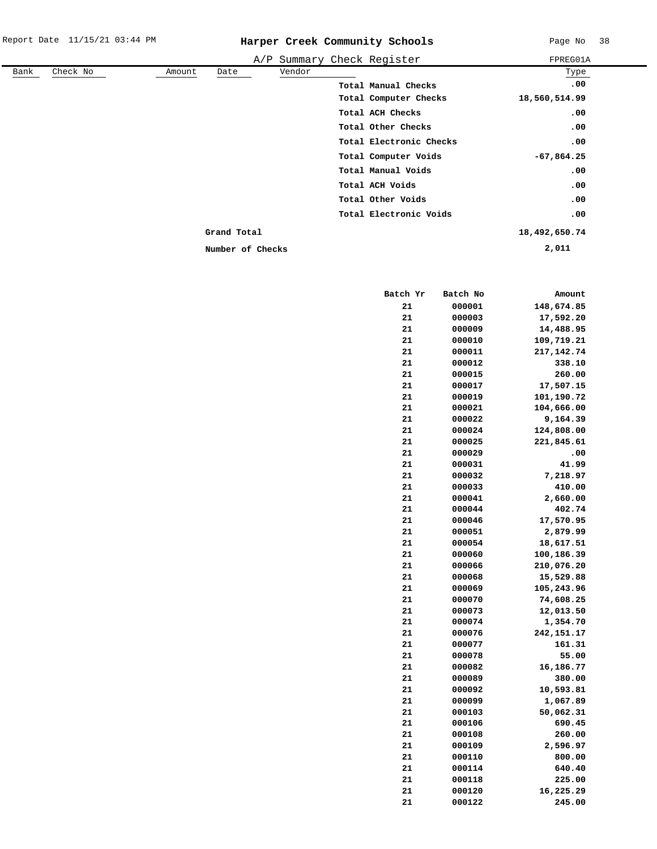|      |          |        |                  |        | A/P Summary Check Register | FPREG01A      |
|------|----------|--------|------------------|--------|----------------------------|---------------|
| Bank | Check No | Amount | Date             | Vendor |                            | Type          |
|      |          |        |                  |        | Total Manual Checks        | .00           |
|      |          |        |                  |        | Total Computer Checks      | 18,560,514.99 |
|      |          |        |                  |        | Total ACH Checks           | .00           |
|      |          |        |                  |        | Total Other Checks         | .00           |
|      |          |        |                  |        | Total Electronic Checks    | .00           |
|      |          |        |                  |        | Total Computer Voids       | $-67,864.25$  |
|      |          |        |                  |        | Total Manual Voids         | .00           |
|      |          |        |                  |        | Total ACH Voids            | .00           |
|      |          |        |                  |        | Total Other Voids          | .00           |
|      |          |        |                  |        | Total Electronic Voids     | .00           |
|      |          |        | Grand Total      |        |                            | 18,492,650.74 |
|      |          |        | Number of Checks |        |                            | 2,011         |

| Batch Yr | Batch No | Amount     |
|----------|----------|------------|
| 21       | 000001   | 148,674.85 |
| 21       | 000003   | 17,592.20  |
| 21       | 000009   | 14,488.95  |
| 21       | 000010   | 109,719.21 |
| 21       | 000011   | 217,142.74 |
| 21       | 000012   | 338.10     |
| 21       | 000015   | 260.00     |
| 21       | 000017   | 17,507.15  |
| 21       | 000019   | 101,190.72 |
| 21       | 000021   | 104,666.00 |
| 21       | 000022   | 9,164.39   |
| 21       | 000024   | 124,808.00 |
| 21       | 000025   | 221,845.61 |
| 21       | 000029   | .00        |
| 21       | 000031   | 41.99      |
| 21       | 000032   | 7,218.97   |
| 21       | 000033   | 410.00     |
| 21       | 000041   | 2,660.00   |
| 21       | 000044   | 402.74     |
| 21       | 000046   | 17,570.95  |
| 21       | 000051   | 2,879.99   |
| 21       | 000054   | 18,617.51  |
| 21       | 000060   | 100,186.39 |
| 21       | 000066   | 210,076.20 |
| 21       | 000068   | 15,529.88  |
| 21       | 000069   | 105,243.96 |
| 21       | 000070   | 74,608.25  |
| 21       | 000073   | 12,013.50  |
| 21       | 000074   | 1,354.70   |
| 21       | 000076   | 242,151.17 |
| 21       | 000077   | 161.31     |
| 21       | 000078   | 55.00      |
| 21       | 000082   | 16,186.77  |
| 21       | 000089   | 380.00     |
| 21       | 000092   | 10,593.81  |
| 21       | 000099   | 1,067.89   |
| 21       | 000103   | 50,062.31  |
| 21       | 000106   | 690.45     |
| 21       | 000108   | 260.00     |
| 21       | 000109   | 2,596.97   |
| 21       | 000110   | 800.00     |
| 21       | 000114   | 640.40     |
| 21       | 000118   | 225.00     |
| 21       | 000120   | 16,225.29  |
| 21       | 000122   | 245.00     |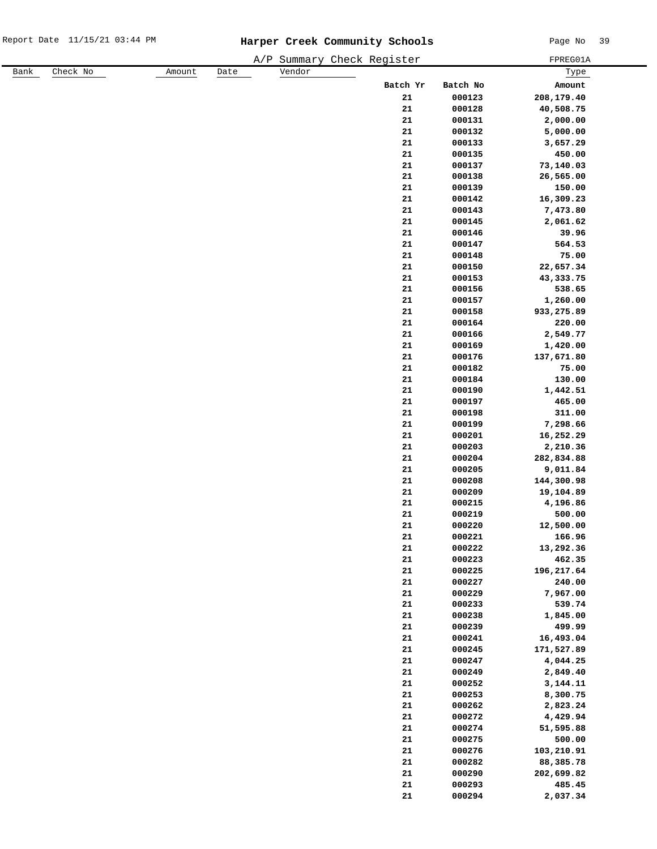|      |          |        |      |        | A/P Summary Check Register |                  | FPREG01A             |
|------|----------|--------|------|--------|----------------------------|------------------|----------------------|
| Bank | Check No | Amount | Date | Vendor |                            |                  | Туре                 |
|      |          |        |      |        | Batch Yr                   | Batch No         | Amount               |
|      |          |        |      |        | 21                         | 000123           | 208,179.40           |
|      |          |        |      |        | 21                         | 000128           | 40,508.75            |
|      |          |        |      |        | ${\bf 21}$                 | 000131           | 2,000.00             |
|      |          |        |      |        | ${\bf 21}$                 | 000132           | 5,000.00             |
|      |          |        |      |        | ${\bf 21}$                 | 000133           | 3,657.29             |
|      |          |        |      |        | 21                         | 000135           | 450.00               |
|      |          |        |      |        | ${\bf 21}$                 | 000137           | 73,140.03            |
|      |          |        |      |        | ${\bf 21}$                 | 000138           | 26,565.00            |
|      |          |        |      |        | ${\bf 21}$                 | 000139           | 150.00               |
|      |          |        |      |        | 21                         | 000142           | 16,309.23            |
|      |          |        |      |        | ${\bf 21}$                 | 000143           | 7,473.80             |
|      |          |        |      |        | ${\bf 21}$                 | 000145           | 2,061.62             |
|      |          |        |      |        | ${\bf 21}$                 | 000146           | 39.96                |
|      |          |        |      |        | 21                         | 000147           | 564.53               |
|      |          |        |      |        | ${\bf 21}$                 | 000148           | 75.00                |
|      |          |        |      |        | ${\bf 21}$                 | 000150           | 22,657.34            |
|      |          |        |      |        | ${\bf 21}$                 | 000153           | 43, 333. 75          |
|      |          |        |      |        | 21                         | 000156           | 538.65               |
|      |          |        |      |        | ${\bf 21}$                 | 000157           | 1,260.00             |
|      |          |        |      |        | ${\bf 21}$                 | 000158           | 933,275.89           |
|      |          |        |      |        | ${\bf 21}$                 | 000164           | 220.00               |
|      |          |        |      |        | ${\bf 21}$                 | 000166           | 2,549.77             |
|      |          |        |      |        | ${\bf 21}$                 | 000169           | 1,420.00             |
|      |          |        |      |        | ${\bf 21}$                 | 000176           | 137,671.80           |
|      |          |        |      |        | ${\bf 21}$                 | 000182           | 75.00                |
|      |          |        |      |        | ${\bf 21}$                 | 000184           | 130.00               |
|      |          |        |      |        | ${\bf 21}$                 | 000190           | 1,442.51             |
|      |          |        |      |        | ${\bf 21}$                 | 000197           | 465.00               |
|      |          |        |      |        | ${\bf 21}$                 | 000198           | 311.00               |
|      |          |        |      |        | ${\bf 21}$                 | 000199           | 7,298.66             |
|      |          |        |      |        | ${\bf 21}$                 | 000201           | 16,252.29            |
|      |          |        |      |        | ${\bf 21}$                 | 000203           | 2,210.36             |
|      |          |        |      |        | ${\bf 21}$                 | 000204           | 282,834.88           |
|      |          |        |      |        | 21                         | 000205           | 9,011.84             |
|      |          |        |      |        | 21                         | 000208           | 144,300.98           |
|      |          |        |      |        | ${\bf 21}$                 | 000209           | 19,104.89            |
|      |          |        |      |        | ${\bf 21}$                 | 000215           | 4,196.86             |
|      |          |        |      |        | 21                         | 000219           | 500.00               |
|      |          |        |      |        | 21                         | 000220           | 12,500.00            |
|      |          |        |      |        | ${\bf 21}$                 | 000221           | 166.96               |
|      |          |        |      |        | ${\bf 21}$                 | 000222           | 13,292.36            |
|      |          |        |      |        | ${\bf 21}$                 | 000223           | 462.35               |
|      |          |        |      |        | ${\bf 21}$<br>${\bf 21}$   | 000225           | 196,217.64<br>240.00 |
|      |          |        |      |        | ${\bf 21}$                 | 000227<br>000229 | 7,967.00             |
|      |          |        |      |        | ${\bf 21}$                 | 000233           | 539.74               |
|      |          |        |      |        | ${\bf 21}$                 | 000238           | 1,845.00             |
|      |          |        |      |        | ${\bf 21}$                 | 000239           | 499.99               |
|      |          |        |      |        | ${\bf 21}$                 | 000241           | 16,493.04            |
|      |          |        |      |        | ${\bf 21}$                 | 000245           | 171,527.89           |
|      |          |        |      |        | ${\bf 21}$                 | 000247           | 4,044.25             |
|      |          |        |      |        | ${\bf 21}$                 | 000249           | 2,849.40             |
|      |          |        |      |        | ${\bf 21}$                 | 000252           | 3,144.11             |
|      |          |        |      |        | ${\bf 21}$                 | 000253           | 8,300.75             |
|      |          |        |      |        | ${\bf 21}$                 | 000262           | 2,823.24             |
|      |          |        |      |        | ${\bf 21}$                 | 000272           | 4,429.94             |
|      |          |        |      |        | ${\bf 21}$                 | 000274           | 51,595.88            |
|      |          |        |      |        | ${\bf 21}$                 | 000275           | 500.00               |
|      |          |        |      |        | ${\bf 21}$                 | 000276           | 103,210.91           |
|      |          |        |      |        | ${\bf 21}$                 | 000282           | 88,385.78            |
|      |          |        |      |        | ${\bf 21}$                 | 000290           | 202,699.82           |
|      |          |        |      |        | ${\bf 21}$                 | 000293           | 485.45               |
|      |          |        |      |        | ${\bf 21}$                 | 000294           | 2,037.34             |
|      |          |        |      |        |                            |                  |                      |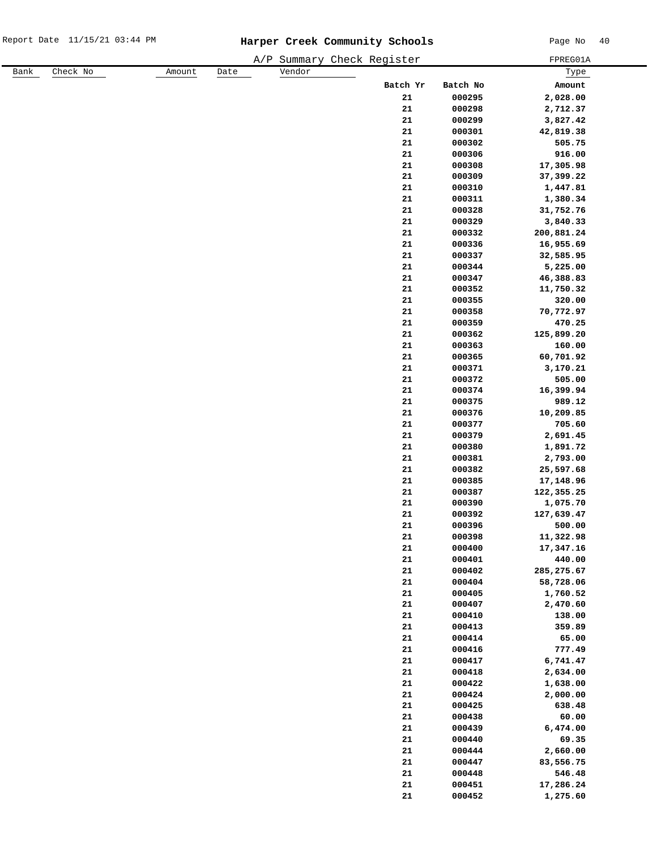|      |          |        |      |        | A/P Summary Check Register |            |          | FPREG01A    |
|------|----------|--------|------|--------|----------------------------|------------|----------|-------------|
| Bank | Check No | Amount | Date | Vendor |                            |            |          | Туре        |
|      |          |        |      |        |                            | Batch Yr   | Batch No | Amount      |
|      |          |        |      |        |                            | 21         | 000295   | 2,028.00    |
|      |          |        |      |        |                            | 21         | 000298   | 2,712.37    |
|      |          |        |      |        |                            | 21         | 000299   | 3,827.42    |
|      |          |        |      |        |                            | 21         | 000301   | 42,819.38   |
|      |          |        |      |        |                            | 21         | 000302   | 505.75      |
|      |          |        |      |        |                            | 21         | 000306   | 916.00      |
|      |          |        |      |        |                            | 21         | 000308   | 17,305.98   |
|      |          |        |      |        |                            | ${\bf 21}$ | 000309   | 37,399.22   |
|      |          |        |      |        |                            | ${\bf 21}$ | 000310   | 1,447.81    |
|      |          |        |      |        |                            | 21         | 000311   | 1,380.34    |
|      |          |        |      |        |                            | 21         | 000328   | 31,752.76   |
|      |          |        |      |        |                            | 21         | 000329   | 3,840.33    |
|      |          |        |      |        |                            | ${\bf 21}$ | 000332   | 200,881.24  |
|      |          |        |      |        |                            | 21         | 000336   | 16,955.69   |
|      |          |        |      |        |                            | 21         | 000337   | 32,585.95   |
|      |          |        |      |        |                            | ${\bf 21}$ | 000344   | 5,225.00    |
|      |          |        |      |        |                            | 21         | 000347   | 46,388.83   |
|      |          |        |      |        |                            | 21         | 000352   | 11,750.32   |
|      |          |        |      |        |                            | 21         | 000355   | 320.00      |
|      |          |        |      |        |                            | ${\bf 21}$ | 000358   | 70,772.97   |
|      |          |        |      |        |                            | 21         | 000359   | 470.25      |
|      |          |        |      |        |                            | ${\bf 21}$ | 000362   | 125,899.20  |
|      |          |        |      |        |                            | 21         | 000363   | 160.00      |
|      |          |        |      |        |                            | 21         | 000365   | 60,701.92   |
|      |          |        |      |        |                            | 21         | 000371   | 3,170.21    |
|      |          |        |      |        |                            | 21         | 000372   | 505.00      |
|      |          |        |      |        |                            | 21         | 000374   | 16,399.94   |
|      |          |        |      |        |                            | 21         | 000375   | 989.12      |
|      |          |        |      |        |                            | ${\bf 21}$ | 000376   | 10,209.85   |
|      |          |        |      |        |                            | 21         | 000377   | 705.60      |
|      |          |        |      |        |                            | 21         | 000379   | 2,691.45    |
|      |          |        |      |        |                            | 21         | 000380   | 1,891.72    |
|      |          |        |      |        |                            | 21         | 000381   | 2,793.00    |
|      |          |        |      |        |                            | 21         | 000382   | 25,597.68   |
|      |          |        |      |        |                            | 21         | 000385   | 17,148.96   |
|      |          |        |      |        |                            | 21         | 000387   | 122,355.25  |
|      |          |        |      |        |                            | 21         | 000390   | 1,075.70    |
|      |          |        |      |        |                            | 21         | 000392   | 127,639.47  |
|      |          |        |      |        |                            | 21         | 000396   | 500.00      |
|      |          |        |      |        |                            | 21         | 000398   | 11,322.98   |
|      |          |        |      |        |                            | 21         | 000400   | 17,347.16   |
|      |          |        |      |        |                            | ${\bf 21}$ | 000401   | 440.00      |
|      |          |        |      |        |                            | ${\bf 21}$ | 000402   | 285, 275.67 |
|      |          |        |      |        |                            | ${\bf 21}$ | 000404   | 58,728.06   |
|      |          |        |      |        |                            | ${\bf 21}$ | 000405   | 1,760.52    |
|      |          |        |      |        |                            | ${\bf 21}$ | 000407   | 2,470.60    |
|      |          |        |      |        |                            | ${\bf 21}$ | 000410   | 138.00      |
|      |          |        |      |        |                            | ${\bf 21}$ | 000413   | 359.89      |
|      |          |        |      |        |                            | ${\bf 21}$ | 000414   | 65.00       |
|      |          |        |      |        |                            | 21         | 000416   | 777.49      |
|      |          |        |      |        |                            | ${\bf 21}$ | 000417   | 6,741.47    |
|      |          |        |      |        |                            | ${\bf 21}$ | 000418   | 2,634.00    |
|      |          |        |      |        |                            | ${\bf 21}$ | 000422   | 1,638.00    |
|      |          |        |      |        |                            | ${\bf 21}$ | 000424   | 2,000.00    |
|      |          |        |      |        |                            | ${\bf 21}$ | 000425   | 638.48      |
|      |          |        |      |        |                            | ${\bf 21}$ | 000438   | 60.00       |
|      |          |        |      |        |                            | ${\bf 21}$ | 000439   | 6,474.00    |
|      |          |        |      |        |                            | ${\bf 21}$ | 000440   | 69.35       |
|      |          |        |      |        |                            | ${\bf 21}$ | 000444   | 2,660.00    |
|      |          |        |      |        |                            | ${\bf 21}$ | 000447   | 83,556.75   |
|      |          |        |      |        |                            | ${\bf 21}$ | 000448   | 546.48      |
|      |          |        |      |        |                            | ${\bf 21}$ | 000451   | 17,286.24   |
|      |          |        |      |        |                            | 21         | 000452   | 1,275.60    |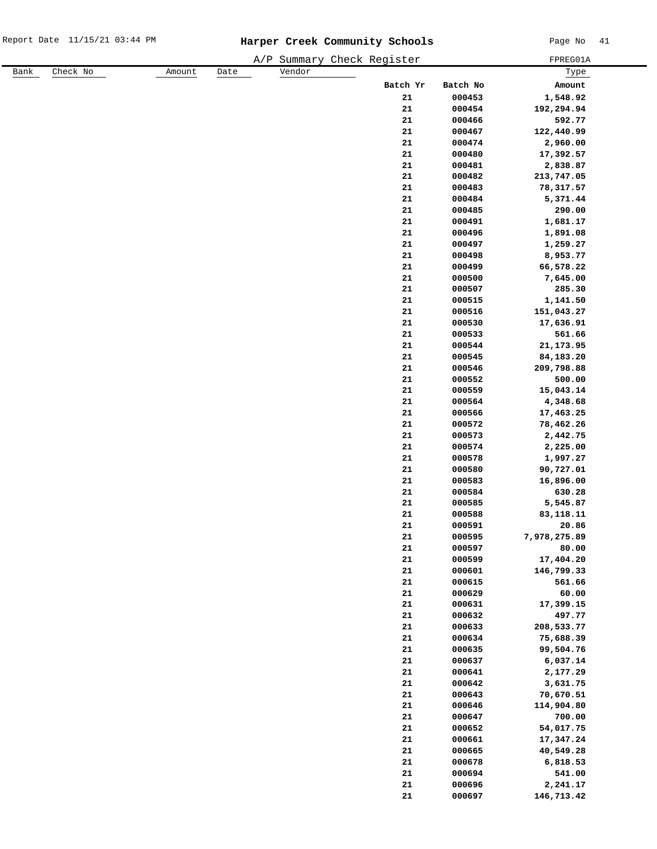|      |          |        |      |        | A/P Summary Check Register |          | FPREG01A     |
|------|----------|--------|------|--------|----------------------------|----------|--------------|
| Bank | Check No | Amount | Date | Vendor |                            |          | Туре         |
|      |          |        |      |        | Batch Yr                   | Batch No | Amount       |
|      |          |        |      |        | 21                         | 000453   | 1,548.92     |
|      |          |        |      |        | 21                         | 000454   | 192,294.94   |
|      |          |        |      |        | 21                         | 000466   | 592.77       |
|      |          |        |      |        | ${\bf 21}$                 | 000467   | 122,440.99   |
|      |          |        |      |        | ${\bf 21}$                 | 000474   | 2,960.00     |
|      |          |        |      |        | ${\bf 21}$                 | 000480   | 17,392.57    |
|      |          |        |      |        | ${\bf 21}$                 | 000481   | 2,838.87     |
|      |          |        |      |        | ${\bf 21}$                 | 000482   | 213,747.05   |
|      |          |        |      |        | ${\bf 21}$                 | 000483   | 78,317.57    |
|      |          |        |      |        | 21                         | 000484   | 5,371.44     |
|      |          |        |      |        | 21                         | 000485   | 290.00       |
|      |          |        |      |        | ${\bf 21}$                 | 000491   | 1,681.17     |
|      |          |        |      |        | ${\bf 21}$                 | 000496   | 1,891.08     |
|      |          |        |      |        | ${\bf 21}$                 | 000497   | 1,259.27     |
|      |          |        |      |        | ${\bf 21}$                 | 000498   | 8,953.77     |
|      |          |        |      |        | ${\bf 21}$                 | 000499   | 66,578.22    |
|      |          |        |      |        | ${\bf 21}$                 | 000500   | 7,645.00     |
|      |          |        |      |        | 21                         | 000507   | 285.30       |
|      |          |        |      |        | 21                         | 000515   | 1,141.50     |
|      |          |        |      |        | ${\bf 21}$                 | 000516   | 151,043.27   |
|      |          |        |      |        | ${\bf 21}$                 | 000530   | 17,636.91    |
|      |          |        |      |        | ${\bf 21}$                 | 000533   | 561.66       |
|      |          |        |      |        | ${\bf 21}$                 | 000544   | 21, 173.95   |
|      |          |        |      |        | ${\bf 21}$                 | 000545   | 84,183.20    |
|      |          |        |      |        | ${\bf 21}$                 | 000546   | 209,798.88   |
|      |          |        |      |        | ${\bf 21}$                 | 000552   | 500.00       |
|      |          |        |      |        | 21                         | 000559   | 15,043.14    |
|      |          |        |      |        | 21                         | 000564   | 4,348.68     |
|      |          |        |      |        | ${\bf 21}$                 | 000566   | 17,463.25    |
|      |          |        |      |        | 21                         |          | 78,462.26    |
|      |          |        |      |        |                            | 000572   |              |
|      |          |        |      |        | ${\bf 21}$                 | 000573   | 2,442.75     |
|      |          |        |      |        | ${\bf 21}$                 | 000574   | 2,225.00     |
|      |          |        |      |        | ${\bf 21}$                 | 000578   | 1,997.27     |
|      |          |        |      |        | ${\bf 21}$                 | 000580   | 90,727.01    |
|      |          |        |      |        | 21                         | 000583   | 16,896.00    |
|      |          |        |      |        | 21                         | 000584   | 630.28       |
|      |          |        |      |        | 21                         | 000585   | 5,545.87     |
|      |          |        |      |        | 21                         | 000588   | 83,118.11    |
|      |          |        |      |        | 21                         | 000591   | 20.86        |
|      |          |        |      |        | ${\bf 21}$                 | 000595   | 7,978,275.89 |
|      |          |        |      |        | ${\bf 21}$                 | 000597   | 80.00        |
|      |          |        |      |        | ${\bf 21}$                 | 000599   | 17,404.20    |
|      |          |        |      |        | ${\bf 21}$                 | 000601   | 146,799.33   |
|      |          |        |      |        | ${\bf 21}$                 | 000615   | 561.66       |
|      |          |        |      |        | ${\bf 21}$                 | 000629   | 60.00        |
|      |          |        |      |        | ${\bf 21}$                 | 000631   | 17,399.15    |
|      |          |        |      |        | ${\bf 21}$                 | 000632   | 497.77       |
|      |          |        |      |        | ${\bf 21}$                 | 000633   | 208,533.77   |
|      |          |        |      |        | ${\bf 21}$                 | 000634   | 75,688.39    |
|      |          |        |      |        | ${\bf 21}$                 | 000635   | 99,504.76    |
|      |          |        |      |        | ${\bf 21}$                 | 000637   | 6,037.14     |
|      |          |        |      |        | ${\bf 21}$                 | 000641   | 2,177.29     |
|      |          |        |      |        | ${\bf 21}$                 | 000642   | 3,631.75     |
|      |          |        |      |        | ${\bf 21}$                 | 000643   | 70,670.51    |
|      |          |        |      |        | ${\bf 21}$                 | 000646   | 114,904.80   |
|      |          |        |      |        | ${\bf 21}$                 | 000647   | 700.00       |
|      |          |        |      |        | ${\bf 21}$                 | 000652   | 54,017.75    |
|      |          |        |      |        | ${\bf 21}$                 | 000661   | 17,347.24    |
|      |          |        |      |        | ${\bf 21}$                 | 000665   | 40,549.28    |
|      |          |        |      |        | ${\bf 21}$                 | 000678   | 6,818.53     |
|      |          |        |      |        | ${\bf 21}$                 | 000694   | 541.00       |
|      |          |        |      |        | ${\bf 21}$                 | 000696   | 2,241.17     |
|      |          |        |      |        | ${\bf 21}$                 | 000697   | 146,713.42   |
|      |          |        |      |        |                            |          |              |